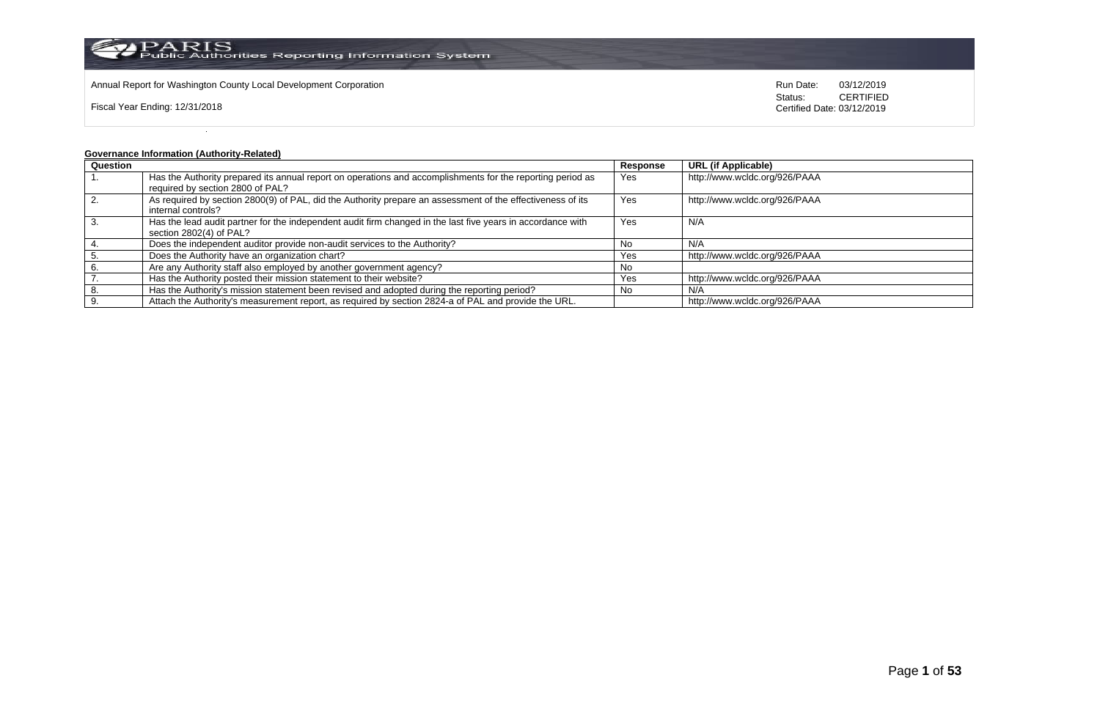

Annual Report for Washington County Local Development Corporation Run Date: 03/12/2019 Run Date: 03/12/2019

Fiscal Year Ending: 12/31/2018

Status: **CERTIFIED** Certified Date: 03/12/2019

# **Governance Information (Authority-Related)**

| Question |                                                                                                             | Response | <b>URL (if Applicable)</b>    |
|----------|-------------------------------------------------------------------------------------------------------------|----------|-------------------------------|
|          | Has the Authority prepared its annual report on operations and accomplishments for the reporting period as  | Yes      | http://www.wcldc.org/926/PAAA |
|          | required by section 2800 of PAL?                                                                            |          |                               |
| 2.       | As required by section 2800(9) of PAL, did the Authority prepare an assessment of the effectiveness of its  | Yes      | http://www.wcldc.org/926/PAAA |
|          | internal controls?                                                                                          |          |                               |
|          | Has the lead audit partner for the independent audit firm changed in the last five years in accordance with | Yes      | N/A                           |
|          | section 2802(4) of PAL?                                                                                     |          |                               |
|          | Does the independent auditor provide non-audit services to the Authority?                                   | . No     | N/A                           |
|          | Does the Authority have an organization chart?                                                              | Yes      | http://www.wcldc.org/926/PAAA |
|          | Are any Authority staff also employed by another government agency?                                         | No       |                               |
|          | Has the Authority posted their mission statement to their website?                                          | Yes      | http://www.wcldc.org/926/PAAA |
|          | Has the Authority's mission statement been revised and adopted during the reporting period?                 | No       | N/A                           |
|          | Attach the Authority's measurement report, as required by section 2824-a of PAL and provide the URL.        |          | http://www.wcldc.org/926/PAAA |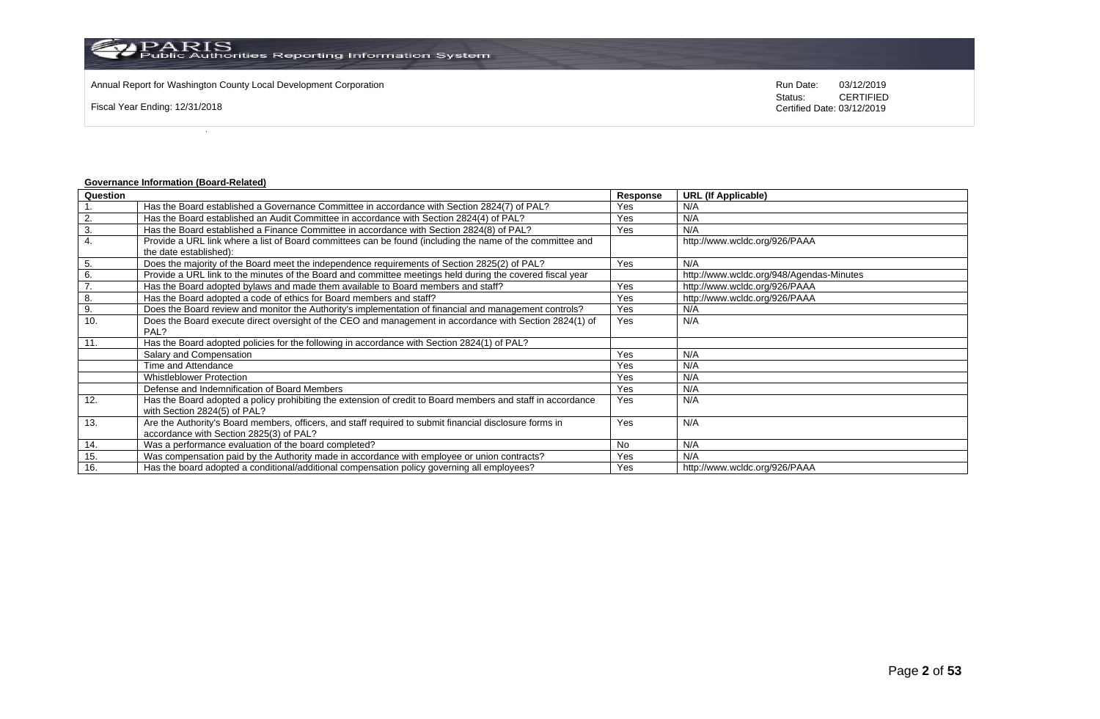Annual Report for Washington County Local Development Corporation Run Date: 03/12/2019 Run Date: 03/12/2019

Fiscal Year Ending: 12/31/2018

Status: **CERTIFIED** Certified Date: 03/12/2019

# **Governance Information (Board-Related)**

| Question |                                                                                                             | Response  | <b>URL (If Applicable)</b>               |
|----------|-------------------------------------------------------------------------------------------------------------|-----------|------------------------------------------|
|          | Has the Board established a Governance Committee in accordance with Section 2824(7) of PAL?                 | Yes       | N/A                                      |
| 2.       | Has the Board established an Audit Committee in accordance with Section 2824(4) of PAL?                     | Yes       | N/A                                      |
| 3.       | Has the Board established a Finance Committee in accordance with Section 2824(8) of PAL?                    | Yes       | N/A                                      |
| 4.       | Provide a URL link where a list of Board committees can be found (including the name of the committee and   |           | http://www.wcldc.org/926/PAAA            |
|          | the date established):                                                                                      |           |                                          |
| 5.       | Does the majority of the Board meet the independence requirements of Section 2825(2) of PAL?                | Yes       | N/A                                      |
| 6.       | Provide a URL link to the minutes of the Board and committee meetings held during the covered fiscal year   |           | http://www.wcldc.org/948/Agendas-Minutes |
|          | Has the Board adopted bylaws and made them available to Board members and staff?                            | Yes       | http://www.wcldc.org/926/PAAA            |
| 8.       | Has the Board adopted a code of ethics for Board members and staff?                                         | Yes       | http://www.wcldc.org/926/PAAA            |
| 9.       | Does the Board review and monitor the Authority's implementation of financial and management controls?      | Yes       | N/A                                      |
| 10.      | Does the Board execute direct oversight of the CEO and management in accordance with Section 2824(1) of     | Yes       | N/A                                      |
|          | PAL?                                                                                                        |           |                                          |
| 11.      | Has the Board adopted policies for the following in accordance with Section 2824(1) of PAL?                 |           |                                          |
|          | Salary and Compensation                                                                                     | Yes       | N/A                                      |
|          | Time and Attendance                                                                                         | Yes       | N/A                                      |
|          | <b>Whistleblower Protection</b>                                                                             | Yes       | N/A                                      |
|          | Defense and Indemnification of Board Members                                                                | Yes       | N/A                                      |
| 12.      | Has the Board adopted a policy prohibiting the extension of credit to Board members and staff in accordance | Yes       | N/A                                      |
|          | with Section 2824(5) of PAL?                                                                                |           |                                          |
| 13.      | Are the Authority's Board members, officers, and staff required to submit financial disclosure forms in     | Yes       | N/A                                      |
|          | accordance with Section 2825(3) of PAL?                                                                     |           |                                          |
| 14.      | Was a performance evaluation of the board completed?                                                        | <b>No</b> | N/A                                      |
| 15.      | Was compensation paid by the Authority made in accordance with employee or union contracts?                 | Yes       | N/A                                      |
| 16.      | Has the board adopted a conditional/additional compensation policy governing all employees?                 | Yes       | http://www.wcldc.org/926/PAAA            |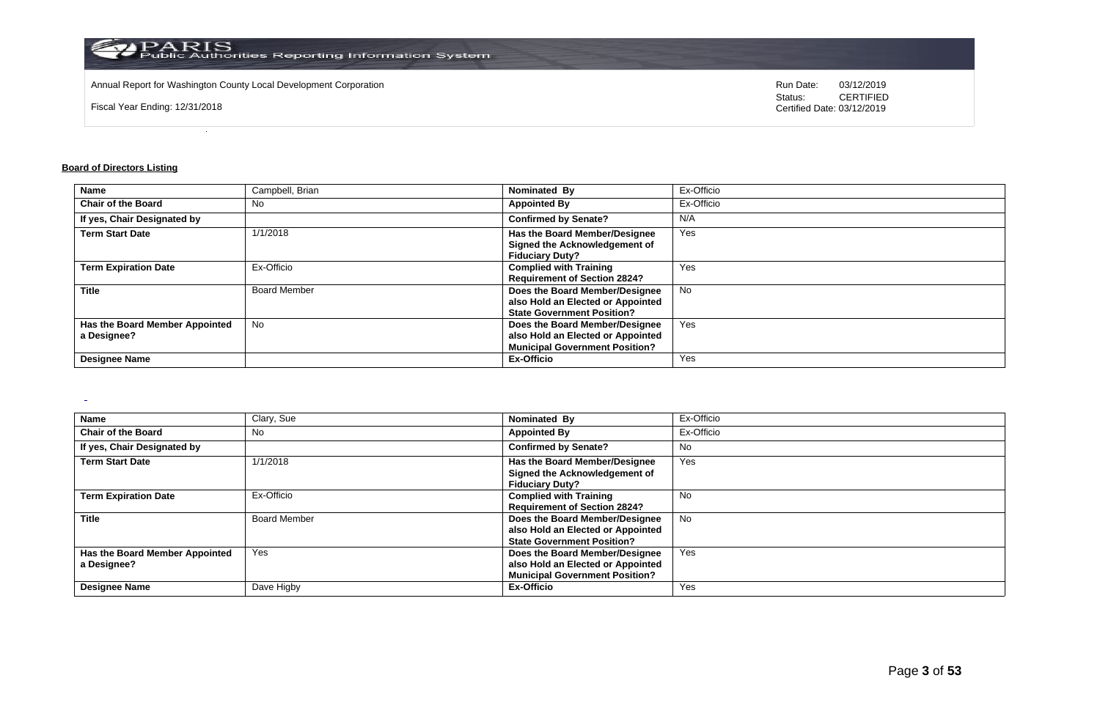

Annual Report for Washington County Local Development Corporation Run Date: 03/12/2019 Run Date: 03/12/2019

Fiscal Year Ending: 12/31/2018

Status: **CERTIFIED** Certified Date: 03/12/2019

### **Board of Directors Listing**

 $\overline{a}$ 

| <b>Name</b>                    | Campbell, Brian     | Nominated By                          | Ex-Officio |
|--------------------------------|---------------------|---------------------------------------|------------|
| <b>Chair of the Board</b>      | No                  | <b>Appointed By</b>                   | Ex-Officio |
| If yes, Chair Designated by    |                     | <b>Confirmed by Senate?</b>           | N/A        |
| <b>Term Start Date</b>         | 1/1/2018            | Has the Board Member/Designee         | Yes        |
|                                |                     | Signed the Acknowledgement of         |            |
|                                |                     | <b>Fiduciary Duty?</b>                |            |
| <b>Term Expiration Date</b>    | Ex-Officio          | <b>Complied with Training</b>         | Yes        |
|                                |                     | <b>Requirement of Section 2824?</b>   |            |
| <b>Title</b>                   | <b>Board Member</b> | Does the Board Member/Designee        | <b>No</b>  |
|                                |                     | also Hold an Elected or Appointed     |            |
|                                |                     | <b>State Government Position?</b>     |            |
| Has the Board Member Appointed | <b>No</b>           | Does the Board Member/Designee        | Yes        |
| a Designee?                    |                     | also Hold an Elected or Appointed     |            |
|                                |                     | <b>Municipal Government Position?</b> |            |
| <b>Designee Name</b>           |                     | <b>Ex-Officio</b>                     | Yes        |

| Name                                          | Clary, Sue          | Nominated By                                                                                                 | Ex-Officio |
|-----------------------------------------------|---------------------|--------------------------------------------------------------------------------------------------------------|------------|
| <b>Chair of the Board</b>                     | <b>No</b>           | <b>Appointed By</b>                                                                                          | Ex-Officio |
| If yes, Chair Designated by                   |                     | <b>Confirmed by Senate?</b>                                                                                  | No         |
| <b>Term Start Date</b>                        | 1/1/2018            | Has the Board Member/Designee<br>Signed the Acknowledgement of<br><b>Fiduciary Duty?</b>                     | Yes        |
| <b>Term Expiration Date</b>                   | Ex-Officio          | <b>Complied with Training</b><br><b>Requirement of Section 2824?</b>                                         | <b>No</b>  |
| Title                                         | <b>Board Member</b> | Does the Board Member/Designee<br>also Hold an Elected or Appointed<br><b>State Government Position?</b>     | No         |
| Has the Board Member Appointed<br>a Designee? | Yes                 | Does the Board Member/Designee<br>also Hold an Elected or Appointed<br><b>Municipal Government Position?</b> | Yes        |
| <b>Designee Name</b>                          | Dave Higby          | Ex-Officio                                                                                                   | Yes        |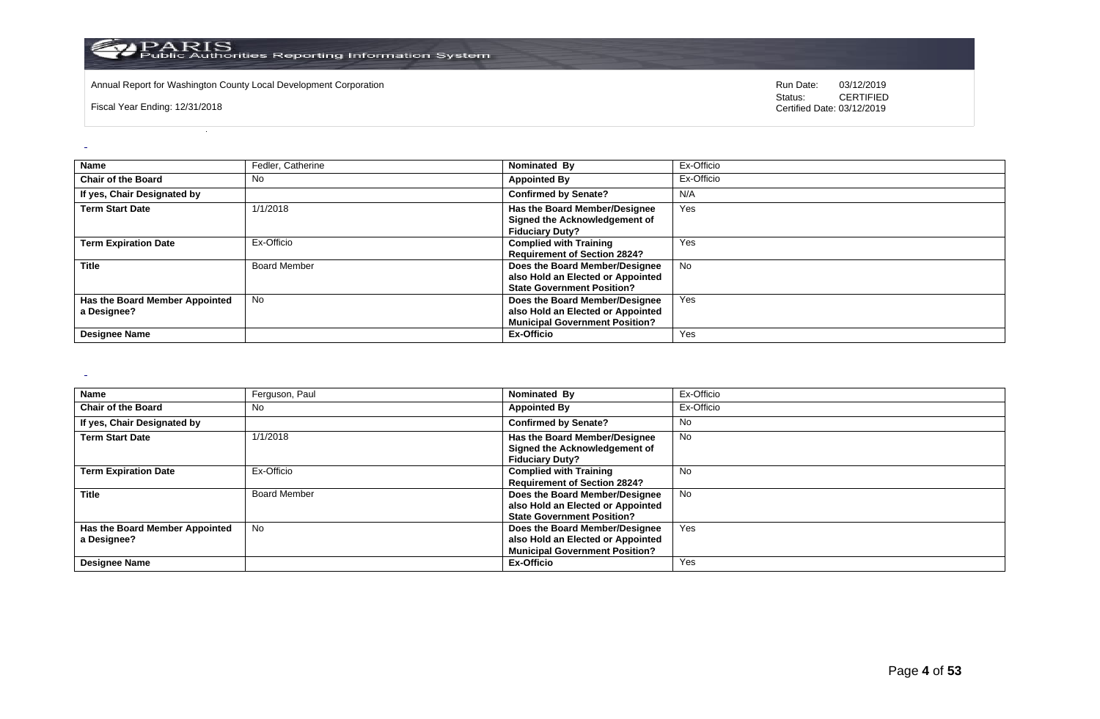

Annual Report for Washington County Local Development Corporation **Company County Constructed Annual Report for Washington County Local Development Corporation Annual Report for Washington County Local Development Corporat** 

Fiscal Year Ending: 12/31/2018

CERTIFIED Certified Date: 03/12/2019

| Name                                          | Fedler, Catherine   | Nominated By                                                                                                 | Ex-Officio |
|-----------------------------------------------|---------------------|--------------------------------------------------------------------------------------------------------------|------------|
| <b>Chair of the Board</b>                     | No                  | <b>Appointed By</b>                                                                                          | Ex-Officio |
| If yes, Chair Designated by                   |                     | <b>Confirmed by Senate?</b>                                                                                  | N/A        |
| <b>Term Start Date</b>                        | 1/1/2018            | Has the Board Member/Designee<br>Signed the Acknowledgement of<br><b>Fiduciary Duty?</b>                     | Yes        |
| <b>Term Expiration Date</b>                   | Ex-Officio          | <b>Complied with Training</b><br><b>Requirement of Section 2824?</b>                                         | Yes        |
| <b>Title</b>                                  | <b>Board Member</b> | Does the Board Member/Designee<br>also Hold an Elected or Appointed<br><b>State Government Position?</b>     | <b>No</b>  |
| Has the Board Member Appointed<br>a Designee? | <b>No</b>           | Does the Board Member/Designee<br>also Hold an Elected or Appointed<br><b>Municipal Government Position?</b> | Yes        |
| <b>Designee Name</b>                          |                     | Ex-Officio                                                                                                   | Yes        |

 $\sim$ 

| <b>Name</b>                                   | Ferguson, Paul      | Nominated By                                                                                                 | Ex-Officio |
|-----------------------------------------------|---------------------|--------------------------------------------------------------------------------------------------------------|------------|
| <b>Chair of the Board</b>                     | No                  | <b>Appointed By</b>                                                                                          | Ex-Officio |
| If yes, Chair Designated by                   |                     | <b>Confirmed by Senate?</b>                                                                                  | No         |
| <b>Term Start Date</b>                        | 1/1/2018            | Has the Board Member/Designee<br>Signed the Acknowledgement of<br><b>Fiduciary Duty?</b>                     | No         |
| <b>Term Expiration Date</b>                   | Ex-Officio          | <b>Complied with Training</b><br><b>Requirement of Section 2824?</b>                                         | <b>No</b>  |
| <b>Title</b>                                  | <b>Board Member</b> | Does the Board Member/Designee<br>also Hold an Elected or Appointed<br><b>State Government Position?</b>     | No         |
| Has the Board Member Appointed<br>a Designee? | No                  | Does the Board Member/Designee<br>also Hold an Elected or Appointed<br><b>Municipal Government Position?</b> | Yes        |
| <b>Designee Name</b>                          |                     | Ex-Officio                                                                                                   | Yes        |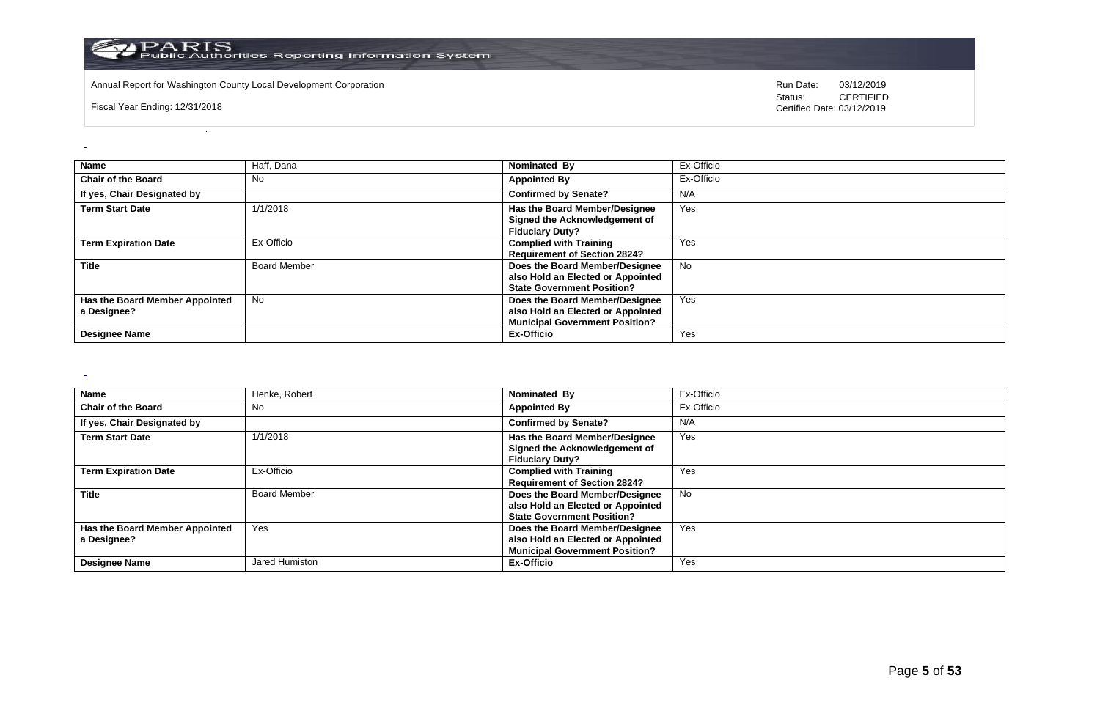

Annual Report for Washington County Local Development Corporation **Company County Constructed Annual Report for Washington County Local Development Corporation Annual Report for Washington County Local Development Corporat** 

Fiscal Year Ending: 12/31/2018

CERTIFIED Certified Date: 03/12/2019

| <b>Name</b>                                   | Haff, Dana          | Nominated By                                                                                                 | Ex-Officio |
|-----------------------------------------------|---------------------|--------------------------------------------------------------------------------------------------------------|------------|
| <b>Chair of the Board</b>                     | <b>No</b>           | <b>Appointed By</b>                                                                                          | Ex-Officio |
| If yes, Chair Designated by                   |                     | <b>Confirmed by Senate?</b>                                                                                  | N/A        |
| <b>Term Start Date</b>                        | 1/1/2018            | Has the Board Member/Designee<br>Signed the Acknowledgement of<br><b>Fiduciary Duty?</b>                     | Yes        |
| <b>Term Expiration Date</b>                   | Ex-Officio          | <b>Complied with Training</b><br><b>Requirement of Section 2824?</b>                                         | Yes        |
| <b>Title</b>                                  | <b>Board Member</b> | Does the Board Member/Designee<br>also Hold an Elected or Appointed<br><b>State Government Position?</b>     | <b>No</b>  |
| Has the Board Member Appointed<br>a Designee? | <b>No</b>           | Does the Board Member/Designee<br>also Hold an Elected or Appointed<br><b>Municipal Government Position?</b> | Yes        |
| <b>Designee Name</b>                          |                     | Ex-Officio                                                                                                   | Yes        |

 $\sim$ 

| <b>Name</b>                                   | Henke, Robert       | Nominated By                                                                                                 | Ex-Officio |
|-----------------------------------------------|---------------------|--------------------------------------------------------------------------------------------------------------|------------|
| <b>Chair of the Board</b>                     | No                  | <b>Appointed By</b>                                                                                          | Ex-Officio |
| If yes, Chair Designated by                   |                     | <b>Confirmed by Senate?</b>                                                                                  | N/A        |
| <b>Term Start Date</b>                        | 1/1/2018            | <b>Has the Board Member/Designee</b><br>Signed the Acknowledgement of<br><b>Fiduciary Duty?</b>              | Yes        |
| <b>Term Expiration Date</b>                   | Ex-Officio          | <b>Complied with Training</b><br><b>Requirement of Section 2824?</b>                                         | Yes        |
| <b>Title</b>                                  | <b>Board Member</b> | Does the Board Member/Designee<br>also Hold an Elected or Appointed<br><b>State Government Position?</b>     | No         |
| Has the Board Member Appointed<br>a Designee? | Yes                 | Does the Board Member/Designee<br>also Hold an Elected or Appointed<br><b>Municipal Government Position?</b> | Yes        |
| <b>Designee Name</b>                          | Jared Humiston      | Ex-Officio                                                                                                   | Yes        |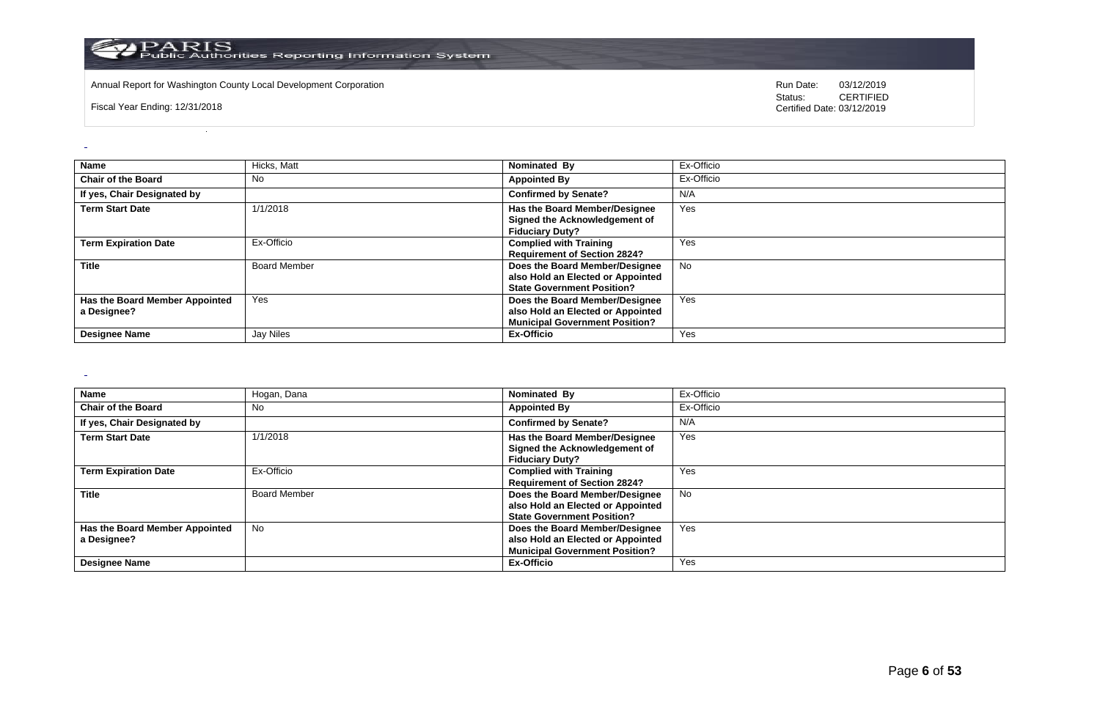

Annual Report for Washington County Local Development Corporation **Company County Constructed Annual Report for Washington County Local Development Corporation Annual Report for Washington County Local Development Corporat** 

Fiscal Year Ending: 12/31/2018

CERTIFIED Certified Date: 03/12/2019

| Name                                          | Hicks, Matt         | Nominated By                                                                                                 | Ex-Officio |
|-----------------------------------------------|---------------------|--------------------------------------------------------------------------------------------------------------|------------|
| <b>Chair of the Board</b>                     | No                  | <b>Appointed By</b>                                                                                          | Ex-Officio |
| If yes, Chair Designated by                   |                     | <b>Confirmed by Senate?</b>                                                                                  | N/A        |
| <b>Term Start Date</b>                        | 1/1/2018            | Has the Board Member/Designee<br>Signed the Acknowledgement of<br><b>Fiduciary Duty?</b>                     | Yes        |
| <b>Term Expiration Date</b>                   | Ex-Officio          | <b>Complied with Training</b><br><b>Requirement of Section 2824?</b>                                         | Yes        |
| <b>Title</b>                                  | <b>Board Member</b> | Does the Board Member/Designee<br>also Hold an Elected or Appointed<br><b>State Government Position?</b>     | <b>No</b>  |
| Has the Board Member Appointed<br>a Designee? | Yes                 | Does the Board Member/Designee<br>also Hold an Elected or Appointed<br><b>Municipal Government Position?</b> | Yes        |
| <b>Designee Name</b>                          | Jay Niles           | Ex-Officio                                                                                                   | Yes        |

 $\sim$ 

| <b>Name</b>                    | Hogan, Dana         | Nominated By                          | Ex-Officio |
|--------------------------------|---------------------|---------------------------------------|------------|
| <b>Chair of the Board</b>      | No                  | <b>Appointed By</b>                   | Ex-Officio |
| If yes, Chair Designated by    |                     | <b>Confirmed by Senate?</b>           | N/A        |
| <b>Term Start Date</b>         | 1/1/2018            | Has the Board Member/Designee         | Yes        |
|                                |                     | Signed the Acknowledgement of         |            |
|                                |                     | <b>Fiduciary Duty?</b>                |            |
| <b>Term Expiration Date</b>    | Ex-Officio          | <b>Complied with Training</b>         | Yes        |
|                                |                     | <b>Requirement of Section 2824?</b>   |            |
| <b>Title</b>                   | <b>Board Member</b> | Does the Board Member/Designee        | No.        |
|                                |                     | also Hold an Elected or Appointed     |            |
|                                |                     | <b>State Government Position?</b>     |            |
| Has the Board Member Appointed | No                  | Does the Board Member/Designee        | Yes        |
| a Designee?                    |                     | also Hold an Elected or Appointed     |            |
|                                |                     | <b>Municipal Government Position?</b> |            |
| <b>Designee Name</b>           |                     | Ex-Officio                            | Yes        |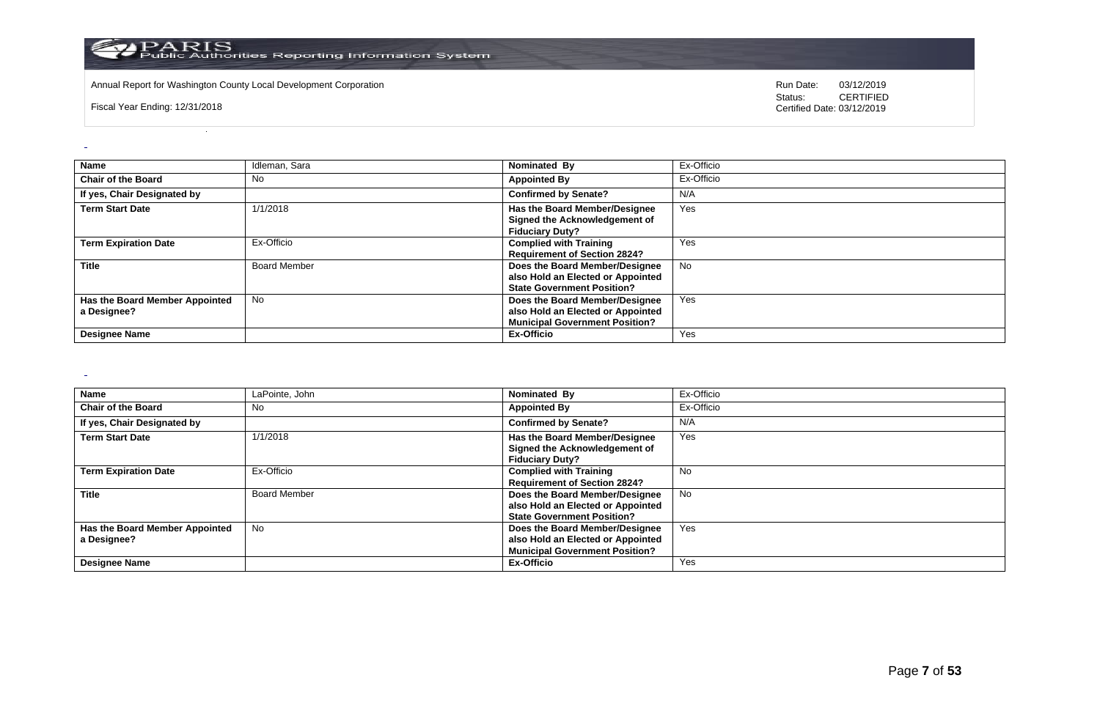

Annual Report for Washington County Local Development Corporation **Company County Constructed Annual Report for Washington County Local Development Corporation Annual Report for Washington County Local Development Corporat** 

Fiscal Year Ending: 12/31/2018

CERTIFIED Certified Date: 03/12/2019

| Name                                          | Idleman, Sara       | Nominated By                                                                                                 | Ex-Officio |
|-----------------------------------------------|---------------------|--------------------------------------------------------------------------------------------------------------|------------|
| <b>Chair of the Board</b>                     | No                  | <b>Appointed By</b>                                                                                          | Ex-Officio |
| If yes, Chair Designated by                   |                     | <b>Confirmed by Senate?</b>                                                                                  | N/A        |
| <b>Term Start Date</b>                        | 1/1/2018            | Has the Board Member/Designee<br>Signed the Acknowledgement of<br><b>Fiduciary Duty?</b>                     | Yes        |
| <b>Term Expiration Date</b>                   | Ex-Officio          | <b>Complied with Training</b><br><b>Requirement of Section 2824?</b>                                         | Yes        |
| <b>Title</b>                                  | <b>Board Member</b> | Does the Board Member/Designee<br>also Hold an Elected or Appointed<br><b>State Government Position?</b>     | <b>No</b>  |
| Has the Board Member Appointed<br>a Designee? | <b>No</b>           | Does the Board Member/Designee<br>also Hold an Elected or Appointed<br><b>Municipal Government Position?</b> | Yes        |
| <b>Designee Name</b>                          |                     | Ex-Officio                                                                                                   | Yes        |

 $\sim$ 

| <b>Name</b>                                   | LaPointe, John      | Nominated By                                                                                                 | Ex-Officio |
|-----------------------------------------------|---------------------|--------------------------------------------------------------------------------------------------------------|------------|
| <b>Chair of the Board</b>                     | No                  | <b>Appointed By</b>                                                                                          | Ex-Officio |
| If yes, Chair Designated by                   |                     | <b>Confirmed by Senate?</b>                                                                                  | N/A        |
| <b>Term Start Date</b>                        | 1/1/2018            | Has the Board Member/Designee<br>Signed the Acknowledgement of<br><b>Fiduciary Duty?</b>                     | Yes        |
| <b>Term Expiration Date</b>                   | Ex-Officio          | <b>Complied with Training</b><br><b>Requirement of Section 2824?</b>                                         | <b>No</b>  |
| <b>Title</b>                                  | <b>Board Member</b> | Does the Board Member/Designee<br>also Hold an Elected or Appointed<br><b>State Government Position?</b>     | <b>No</b>  |
| Has the Board Member Appointed<br>a Designee? | No                  | Does the Board Member/Designee<br>also Hold an Elected or Appointed<br><b>Municipal Government Position?</b> | Yes        |
| <b>Designee Name</b>                          |                     | <b>Ex-Officio</b>                                                                                            | Yes        |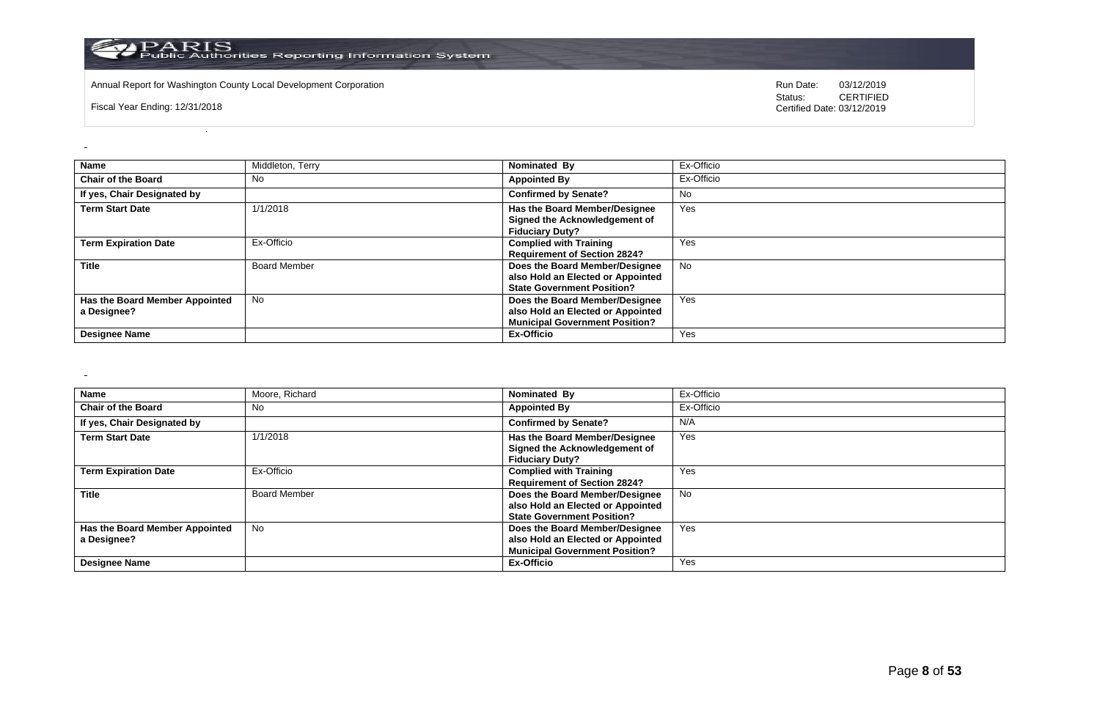

Annual Report for Washington County Local Development Corporation **Company County Constructed Annual Report for Washington County Local Development Corporation Annual Report for Washington County Local Development Corporat** 

Fiscal Year Ending: 12/31/2018

CERTIFIED Certified Date: 03/12/2019

| Name                                          | Middleton, Terry    | Nominated By                                                                                                 | Ex-Officio |
|-----------------------------------------------|---------------------|--------------------------------------------------------------------------------------------------------------|------------|
| <b>Chair of the Board</b>                     | No                  | <b>Appointed By</b>                                                                                          | Ex-Officio |
| If yes, Chair Designated by                   |                     | <b>Confirmed by Senate?</b>                                                                                  | No         |
| <b>Term Start Date</b>                        | 1/1/2018            | Has the Board Member/Designee<br>Signed the Acknowledgement of<br><b>Fiduciary Duty?</b>                     | Yes        |
| <b>Term Expiration Date</b>                   | Ex-Officio          | <b>Complied with Training</b><br><b>Requirement of Section 2824?</b>                                         | Yes        |
| <b>Title</b>                                  | <b>Board Member</b> | Does the Board Member/Designee<br>also Hold an Elected or Appointed<br><b>State Government Position?</b>     | <b>No</b>  |
| Has the Board Member Appointed<br>a Designee? | <b>No</b>           | Does the Board Member/Designee<br>also Hold an Elected or Appointed<br><b>Municipal Government Position?</b> | Yes        |
| <b>Designee Name</b>                          |                     | Ex-Officio                                                                                                   | Yes        |

 $\sim$ 

| <b>Name</b>                                   | Moore, Richard      | Nominated By                                                                                                 | Ex-Officio |
|-----------------------------------------------|---------------------|--------------------------------------------------------------------------------------------------------------|------------|
| <b>Chair of the Board</b>                     | No                  | <b>Appointed By</b>                                                                                          | Ex-Officio |
| If yes, Chair Designated by                   |                     | <b>Confirmed by Senate?</b>                                                                                  | N/A        |
| <b>Term Start Date</b>                        | 1/1/2018            | <b>Has the Board Member/Designee</b><br>Signed the Acknowledgement of<br><b>Fiduciary Duty?</b>              | Yes        |
| <b>Term Expiration Date</b>                   | Ex-Officio          | <b>Complied with Training</b><br><b>Requirement of Section 2824?</b>                                         | Yes        |
| <b>Title</b>                                  | <b>Board Member</b> | Does the Board Member/Designee<br>also Hold an Elected or Appointed<br><b>State Government Position?</b>     | No         |
| Has the Board Member Appointed<br>a Designee? | No.                 | Does the Board Member/Designee<br>also Hold an Elected or Appointed<br><b>Municipal Government Position?</b> | Yes        |
| <b>Designee Name</b>                          |                     | Ex-Officio                                                                                                   | Yes        |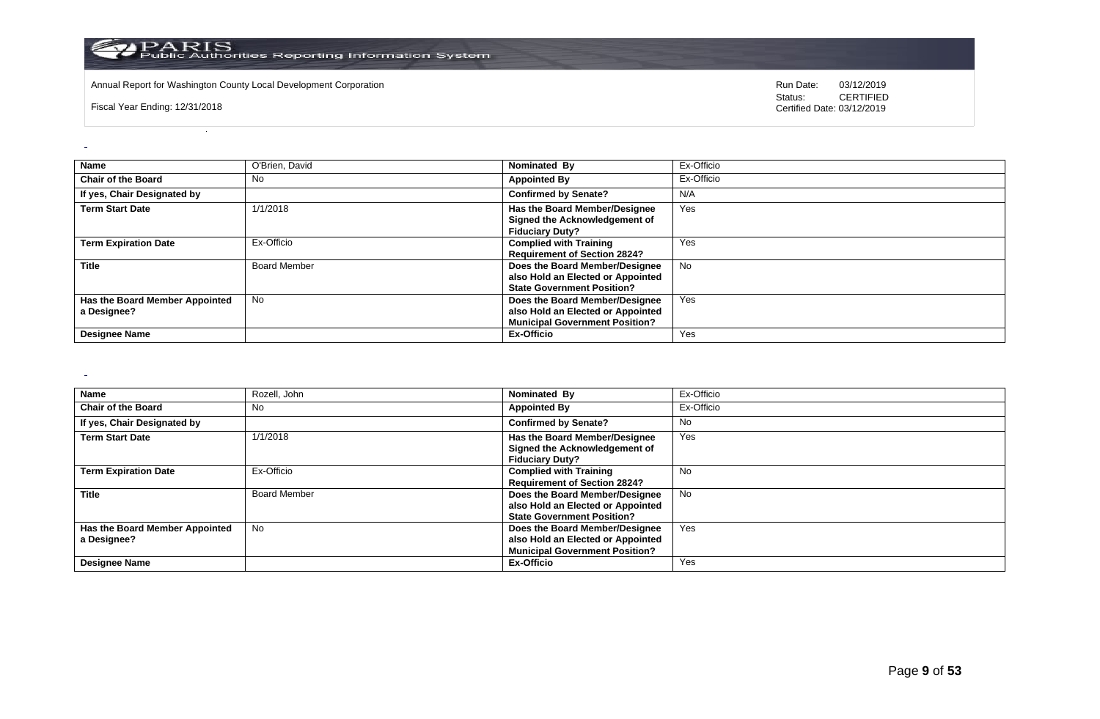

Annual Report for Washington County Local Development Corporation **Company County Constructed Annual Report for Washington County Local Development Corporation Annual Report for Washington County Local Development Corporat** 

Fiscal Year Ending: 12/31/2018

CERTIFIED Certified Date: 03/12/2019

| <b>Name</b>                                   | O'Brien, David      | Nominated By                                                                                                 | Ex-Officio |
|-----------------------------------------------|---------------------|--------------------------------------------------------------------------------------------------------------|------------|
| <b>Chair of the Board</b>                     | No                  | <b>Appointed By</b>                                                                                          | Ex-Officio |
| If yes, Chair Designated by                   |                     | <b>Confirmed by Senate?</b>                                                                                  | N/A        |
| <b>Term Start Date</b>                        | 1/1/2018            | Has the Board Member/Designee<br>Signed the Acknowledgement of<br><b>Fiduciary Duty?</b>                     | Yes        |
| <b>Term Expiration Date</b>                   | Ex-Officio          | <b>Complied with Training</b><br><b>Requirement of Section 2824?</b>                                         | Yes        |
| <b>Title</b>                                  | <b>Board Member</b> | Does the Board Member/Designee<br>also Hold an Elected or Appointed<br><b>State Government Position?</b>     | <b>No</b>  |
| Has the Board Member Appointed<br>a Designee? | <b>No</b>           | Does the Board Member/Designee<br>also Hold an Elected or Appointed<br><b>Municipal Government Position?</b> | Yes        |
| <b>Designee Name</b>                          |                     | Ex-Officio                                                                                                   | Yes        |

 $\sim$ 

| <b>Name</b>                    | Rozell, John        | Nominated By                          | Ex-Officio |
|--------------------------------|---------------------|---------------------------------------|------------|
| <b>Chair of the Board</b>      | No                  | <b>Appointed By</b>                   | Ex-Officio |
| If yes, Chair Designated by    |                     | <b>Confirmed by Senate?</b>           | No.        |
| <b>Term Start Date</b>         | 1/1/2018            | Has the Board Member/Designee         | Yes        |
|                                |                     | Signed the Acknowledgement of         |            |
|                                |                     | <b>Fiduciary Duty?</b>                |            |
| <b>Term Expiration Date</b>    | Ex-Officio          | <b>Complied with Training</b>         | No         |
|                                |                     | <b>Requirement of Section 2824?</b>   |            |
| <b>Title</b>                   | <b>Board Member</b> | Does the Board Member/Designee        | No         |
|                                |                     | also Hold an Elected or Appointed     |            |
|                                |                     | <b>State Government Position?</b>     |            |
| Has the Board Member Appointed | No                  | Does the Board Member/Designee        | Yes        |
| a Designee?                    |                     | also Hold an Elected or Appointed     |            |
|                                |                     | <b>Municipal Government Position?</b> |            |
| <b>Designee Name</b>           |                     | <b>Ex-Officio</b>                     | Yes        |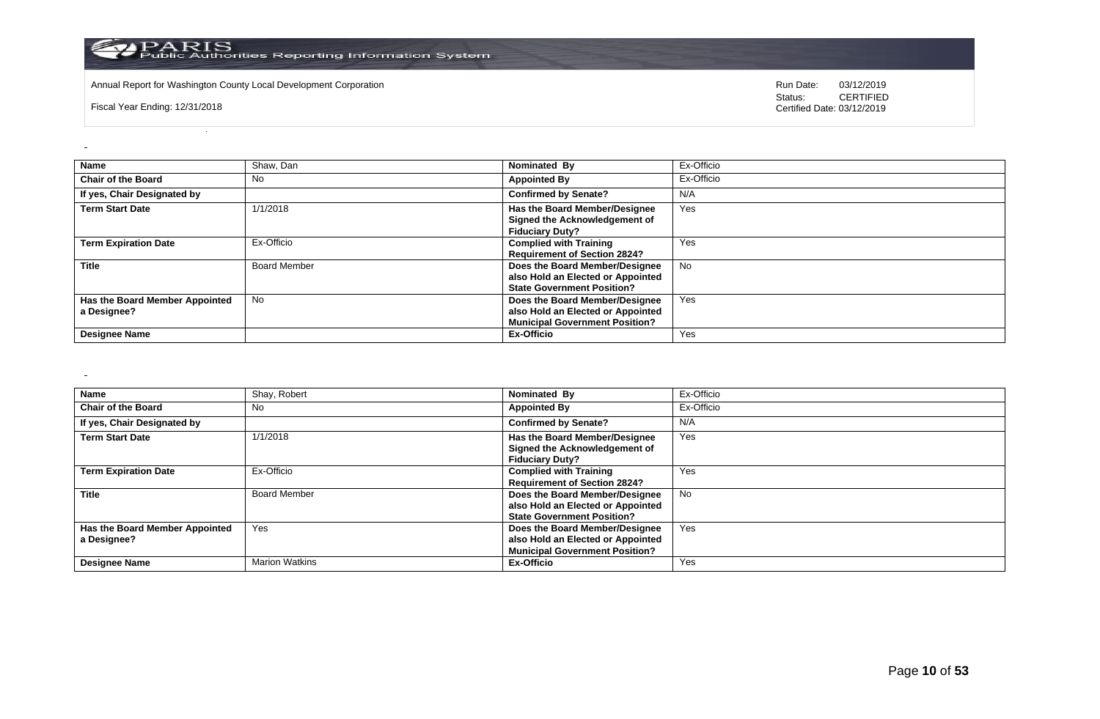

Annual Report for Washington County Local Development Corporation **Company County Constructed Annual Report for Washington County Local Development Corporation Annual Report for Washington County Local Development Corporat** 

Fiscal Year Ending: 12/31/2018

CERTIFIED Certified Date: 03/12/2019

| <b>Name</b>                                   | Shaw, Dan           | Nominated By                                                                                                 | Ex-Officio |
|-----------------------------------------------|---------------------|--------------------------------------------------------------------------------------------------------------|------------|
| <b>Chair of the Board</b>                     | No                  | <b>Appointed By</b>                                                                                          | Ex-Officio |
| If yes, Chair Designated by                   |                     | <b>Confirmed by Senate?</b>                                                                                  | N/A        |
| <b>Term Start Date</b>                        | 1/1/2018            | Has the Board Member/Designee<br>Signed the Acknowledgement of<br><b>Fiduciary Duty?</b>                     | Yes        |
| <b>Term Expiration Date</b>                   | Ex-Officio          | <b>Complied with Training</b><br><b>Requirement of Section 2824?</b>                                         | Yes        |
| <b>Title</b>                                  | <b>Board Member</b> | Does the Board Member/Designee<br>also Hold an Elected or Appointed<br><b>State Government Position?</b>     | <b>No</b>  |
| Has the Board Member Appointed<br>a Designee? | <b>No</b>           | Does the Board Member/Designee<br>also Hold an Elected or Appointed<br><b>Municipal Government Position?</b> | Yes        |
| <b>Designee Name</b>                          |                     | Ex-Officio                                                                                                   | Yes        |

 $\sim$ 

 $\overline{a}$ 

| <b>Name</b>                    | Shay, Robert          | Nominated By                                                   | Ex-Officio |
|--------------------------------|-----------------------|----------------------------------------------------------------|------------|
| <b>Chair of the Board</b>      | No                    | <b>Appointed By</b>                                            | Ex-Officio |
| If yes, Chair Designated by    |                       | <b>Confirmed by Senate?</b>                                    | N/A        |
| <b>Term Start Date</b>         | 1/1/2018              | Has the Board Member/Designee<br>Signed the Acknowledgement of | Yes        |
|                                |                       | <b>Fiduciary Duty?</b>                                         |            |
| <b>Term Expiration Date</b>    | Ex-Officio            | <b>Complied with Training</b>                                  | Yes        |
|                                |                       | <b>Requirement of Section 2824?</b>                            |            |
| <b>Title</b>                   | <b>Board Member</b>   | Does the Board Member/Designee                                 | <b>No</b>  |
|                                |                       | also Hold an Elected or Appointed                              |            |
|                                |                       | <b>State Government Position?</b>                              |            |
| Has the Board Member Appointed | Yes                   | Does the Board Member/Designee                                 | Yes        |
| a Designee?                    |                       | also Hold an Elected or Appointed                              |            |
|                                |                       | <b>Municipal Government Position?</b>                          |            |
| <b>Designee Name</b>           | <b>Marion Watkins</b> | Ex-Officio                                                     | Yes        |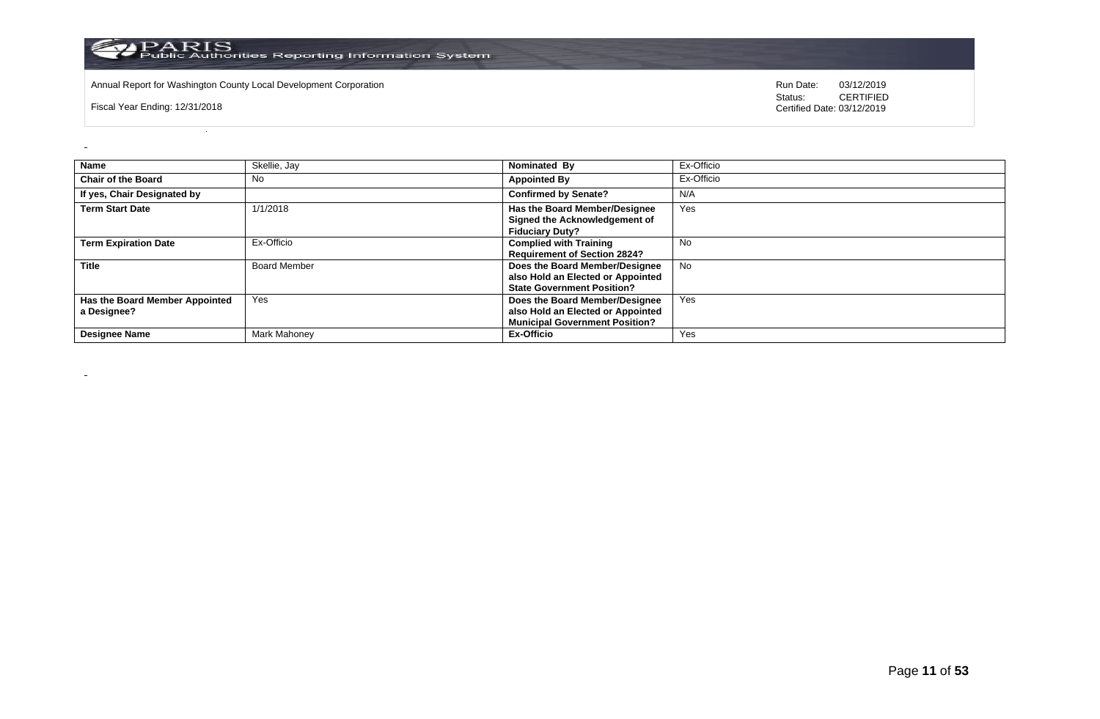

Annual Report for Washington County Local Development Corporation **Company County Constructed Annual Report for Washington County Local Development Corporation Annual Report for Washington County Local Development Corporat** 

Fiscal Year Ending: 12/31/2018

 $\omega$ 

 $\sim$ 

| Name                                          | Skellie, Jay        | Nominated By                                                                                                 | Ex-Officio |
|-----------------------------------------------|---------------------|--------------------------------------------------------------------------------------------------------------|------------|
| <b>Chair of the Board</b>                     | No                  | <b>Appointed By</b>                                                                                          | Ex-Officio |
| If yes, Chair Designated by                   |                     | <b>Confirmed by Senate?</b>                                                                                  | N/A        |
| <b>Term Start Date</b>                        | 1/1/2018            | <b>Has the Board Member/Designee</b><br>Signed the Acknowledgement of<br><b>Fiduciary Duty?</b>              | Yes        |
| <b>Term Expiration Date</b>                   | Ex-Officio          | <b>Complied with Training</b><br><b>Requirement of Section 2824?</b>                                         | No         |
| <b>Title</b>                                  | <b>Board Member</b> | Does the Board Member/Designee<br>also Hold an Elected or Appointed<br><b>State Government Position?</b>     | <b>No</b>  |
| Has the Board Member Appointed<br>a Designee? | Yes                 | Does the Board Member/Designee<br>also Hold an Elected or Appointed<br><b>Municipal Government Position?</b> | Yes        |
| <b>Designee Name</b>                          | Mark Mahoney        | Ex-Officio                                                                                                   | Yes        |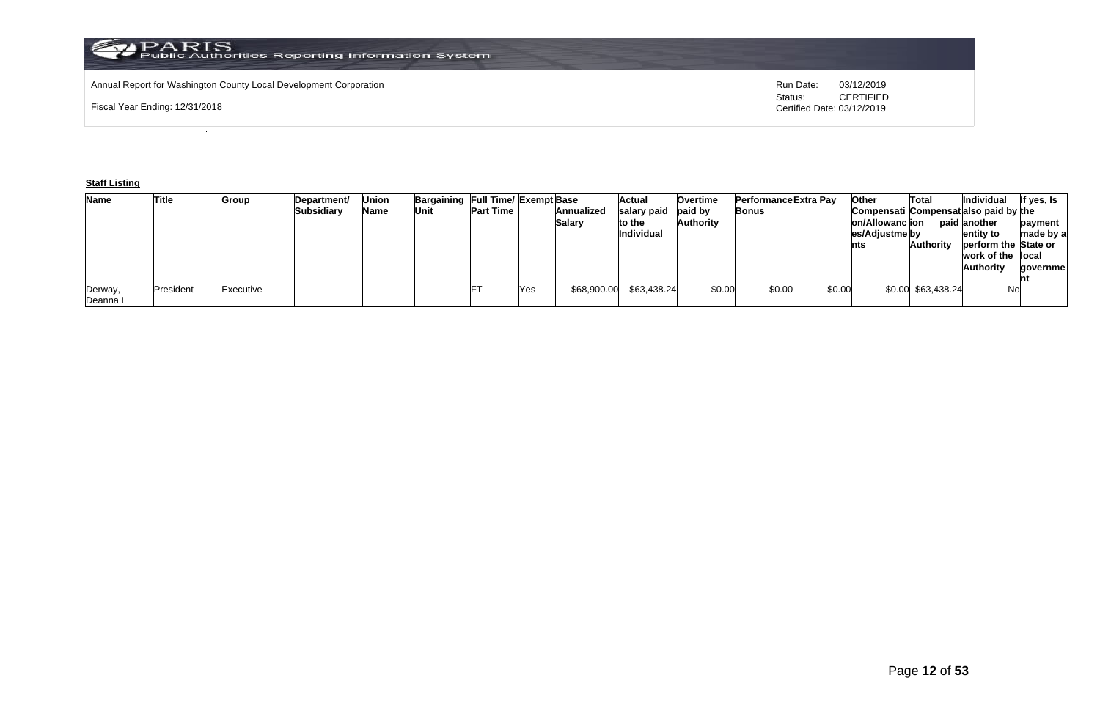# Annual Report for Washington County Local Development Corporation **Computer Computer Computer Computer Computer**<br>
Status: CERTIFIED

Fiscal Year Ending: 12/31/2018

CERTIFIED Certified Date: 03/12/2019

## **Staff Listing**

| <b>Name</b> | <b>Title</b> | Group     | Department/ | Union | Bargaining Full Time/ Exempt Base |                  |     |               | Actual      | <b>Overtime</b> | Performance Extra Pay |        | <b>Other</b>                          | Total              | Individual           | lf yes, Is |
|-------------|--------------|-----------|-------------|-------|-----------------------------------|------------------|-----|---------------|-------------|-----------------|-----------------------|--------|---------------------------------------|--------------------|----------------------|------------|
|             |              |           | Subsidiary  | Name  | Unit                              | <b>Part Time</b> |     | Annualized    | salary paid | paid by         | Bonus                 |        | Compensati Compensat also paid by the |                    |                      |            |
|             |              |           |             |       |                                   |                  |     | <b>Salary</b> | to the      | Authority       |                       |        | on/Allowanc ion                       |                    | paid another         | payment    |
|             |              |           |             |       |                                   |                  |     |               | Individual  |                 |                       |        | es/Adjustme by                        |                    | entity to            | made by a  |
|             |              |           |             |       |                                   |                  |     |               |             |                 |                       |        | nts                                   | <b>Authority</b>   | perform the State or |            |
|             |              |           |             |       |                                   |                  |     |               |             |                 |                       |        |                                       |                    | work of the local    |            |
|             |              |           |             |       |                                   |                  |     |               |             |                 |                       |        |                                       |                    | <b>Authority</b>     | qovernmel  |
|             |              |           |             |       |                                   |                  |     |               |             |                 |                       |        |                                       |                    |                      |            |
| Derway,     | President    | Executive |             |       |                                   |                  | Yes | \$68,900.00   | \$63,438.24 | \$0.00          | \$0.00                | \$0.00 |                                       | \$0.00 \$63,438.24 | No                   |            |
| Deanna L    |              |           |             |       |                                   |                  |     |               |             |                 |                       |        |                                       |                    |                      |            |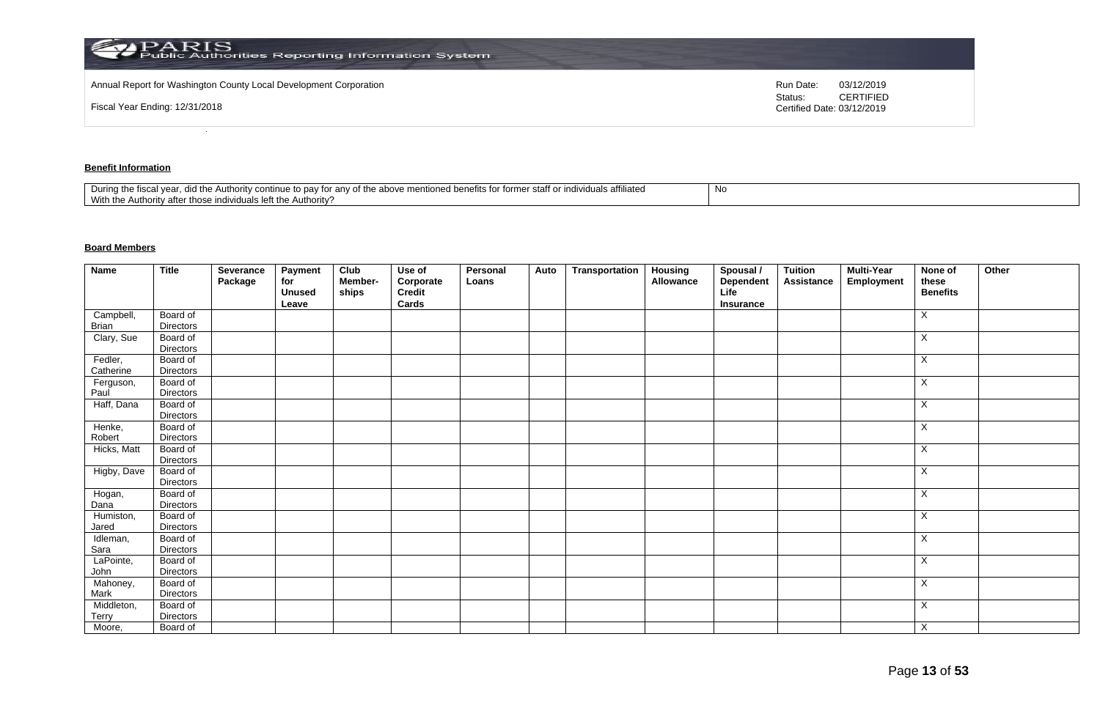| <b>PARIS</b><br>Public Authorities Reporting Information System   |                                       |                  |
|-------------------------------------------------------------------|---------------------------------------|------------------|
| Annual Report for Washington County Local Development Corporation | Run Date:                             | 03/12/2019       |
| Fiscal Year Ending: 12/31/2018                                    | Status:<br>Certified Date: 03/12/2019 | <b>CERTIFIED</b> |

# **Benefit Information**

| -N Ic<br>າ mentioned benefits for former staff or individuals affiliated<br>d the Authority continue to<br>e to pav for any of the above men<br>During the fiscal vear.<br>With the Authority after those individuals left the Authority? |  |
|-------------------------------------------------------------------------------------------------------------------------------------------------------------------------------------------------------------------------------------------|--|
|-------------------------------------------------------------------------------------------------------------------------------------------------------------------------------------------------------------------------------------------|--|

# **Board Members**

| <b>Name</b> | <b>Title</b>                 | Severance<br>Package | Payment<br>for<br><b>Unused</b><br>Leave | Club<br>Member-<br>ships | Use of<br>Corporate<br>Credit<br>Cards | Personal<br>Loans | Auto | Transportation | Housing<br>Allowance | Spousal /<br><b>Dependent</b><br>Life<br>Insurance | Tuition<br><b>Assistance</b> | <b>Multi-Year</b><br>Employment | None of<br>these<br><b>Benefits</b> | Other |
|-------------|------------------------------|----------------------|------------------------------------------|--------------------------|----------------------------------------|-------------------|------|----------------|----------------------|----------------------------------------------------|------------------------------|---------------------------------|-------------------------------------|-------|
| Campbell,   | Board of                     |                      |                                          |                          |                                        |                   |      |                |                      |                                                    |                              |                                 | Χ                                   |       |
| Brian       | <b>Directors</b>             |                      |                                          |                          |                                        |                   |      |                |                      |                                                    |                              |                                 |                                     |       |
| Clary, Sue  | Board of                     |                      |                                          |                          |                                        |                   |      |                |                      |                                                    |                              |                                 | X                                   |       |
|             | <b>Directors</b>             |                      |                                          |                          |                                        |                   |      |                |                      |                                                    |                              |                                 |                                     |       |
| Fedler,     | Board of                     |                      |                                          |                          |                                        |                   |      |                |                      |                                                    |                              |                                 | X                                   |       |
| Catherine   | <b>Directors</b>             |                      |                                          |                          |                                        |                   |      |                |                      |                                                    |                              |                                 |                                     |       |
| Ferguson,   | Board of                     |                      |                                          |                          |                                        |                   |      |                |                      |                                                    |                              |                                 | X                                   |       |
| Paul        | <b>Directors</b>             |                      |                                          |                          |                                        |                   |      |                |                      |                                                    |                              |                                 |                                     |       |
| Haff, Dana  | Board of<br><b>Directors</b> |                      |                                          |                          |                                        |                   |      |                |                      |                                                    |                              |                                 | X                                   |       |
| Henke,      | Board of                     |                      |                                          |                          |                                        |                   |      |                |                      |                                                    |                              |                                 | X                                   |       |
| Robert      | <b>Directors</b>             |                      |                                          |                          |                                        |                   |      |                |                      |                                                    |                              |                                 |                                     |       |
| Hicks, Matt | Board of                     |                      |                                          |                          |                                        |                   |      |                |                      |                                                    |                              |                                 | X                                   |       |
|             | <b>Directors</b>             |                      |                                          |                          |                                        |                   |      |                |                      |                                                    |                              |                                 |                                     |       |
| Higby, Dave | Board of<br><b>Directors</b> |                      |                                          |                          |                                        |                   |      |                |                      |                                                    |                              |                                 | X                                   |       |
| Hogan,      | Board of                     |                      |                                          |                          |                                        |                   |      |                |                      |                                                    |                              |                                 | X                                   |       |
| Dana        | Directors                    |                      |                                          |                          |                                        |                   |      |                |                      |                                                    |                              |                                 |                                     |       |
| Humiston,   | Board of                     |                      |                                          |                          |                                        |                   |      |                |                      |                                                    |                              |                                 | X                                   |       |
| Jared       | Directors                    |                      |                                          |                          |                                        |                   |      |                |                      |                                                    |                              |                                 |                                     |       |
| Idleman,    | Board of                     |                      |                                          |                          |                                        |                   |      |                |                      |                                                    |                              |                                 | X                                   |       |
| Sara        | Directors                    |                      |                                          |                          |                                        |                   |      |                |                      |                                                    |                              |                                 |                                     |       |
| LaPointe,   | Board of                     |                      |                                          |                          |                                        |                   |      |                |                      |                                                    |                              |                                 | X                                   |       |
| John        | Directors                    |                      |                                          |                          |                                        |                   |      |                |                      |                                                    |                              |                                 |                                     |       |
| Mahoney,    | Board of                     |                      |                                          |                          |                                        |                   |      |                |                      |                                                    |                              |                                 | X                                   |       |
| Mark        | <b>Directors</b>             |                      |                                          |                          |                                        |                   |      |                |                      |                                                    |                              |                                 |                                     |       |
| Middleton,  | Board of                     |                      |                                          |                          |                                        |                   |      |                |                      |                                                    |                              |                                 | X                                   |       |
| Terry       | <b>Directors</b>             |                      |                                          |                          |                                        |                   |      |                |                      |                                                    |                              |                                 |                                     |       |
| Moore,      | Board of                     |                      |                                          |                          |                                        |                   |      |                |                      |                                                    |                              |                                 | $\times$                            |       |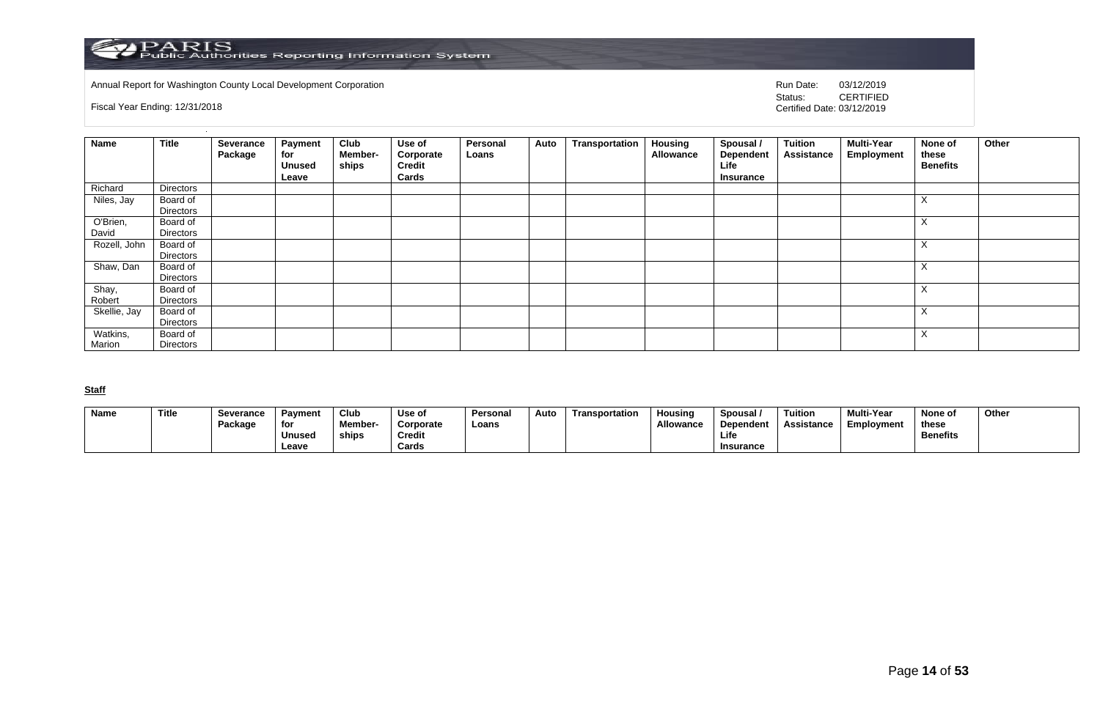

Annual Report for Washington County Local Development Corporation **Company County Constructed Annual Report for Washington County Local Development Corporation Annual Report for Washington County Local Development Corporat** 

Fiscal Year Ending: 12/31/2018

CERTIFIED Certified Date: 03/12/2019

| <b>Name</b>        | <b>Title</b>          | Severance<br>Package | Payment<br>for<br><b>Unused</b><br>Leave | Club<br>Member-<br>ships | Use of<br>Corporate<br>Credit<br>Cards | Personal<br>Loans | Auto | Transportation | <b>Housing</b><br>Allowance | Spousal /<br><b>Dependent</b><br>Life<br><b>Insurance</b> | Tuition<br><b>Assistance</b> | <b>Multi-Year</b><br><b>Employment</b> | None of<br>these<br><b>Benefits</b> | Other |
|--------------------|-----------------------|----------------------|------------------------------------------|--------------------------|----------------------------------------|-------------------|------|----------------|-----------------------------|-----------------------------------------------------------|------------------------------|----------------------------------------|-------------------------------------|-------|
| Richard            | Directors             |                      |                                          |                          |                                        |                   |      |                |                             |                                                           |                              |                                        |                                     |       |
| Niles, Jay         | Board of<br>Directors |                      |                                          |                          |                                        |                   |      |                |                             |                                                           |                              |                                        | $\Lambda$                           |       |
| O'Brien,<br>David  | Board of<br>Directors |                      |                                          |                          |                                        |                   |      |                |                             |                                                           |                              |                                        | $\lambda$                           |       |
| Rozell, John       | Board of<br>Directors |                      |                                          |                          |                                        |                   |      |                |                             |                                                           |                              |                                        | $\checkmark$<br>$\sim$              |       |
| Shaw, Dan          | Board of<br>Directors |                      |                                          |                          |                                        |                   |      |                |                             |                                                           |                              |                                        | $\lambda$                           |       |
| Shay,<br>Robert    | Board of<br>Directors |                      |                                          |                          |                                        |                   |      |                |                             |                                                           |                              |                                        | $\checkmark$<br>$\Lambda$           |       |
| Skellie, Jay       | Board of<br>Directors |                      |                                          |                          |                                        |                   |      |                |                             |                                                           |                              |                                        | ⋏                                   |       |
| Watkins,<br>Marion | Board of<br>Directors |                      |                                          |                          |                                        |                   |      |                |                             |                                                           |                              |                                        | $\checkmark$<br>$\lambda$           |       |

**Staff**

| <b>Name</b> | Title | Severance | Pavment       | Club          | Use of    | Persona | Auto | Transportation | Housina          | Spousal          | Tuition    | <b>Multi-Year</b> | None of         | Other |
|-------------|-------|-----------|---------------|---------------|-----------|---------|------|----------------|------------------|------------------|------------|-------------------|-----------------|-------|
|             |       | Package   | for           | <b>Member</b> | Corporate | Loans   |      |                | <b>Allowance</b> | Dependent        | Assistance | Employment        | these           |       |
|             |       |           | <b>Unused</b> | ships         | Credit    |         |      |                |                  | Life             |            |                   | <b>Benefits</b> |       |
|             |       |           | Leave         |               | Cards     |         |      |                |                  | <b>Insurance</b> |            |                   |                 |       |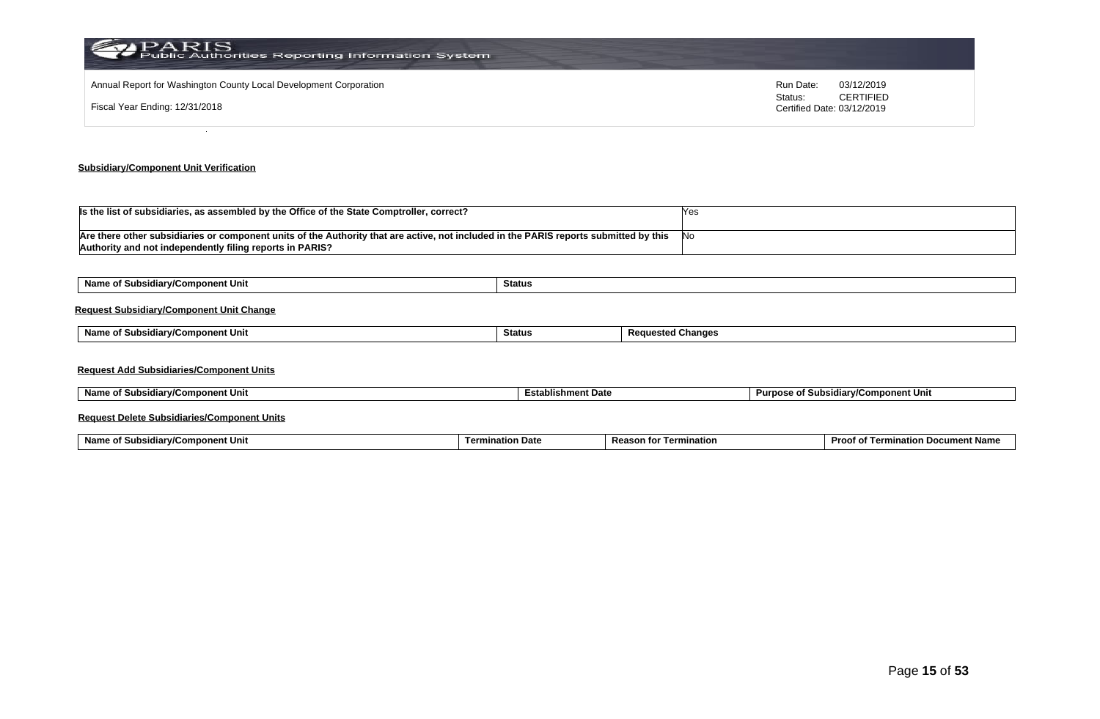| PARIS<br>Public Authorities Reporting Information System                                            |                                                                                      |
|-----------------------------------------------------------------------------------------------------|--------------------------------------------------------------------------------------|
| Annual Report for Washington County Local Development Corporation<br>Fiscal Year Ending: 12/31/2018 | Run Date:<br>03/12/2019<br><b>CERTIFIED</b><br>Status:<br>Certified Date: 03/12/2019 |
|                                                                                                     |                                                                                      |

# **Subsidiary/Component Unit Verification**

| Is the list of subsidiaries, as assembled by the Office of the State Comptroller, correct?                                            |      |
|---------------------------------------------------------------------------------------------------------------------------------------|------|
|                                                                                                                                       |      |
| Are there other subsidiaries or component units of the Authority that are active, not included in the PARIS reports submitted by this | .INC |
| Authority and not independently filing reports in PARIS?                                                                              |      |

| Name of Subsidiary/Component Unit               | Status        |                          |
|-------------------------------------------------|---------------|--------------------------|
| <b>Request Subsidiary/Component Unit Change</b> |               |                          |
| Name of Subsidiary/Component Unit               | <b>Status</b> | <b>Requested Changes</b> |
| <b>Request Add Subsidiaries/Component Units</b> |               |                          |

| Name of Subsidiary/Component Unit | <b>Establishment Date</b> | Purpose of Subsidiary/Component Unit |
|-----------------------------------|---------------------------|--------------------------------------|
|-----------------------------------|---------------------------|--------------------------------------|

# **Request Delete Subsidiaries/Component Units**

| Name o<br>omponent Unit<br>-<br><b>∍idiar</b> w‴<br><b>SUDSK</b> | tion Date<br>Termi | Reaso<br>mination<br>τοι | Proc.<br>. Docur<br>າent Name<br>natioi.<br>$\overline{a}$<br>ന |
|------------------------------------------------------------------|--------------------|--------------------------|-----------------------------------------------------------------|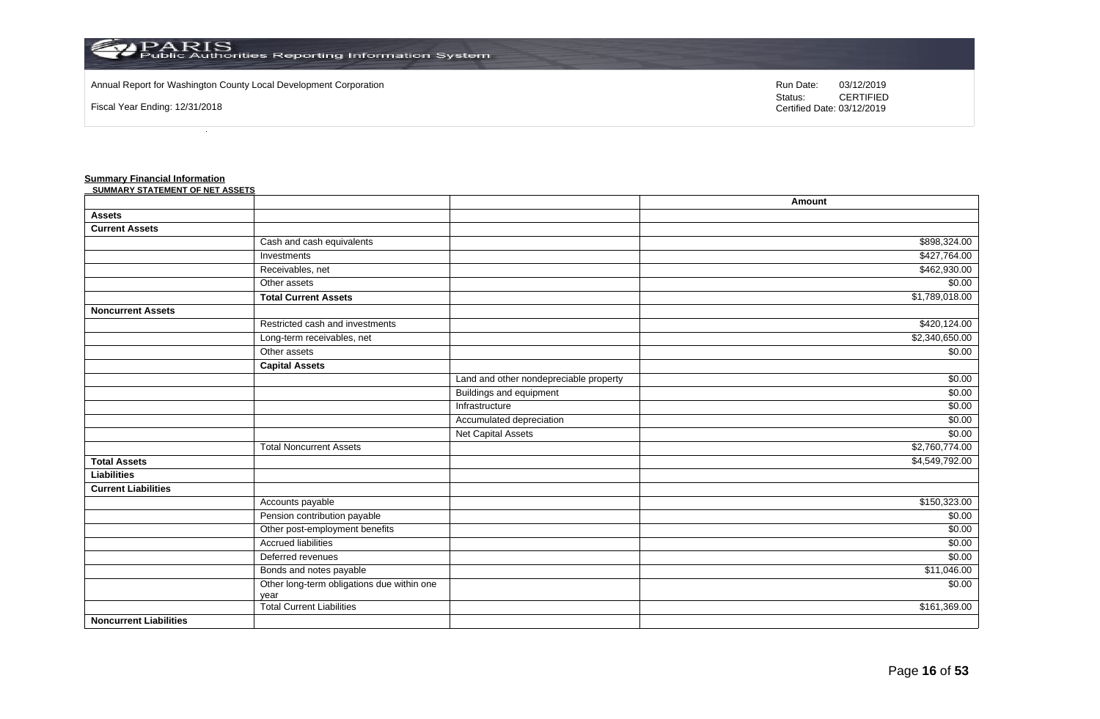

Other long-term obligations due within one

year

#### Annual Report for Washington County Local Development Corporation Run Date: 03/12/2019 Run Date: 03/12/2019

Fiscal Year Ending: 12/31/2018

Status: **CERTIFIED** Certified Date: 03/12/2019

#### **Summary Financial Information SUMM**

**Noncurrent Liabilities**

| SUMMARY STATEMENT OF NET ASSETS |                                 |                                        |                |
|---------------------------------|---------------------------------|----------------------------------------|----------------|
|                                 |                                 |                                        | Amount         |
| <b>Assets</b>                   |                                 |                                        |                |
| <b>Current Assets</b>           |                                 |                                        |                |
|                                 | Cash and cash equivalents       |                                        | \$898,324.00   |
|                                 | Investments                     |                                        | \$427,764.00   |
|                                 | Receivables, net                |                                        | \$462,930.00   |
|                                 | Other assets                    |                                        | \$0.00         |
|                                 | <b>Total Current Assets</b>     |                                        | \$1,789,018.00 |
| <b>Noncurrent Assets</b>        |                                 |                                        |                |
|                                 | Restricted cash and investments |                                        | \$420,124.00   |
|                                 | Long-term receivables, net      |                                        | \$2,340,650.00 |
|                                 | Other assets                    |                                        | \$0.00         |
|                                 | <b>Capital Assets</b>           |                                        |                |
|                                 |                                 | Land and other nondepreciable property | \$0.00         |
|                                 |                                 | <b>Buildings and equipment</b>         | \$0.00         |
|                                 |                                 | Infrastructure                         | \$0.00         |
|                                 |                                 | Accumulated depreciation               | \$0.00         |
|                                 |                                 | Net Capital Assets                     | \$0.00         |
|                                 | <b>Total Noncurrent Assets</b>  |                                        | \$2,760,774.00 |
| <b>Total Assets</b>             |                                 |                                        | \$4,549,792.00 |
| Liabilities                     |                                 |                                        |                |
| <b>Current Liabilities</b>      |                                 |                                        |                |
|                                 | Accounts payable                |                                        | \$150,323.00   |
|                                 | Pension contribution payable    |                                        | \$0.00         |
|                                 | Other post-employment benefits  |                                        | \$0.00         |
|                                 | <b>Accrued liabilities</b>      |                                        | \$0.00         |

Deferred revenues \$0.00 Bonds and notes payable \$11,046.00

Total Current Liabilities \$161,369.00

\$0.00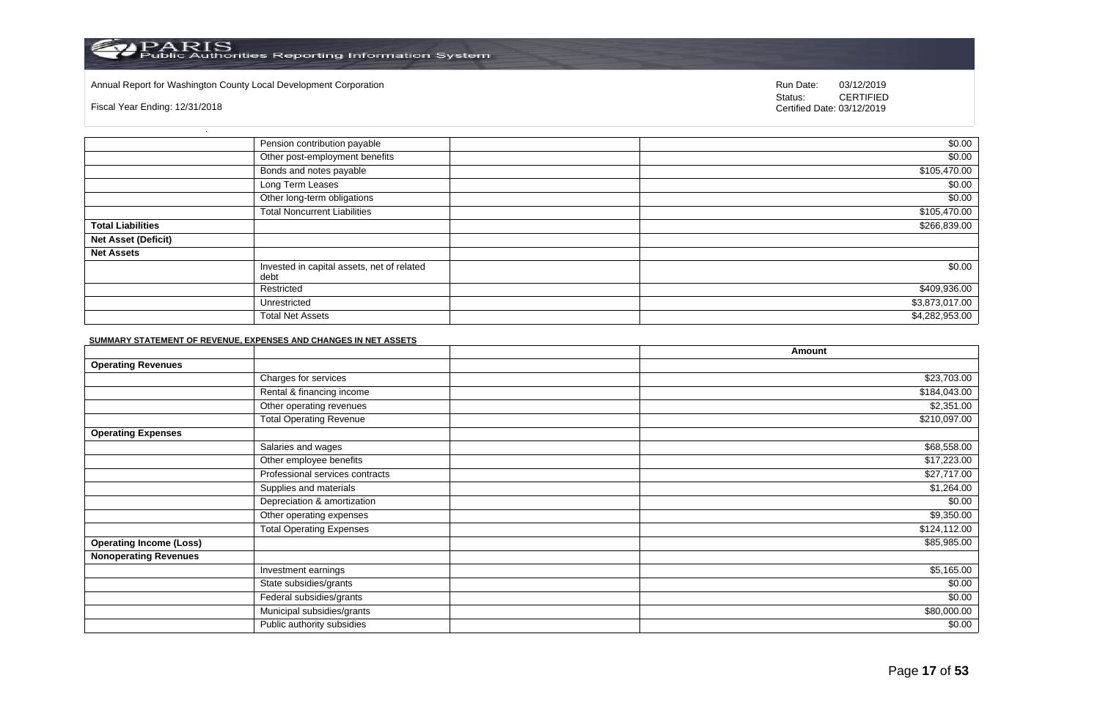#### Annual Report for Washington County Local Development Corporation Run Date: 03/12/2019 Run Date: 03/12/2019

Fiscal Year Ending: 12/31/2018

Status: **CERTIFIED** Certified Date: 03/12/2019

|                            | Pension contribution payable                       | \$0.00         |
|----------------------------|----------------------------------------------------|----------------|
|                            | Other post-employment benefits                     | \$0.00         |
|                            | Bonds and notes payable                            | \$105,470.00   |
|                            | Long Term Leases                                   | \$0.00         |
|                            | Other long-term obligations                        | \$0.00         |
|                            | <b>Total Noncurrent Liabilities</b>                | \$105,470.00   |
| <b>Total Liabilities</b>   |                                                    | \$266,839.00   |
| <b>Net Asset (Deficit)</b> |                                                    |                |
| <b>Net Assets</b>          |                                                    |                |
|                            | Invested in capital assets, net of related<br>debt | \$0.00         |
|                            | Restricted                                         | \$409,936.00   |
|                            | Unrestricted                                       | \$3,873,017.00 |
|                            | <b>Total Net Assets</b>                            | \$4,282,953.00 |

#### **SUMMARY STATEMENT OF REVENUE, EXPENSES AND CHANGES IN NET ASSETS**

|                                |                                 | Amount       |
|--------------------------------|---------------------------------|--------------|
| <b>Operating Revenues</b>      |                                 |              |
|                                | Charges for services            | \$23,703.00  |
|                                | Rental & financing income       | \$184,043.00 |
|                                | Other operating revenues        | \$2,351.00   |
|                                | <b>Total Operating Revenue</b>  | \$210,097.00 |
| <b>Operating Expenses</b>      |                                 |              |
|                                | Salaries and wages              | \$68,558.00  |
|                                | Other employee benefits         | \$17,223.00  |
|                                | Professional services contracts | \$27,717.00  |
|                                | Supplies and materials          | \$1,264.00   |
|                                | Depreciation & amortization     | \$0.00       |
|                                | Other operating expenses        | \$9,350.00   |
|                                | <b>Total Operating Expenses</b> | \$124,112.00 |
| <b>Operating Income (Loss)</b> |                                 | \$85,985.00  |
| <b>Nonoperating Revenues</b>   |                                 |              |
|                                | Investment earnings             | \$5,165.00   |
|                                | State subsidies/grants          | \$0.00       |
|                                | Federal subsidies/grants        | \$0.00       |
|                                | Municipal subsidies/grants      | \$80,000.00  |
|                                | Public authority subsidies      | \$0.00       |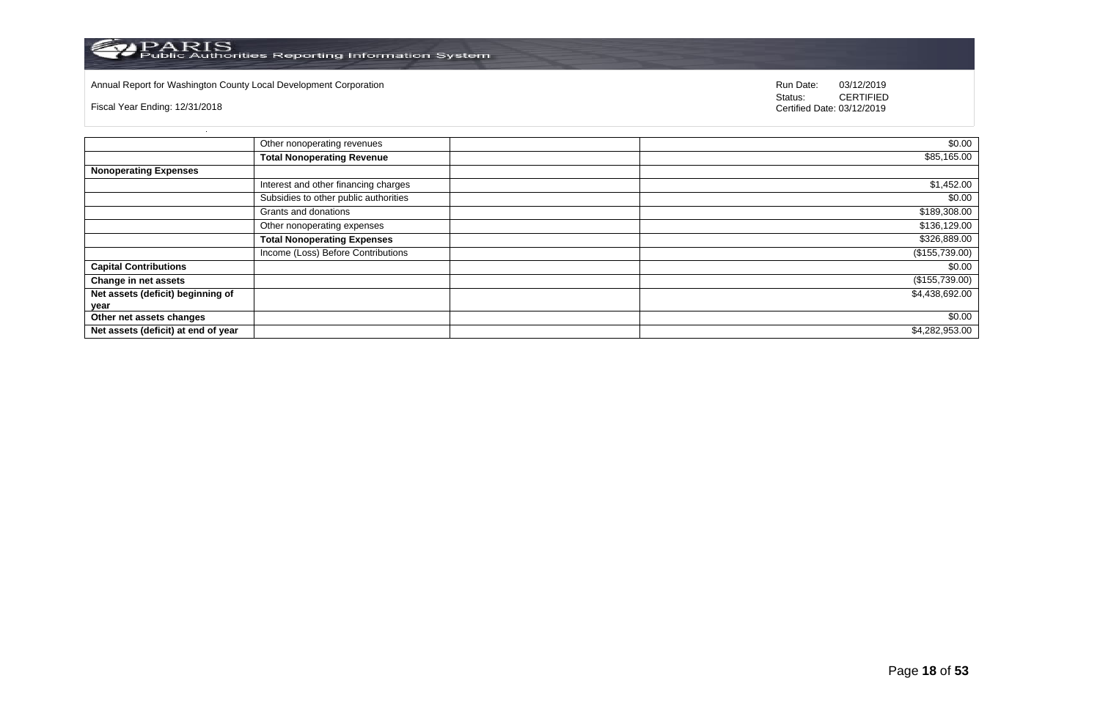

# Annual Report for Washington County Local Development Corporation **Company County Connect Connect Connect Connect**<br>
Status: CERTIFIED

Fiscal Year Ending: 12/31/2018

|                                     | Other nonoperating revenues           | $\sqrt{$0.00}$   |
|-------------------------------------|---------------------------------------|------------------|
|                                     | <b>Total Nonoperating Revenue</b>     | \$85,165.00      |
| <b>Nonoperating Expenses</b>        |                                       |                  |
|                                     | Interest and other financing charges  | \$1,452.00       |
|                                     | Subsidies to other public authorities | \$0.00           |
|                                     | Grants and donations                  | \$189,308.00     |
|                                     | Other nonoperating expenses           | \$136,129.00     |
|                                     | <b>Total Nonoperating Expenses</b>    | \$326,889.00     |
|                                     | Income (Loss) Before Contributions    | (\$155,739.00)   |
| <b>Capital Contributions</b>        |                                       | \$0.00           |
| Change in net assets                |                                       | $(\$155,739.00)$ |
| Net assets (deficit) beginning of   |                                       | \$4,438,692.00   |
| year                                |                                       |                  |
| Other net assets changes            |                                       | \$0.00           |
| Net assets (deficit) at end of year |                                       | \$4,282,953.00   |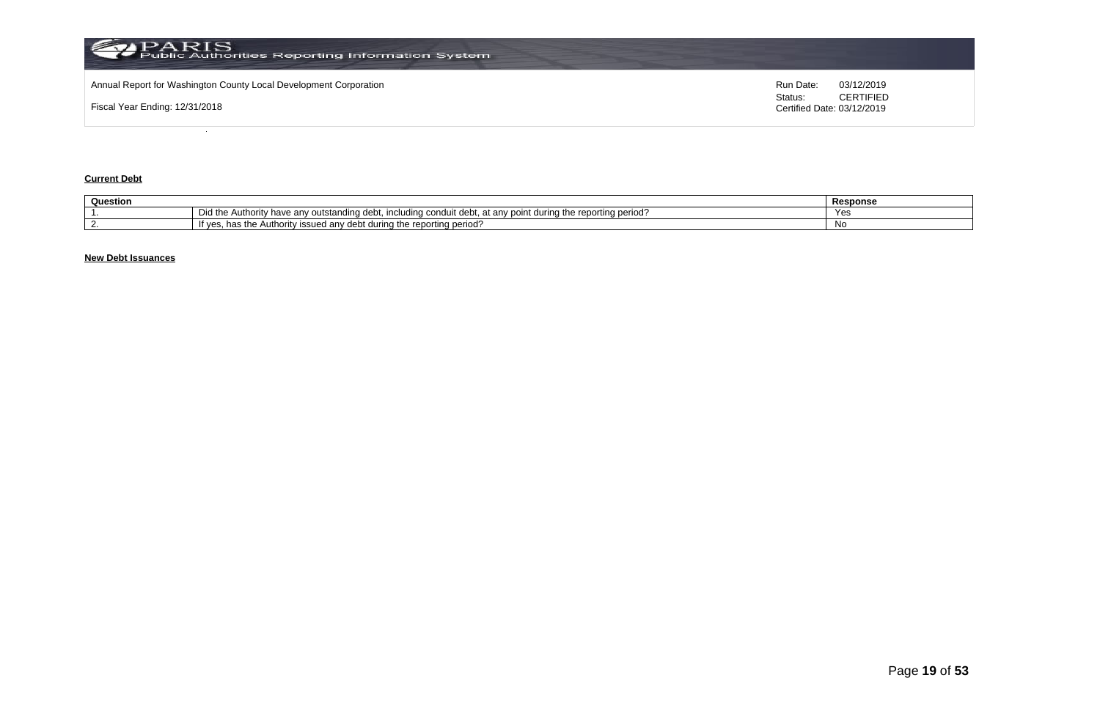

### **Current Debt**

| Question |                                                                                                                                                | Response |
|----------|------------------------------------------------------------------------------------------------------------------------------------------------|----------|
|          | Did the<br>Authority<br>i the reporting period'<br>i durina tr<br>v have anv outstanding debt. i<br>including condui<br>at any point<br>. uebr | Yes      |
|          | : reportina period'<br>during the<br>∵issued anv debt.<br>Autr<br>ority<br>"T Ves.<br>1163 US                                                  | Νo       |

# **New Debt Issuances**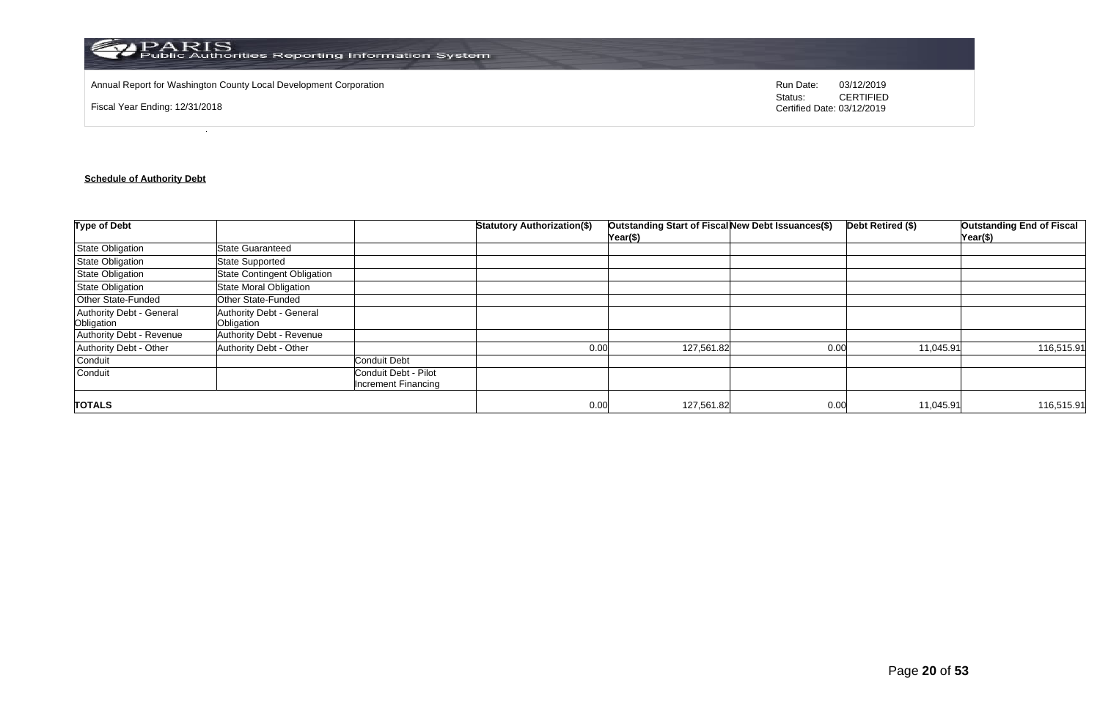

Annual Report for Washington County Local Development Corporation **Run Date:** 03/12/2019 Run Date: 03/12/2019

Fiscal Year Ending: 12/31/2018

Status: **CERTIFIED** Certified Date: 03/12/2019

# **Schedule of Authority Debt**

| <b>Type of Debt</b>                    |                                        |                                                    | <b>Statutory Authorization(\$)</b> | Outstanding Start of Fiscal New Debt Issuances(\$)<br>Year(\$) |      | Debt Retired (\$) | <b>Outstanding End of Fiscal</b><br>Year(\$) |
|----------------------------------------|----------------------------------------|----------------------------------------------------|------------------------------------|----------------------------------------------------------------|------|-------------------|----------------------------------------------|
| <b>State Obligation</b>                | <b>State Guaranteed</b>                |                                                    |                                    |                                                                |      |                   |                                              |
| State Obligation                       | <b>State Supported</b>                 |                                                    |                                    |                                                                |      |                   |                                              |
| <b>State Obligation</b>                | <b>State Contingent Obligation</b>     |                                                    |                                    |                                                                |      |                   |                                              |
| State Obligation                       | State Moral Obligation                 |                                                    |                                    |                                                                |      |                   |                                              |
| Other State-Funded                     | Other State-Funded                     |                                                    |                                    |                                                                |      |                   |                                              |
| Authority Debt - General<br>Obligation | Authority Debt - General<br>Obligation |                                                    |                                    |                                                                |      |                   |                                              |
| Authority Debt - Revenue               | Authority Debt - Revenue               |                                                    |                                    |                                                                |      |                   |                                              |
| Authority Debt - Other                 | Authority Debt - Other                 |                                                    | 0.00                               | 127,561.82                                                     | 0.00 | 11,045.91         | 116,515.91                                   |
| Conduit                                |                                        | <b>Conduit Debt</b>                                |                                    |                                                                |      |                   |                                              |
| Conduit                                |                                        | Conduit Debt - Pilot<br><b>Increment Financing</b> |                                    |                                                                |      |                   |                                              |
| <b>TOTALS</b>                          |                                        |                                                    | 0.00                               | 127,561.82                                                     | 0.00 | 11,045.91         | 116,515.91                                   |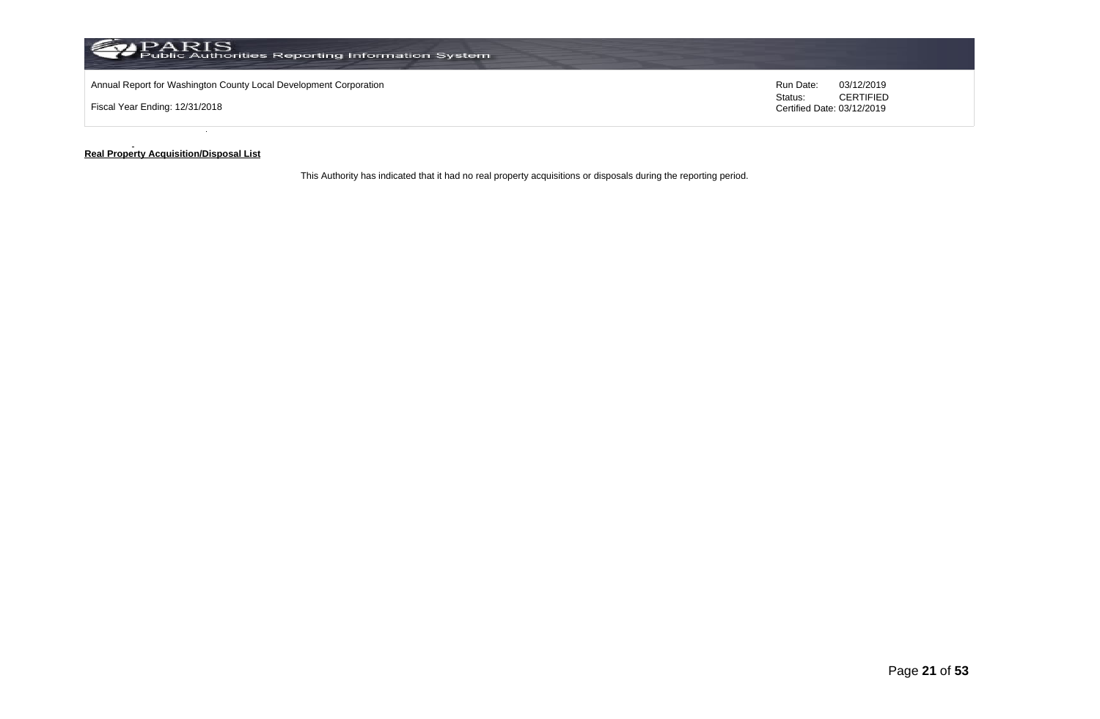

#### **Real Property Acquisition/Disposal List**

This Authority has indicated that it had no real property acquisitions or disposals during the reporting period.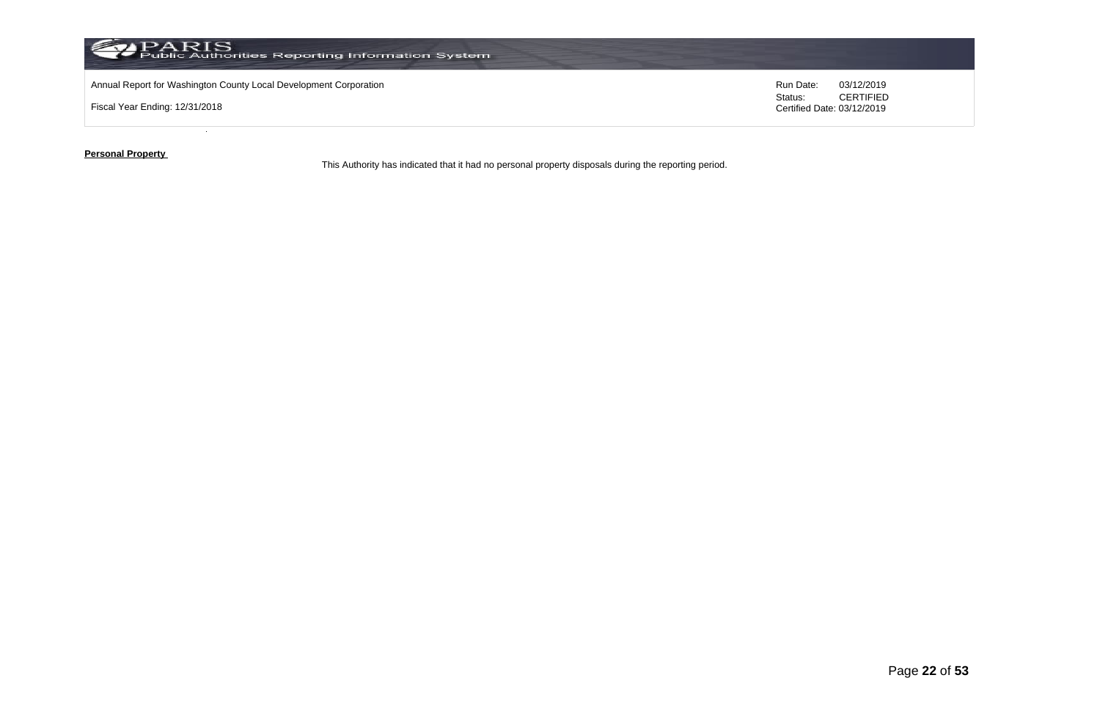

**Personal Property** 

This Authority has indicated that it had no personal property disposals during the reporting period.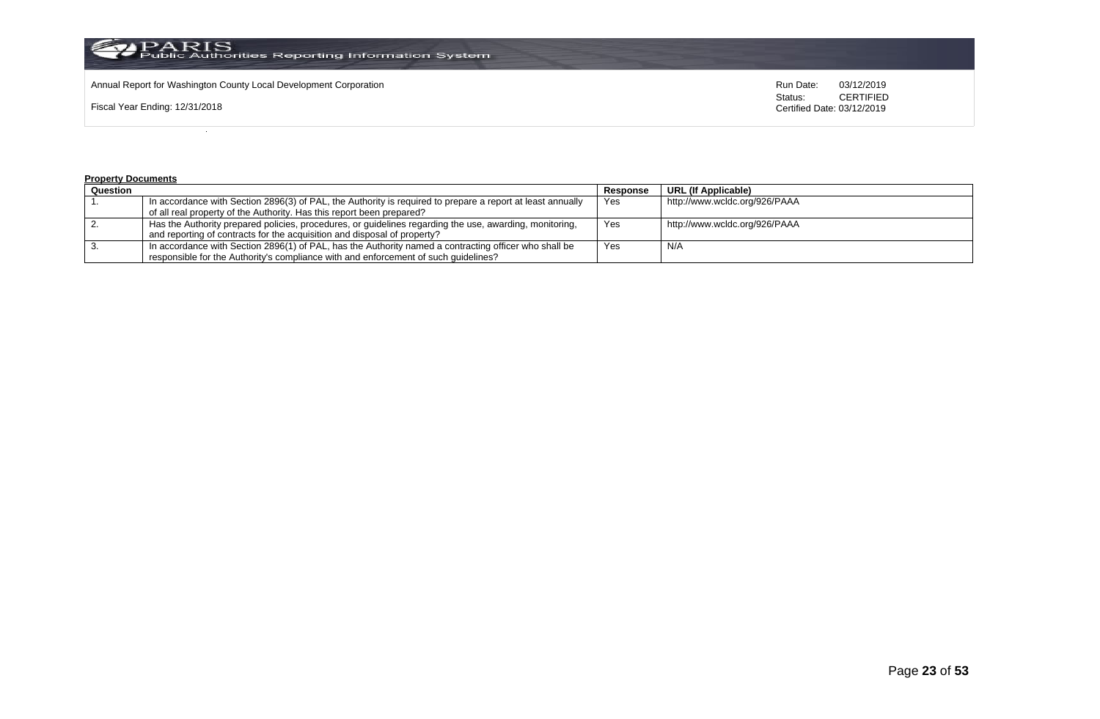

Annual Report for Washington County Local Development Corporation **Computer Computer Computer Computer Computer**<br>
Status: CERTIFIED

Fiscal Year Ending: 12/31/2018

CERTIFIED Certified Date: 03/12/2019

#### **Property Documents**

| Question |                                                                                                            | Response | URL (If Applicable)           |
|----------|------------------------------------------------------------------------------------------------------------|----------|-------------------------------|
|          | In accordance with Section 2896(3) of PAL, the Authority is required to prepare a report at least annually | Yes      | http://www.wcldc.org/926/PAAA |
|          | of all real property of the Authority. Has this report been prepared?                                      |          |                               |
|          | Has the Authority prepared policies, procedures, or guidelines regarding the use, awarding, monitoring,    | Yes      | http://www.wcldc.org/926/PAAA |
|          | and reporting of contracts for the acquisition and disposal of property?                                   |          |                               |
|          | In accordance with Section 2896(1) of PAL, has the Authority named a contracting officer who shall be      | Yes      | N/A                           |
|          | responsible for the Authority's compliance with and enforcement of such quidelines?                        |          |                               |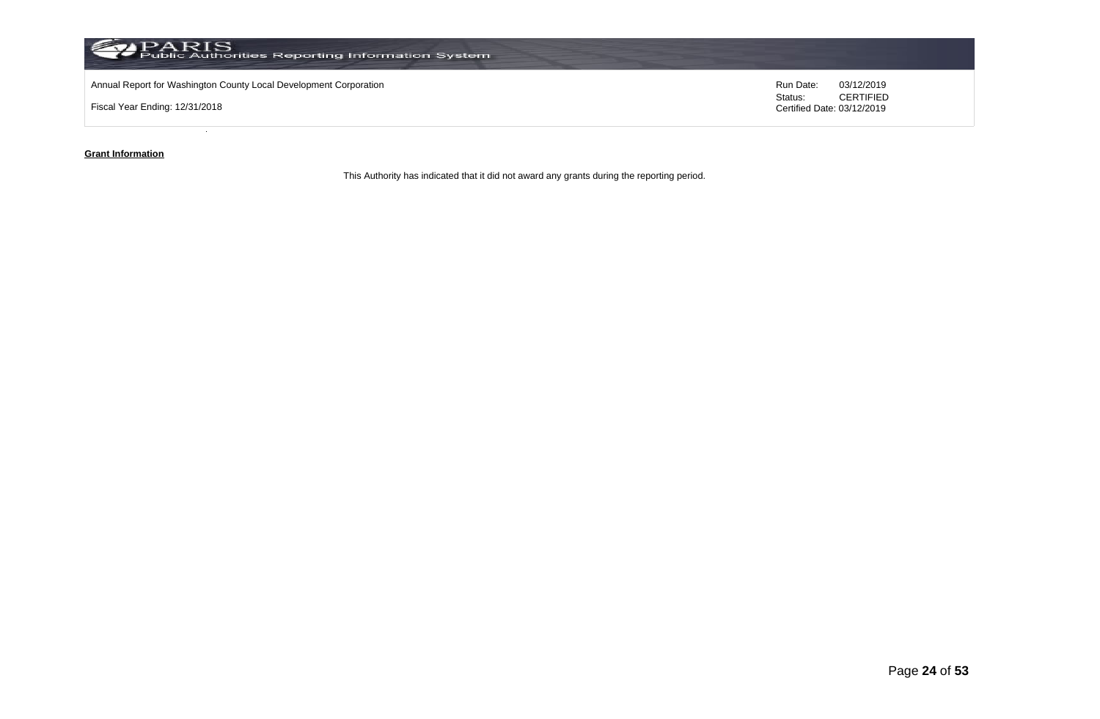

### **Grant Information**

This Authority has indicated that it did not award any grants during the reporting period.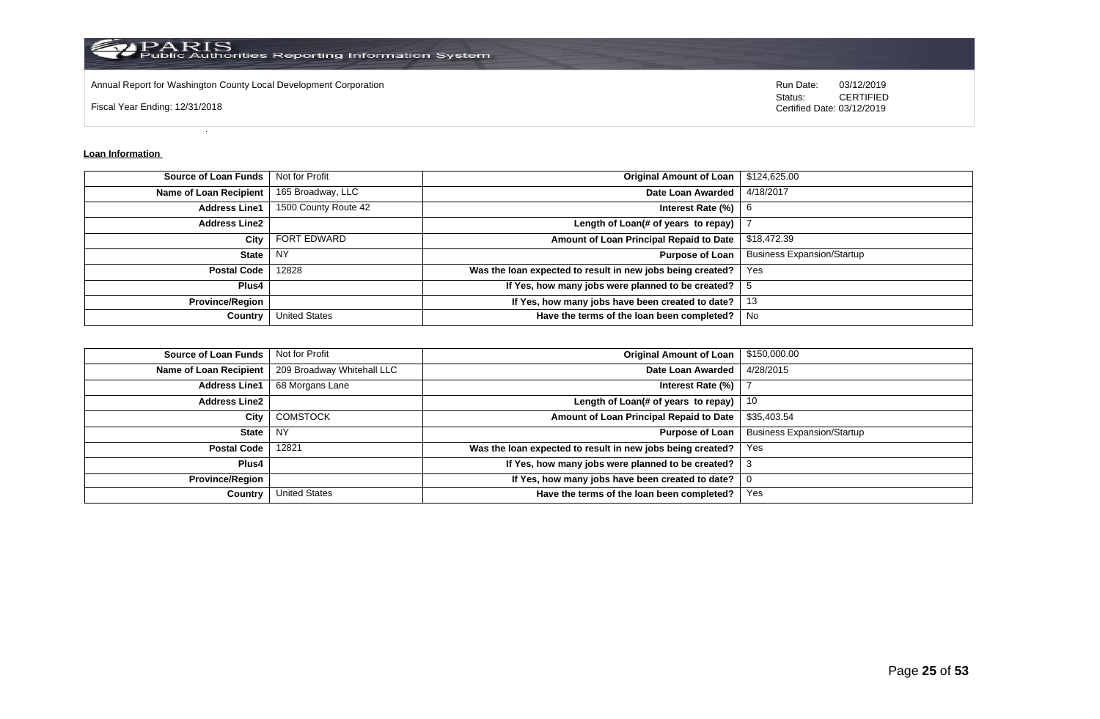

Annual Report for Washington County Local Development Corporation **Run Date:** 03/12/2019 Run Date: 03/12/2019

Fiscal Year Ending: 12/31/2018

Status: **CERTIFIED** Certified Date: 03/12/2019

#### **Loan Information**

| <b>Source of Loan Funds</b>   | Not for Profit       | <b>Original Amount of Loan</b>                             | \$124,625.00                      |
|-------------------------------|----------------------|------------------------------------------------------------|-----------------------------------|
| <b>Name of Loan Recipient</b> | 165 Broadway, LLC    | Date Loan Awarded                                          | 4/18/2017                         |
| <b>Address Line1</b>          | 1500 County Route 42 | Interest Rate (%)                                          | 6                                 |
| <b>Address Line2</b>          |                      | Length of Loan(# of years to repay)                        |                                   |
| City                          | <b>FORT EDWARD</b>   | Amount of Loan Principal Repaid to Date                    | \$18,472.39                       |
| State                         | . NY                 | <b>Purpose of Loan</b>                                     | <b>Business Expansion/Startup</b> |
| <b>Postal Code</b>            | 12828                | Was the loan expected to result in new jobs being created? | Yes                               |
| Plus4                         |                      | If Yes, how many jobs were planned to be created?          |                                   |
| <b>Province/Region</b>        |                      | If Yes, how many jobs have been created to date?           | 13                                |
| Country                       | <b>United States</b> | Have the terms of the loan been completed?                 | No                                |

| <b>Source of Loan Funds</b>   | Not for Profit             | <b>Original Amount of Loan</b>                             | \$150,000.00                      |
|-------------------------------|----------------------------|------------------------------------------------------------|-----------------------------------|
| <b>Name of Loan Recipient</b> | 209 Broadway Whitehall LLC | Date Loan Awarded                                          | 4/28/2015                         |
| <b>Address Line1</b>          | 68 Morgans Lane            | Interest Rate (%)                                          |                                   |
| <b>Address Line2</b>          |                            | Length of Loan(# of years to repay)                        | 10                                |
| City                          | <b>COMSTOCK</b>            | Amount of Loan Principal Repaid to Date                    | \$35,403.54                       |
| State                         | <b>NY</b>                  | <b>Purpose of Loan</b>                                     | <b>Business Expansion/Startup</b> |
| <b>Postal Code</b>            | 12821                      | Was the loan expected to result in new jobs being created? | Yes                               |
| Plus4                         |                            | If Yes, how many jobs were planned to be created?   3      |                                   |
| <b>Province/Region</b>        |                            | If Yes, how many jobs have been created to date?           |                                   |
| Country                       | <b>United States</b>       | Have the terms of the loan been completed?                 | Yes                               |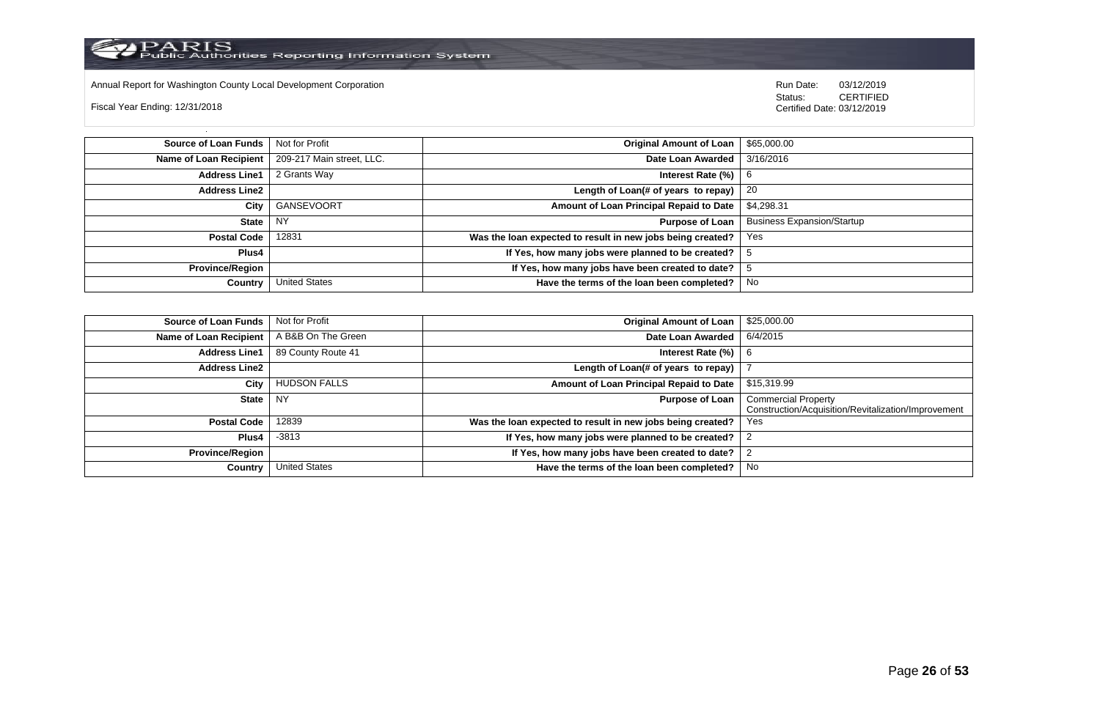

Annual Report for Washington County Local Development Corporation Run Date: 03/12/2019 Run Date: 03/12/2019

Fiscal Year Ending: 12/31/2018

 Status: CERTIFIED Certified Date: 03/12/2019

**Source of Loan Funds** Not for Profit **Company of Loan 1 Set 10** Not for Profit **Original Amount of Loan** 1 \$65,000.00 **Name of Loan Recipient** 209-217 Main street, LLC. **Date Loan Awarded** 3/16/2016 **Address Line1** 2 Grants Way **Interest Rate (%)** 6 **Address Line2 Length of Loan(# of years to repay)** 20 **City** GANSEVOORT **Amount of Loan Principal Repaid to Date** \$4,298.31 **State** NY **Purpose of Loan** Business Expansion/Startup **Postal Code** 12831 **Was the loan expected to result in new jobs being created?** Yes **Plus4 If Yes, how many jobs were planned to be created?** 5 **Province/Region If Yes, how many jobs have been created to date?** 5 **Country** United States **Have the terms of the loan been completed?** No

| Source of Loan Funds   | Not for Profit       | <b>Original Amount of Loan</b>                             | \$25,000.00                                                                       |
|------------------------|----------------------|------------------------------------------------------------|-----------------------------------------------------------------------------------|
| Name of Loan Recipient | A B&B On The Green   | Date Loan Awarded                                          | 6/4/2015                                                                          |
| <b>Address Line1</b>   | 89 County Route 41   | Interest Rate (%)                                          | 6                                                                                 |
| <b>Address Line2</b>   |                      | Length of Loan(# of years to repay)                        |                                                                                   |
| City                   | <b>HUDSON FALLS</b>  | Amount of Loan Principal Repaid to Date                    | \$15,319.99                                                                       |
| State                  | NY.                  | <b>Purpose of Loan</b>                                     | <b>Commercial Property</b><br>Construction/Acquisition/Revitalization/Improvement |
| <b>Postal Code</b>     | 12839                | Was the loan expected to result in new jobs being created? | Yes                                                                               |
| Plus4                  | $-3813$              | If Yes, how many jobs were planned to be created?          |                                                                                   |
| <b>Province/Region</b> |                      | If Yes, how many jobs have been created to date?           |                                                                                   |
| Country                | <b>United States</b> | Have the terms of the loan been completed?                 | No                                                                                |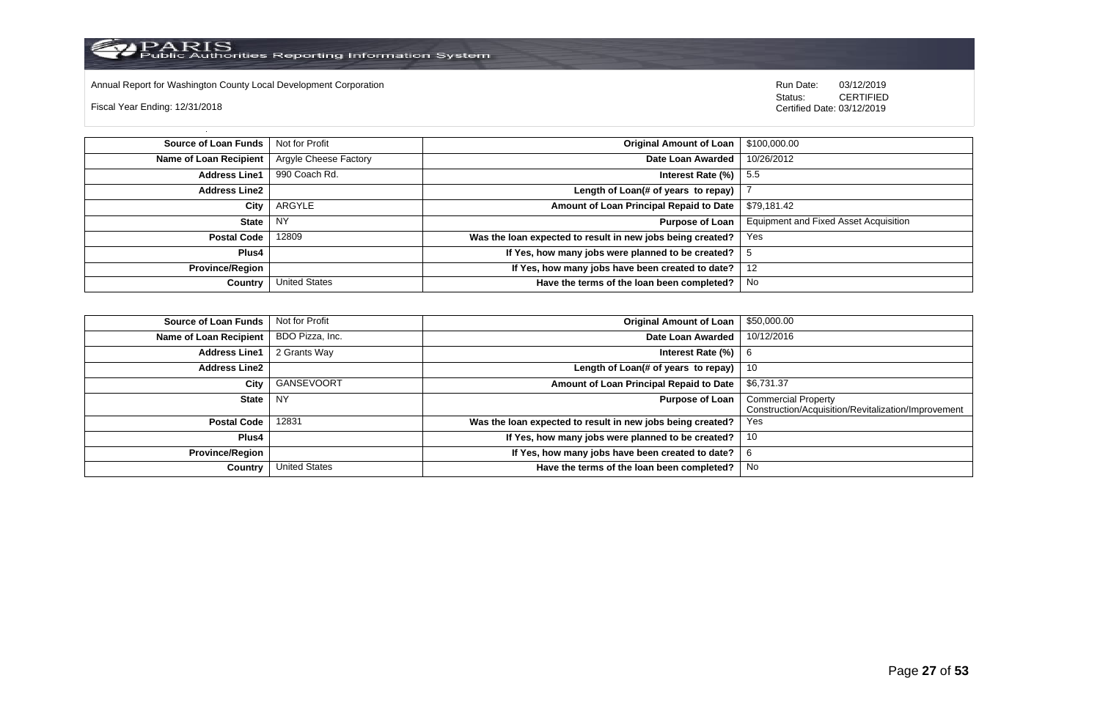

Annual Report for Washington County Local Development Corporation Run Date: 03/12/2019 Run Date: 03/12/2019

Fiscal Year Ending: 12/31/2018

 Status: CERTIFIED Certified Date: 03/12/2019

**Source of Loan Funds** Not for Profit **Containers and Containers Amount Original Amount of Loan** \$100,000.00 **Name of Loan Recipient** Argyle Cheese Factory **Date Loan Awarded** 10/26/2012 **Address Line1** 990 Coach Rd. **Interest Rate (%)** 5.5 **Address Line2 Length of Loan(# of years to repay)** | 7 **City** ARGYLE **Amount of Loan Principal Repaid to Date** \$79,181.42 **State** NY **Purpose of Loan** Equipment and Fixed Asset Acquisition **Postal Code** 12809 **Was the loan expected to result in new jobs being created?** Yes **Plus4 If Yes, how many jobs were planned to be created?** 5 **Province/Region If Yes, how many jobs have been created to date?** 12 **Country** United States **Have the terms of the loan been completed?** No

| Source of Loan Funds   | Not for Profit       | <b>Original Amount of Loan</b>                             | \$50,000.00                                                                       |
|------------------------|----------------------|------------------------------------------------------------|-----------------------------------------------------------------------------------|
| Name of Loan Recipient | BDO Pizza, Inc.      | Date Loan Awarded                                          | 10/12/2016                                                                        |
| <b>Address Line1</b>   | 2 Grants Way         | Interest Rate (%)                                          | 6                                                                                 |
| <b>Address Line2</b>   |                      | Length of Loan(# of years to repay) $ $                    | -10                                                                               |
| City                   | GANSEVOORT           | Amount of Loan Principal Repaid to Date                    | \$6,731.37                                                                        |
| State                  | NY.                  | <b>Purpose of Loan</b>                                     | <b>Commercial Property</b><br>Construction/Acquisition/Revitalization/Improvement |
| <b>Postal Code</b>     | 12831                | Was the loan expected to result in new jobs being created? | Yes                                                                               |
| Plus4                  |                      | If Yes, how many jobs were planned to be created?          | 10                                                                                |
| <b>Province/Region</b> |                      | If Yes, how many jobs have been created to date?           | O                                                                                 |
| Country                | <b>United States</b> | Have the terms of the loan been completed?                 | No                                                                                |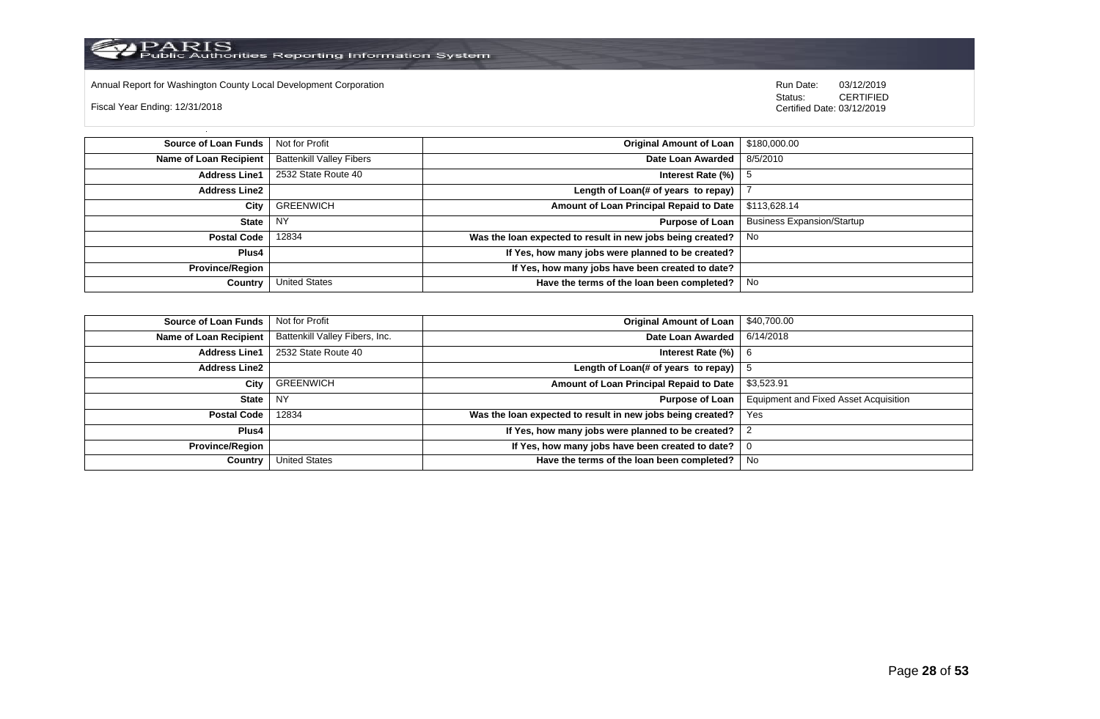

Annual Report for Washington County Local Development Corporation Run Date: 03/12/2019 Run Date: 03/12/2019

Fiscal Year Ending: 12/31/2018

 Status: CERTIFIED Certified Date: 03/12/2019

**Source of Loan Funds** Not for Profit **Containers and Containers Amount Original Amount of Loan** \$180,000.00 **Name of Loan Recipient** Battenkill Valley Fibers **Date Loan Awarded** 8/5/2010 **Address Line1** 2532 State Route 40 **Interest Rate (%)** 5 **Address Line2 Length of Loan(# of years to repay)** | 7 **City** GREENWICH **Amount of Loan Principal Repaid to Date** \$113,628.14 **State** NY **Purpose of Loan** Business Expansion/Startup **Postal Code** 12834 **Was the loan expected to result in new jobs being created?** No **Plus4 If Yes, how many jobs were planned to be created? Province/Region If Yes, how many jobs have been created to date? Country** United States **Have the terms of the loan been completed?** No

| Source of Loan Funds   | Not for Profit                 | <b>Original Amount of Loan</b>                             | \$40,700.00                                  |
|------------------------|--------------------------------|------------------------------------------------------------|----------------------------------------------|
| Name of Loan Recipient | Battenkill Valley Fibers, Inc. | Date Loan Awarded                                          | 6/14/2018                                    |
| <b>Address Line1</b>   | 2532 State Route 40            | Interest Rate $(\%)$                                       | 6                                            |
| Address Line2          |                                | Length of Loan(# of years to repay)                        |                                              |
| City                   | GREENWICH                      | Amount of Loan Principal Repaid to Date                    | \$3,523.91                                   |
| State                  | NY                             | Purpose of Loan                                            | <b>Equipment and Fixed Asset Acquisition</b> |
| <b>Postal Code</b>     | 12834                          | Was the loan expected to result in new jobs being created? | Yes                                          |
| Plus4                  |                                | If Yes, how many jobs were planned to be created?          |                                              |
| Province/Region        |                                | If Yes, how many jobs have been created to date?           | O                                            |
| Country                | <b>United States</b>           | Have the terms of the loan been completed?                 | No                                           |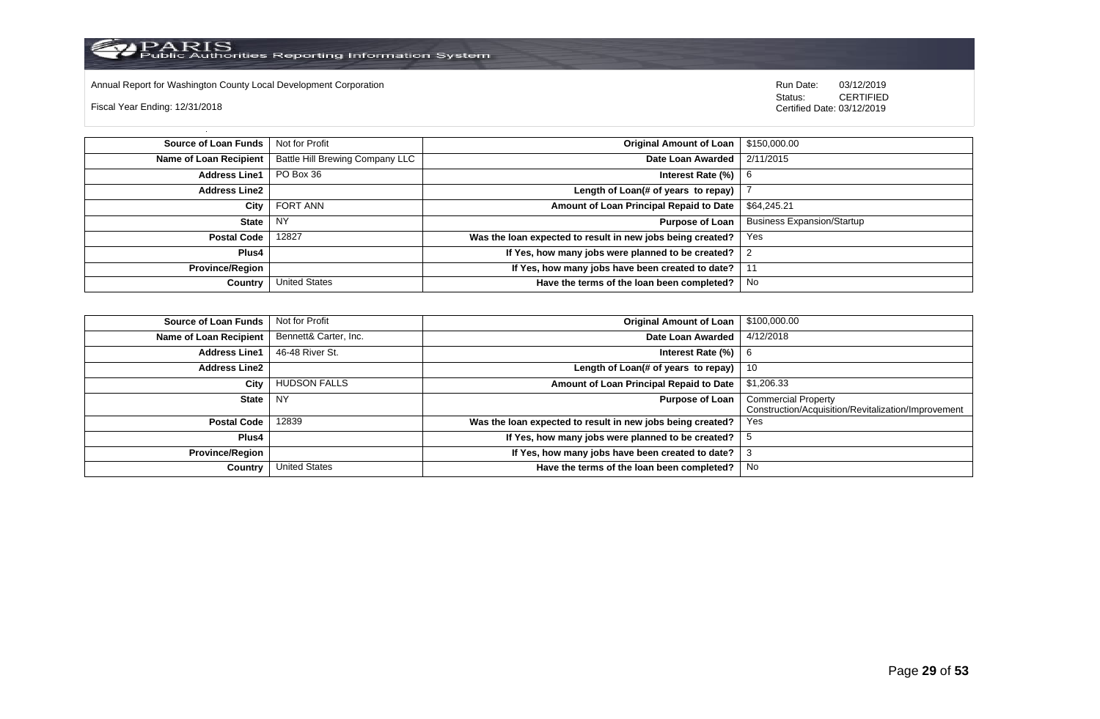

Annual Report for Washington County Local Development Corporation Run Date: 03/12/2019 Run Date: 03/12/2019

Fiscal Year Ending: 12/31/2018

 Status: CERTIFIED Certified Date: 03/12/2019

**Source of Loan Funds** Not for Profit **Containers and Containers Amount Original Amount of Loan** \$150,000.00 **Name of Loan Recipient** Battle Hill Brewing Company LLC **Date Loan Awarded** 2/11/2015 **Address Line1** PO Box 36 **Interest Rate (%)** 6 **Address Line2 Length of Loan(# of years to repay)** | 7 **City** FORT ANN **Amount of Loan Principal Repaid to Date** \$64,245.21 **State** NY **Purpose of Loan** Business Expansion/Startup **Postal Code** 12827 **Was the loan expected to result in new jobs being created?** Yes **Plus4 If Yes, how many jobs were planned to be created?** 2 **Province/Region If Yes, how many jobs have been created to date?** 11 **Country** United States **Have the terms of the loan been completed?** No

| <b>Source of Loan Funds</b> | Not for Profit        | <b>Original Amount of Loan</b>                             | \$100,000.00                                        |
|-----------------------------|-----------------------|------------------------------------------------------------|-----------------------------------------------------|
| Name of Loan Recipient      | Bennett& Carter, Inc. | Date Loan Awarded                                          | 4/12/2018                                           |
| <b>Address Line1</b>        | 46-48 River St.       | Interest Rate (%)                                          | 6                                                   |
| <b>Address Line2</b>        |                       | Length of Loan(# of years to repay)                        | 10                                                  |
| City                        | <b>HUDSON FALLS</b>   | Amount of Loan Principal Repaid to Date                    | \$1,206.33                                          |
| <b>State</b>                | <b>NY</b>             | <b>Purpose of Loan</b>                                     | <b>Commercial Property</b>                          |
|                             |                       |                                                            | Construction/Acquisition/Revitalization/Improvement |
| <b>Postal Code</b>          | 12839                 | Was the loan expected to result in new jobs being created? | Yes                                                 |
| Plus4                       |                       | If Yes, how many jobs were planned to be created?          |                                                     |
| <b>Province/Region</b>      |                       | If Yes, how many jobs have been created to date?           | ు                                                   |
| Country                     | United States         | Have the terms of the loan been completed?                 | No.                                                 |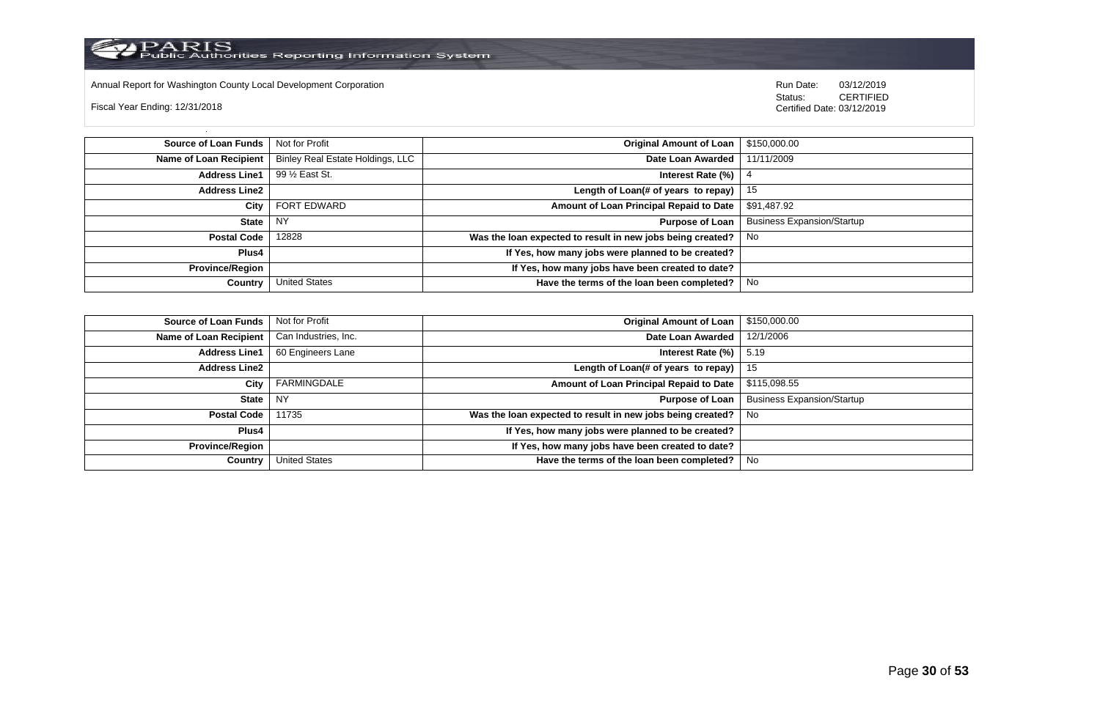

Annual Report for Washington County Local Development Corporation Run Date: 03/12/2019 Run Date: 03/12/2019

Fiscal Year Ending: 12/31/2018

 Status: CERTIFIED Certified Date: 03/12/2019

**Source of Loan Funds** Not for Profit **Containers and Containers Amount Original Amount of Loan** \$150,000.00 **Name of Loan Recipient** Binley Real Estate Holdings, LLC **Date Loan Awarded** 11/11/2009 **Address Line1** 99 ½ East St. **Interest Rate (%)** 4 **Address Line2 Length of Loan(# of years to repay)** 15 **City** FORT EDWARD **Amount of Loan Principal Repaid to Date** \$91,487.92 **State** NY **Purpose of Loan** Business Expansion/Startup **Postal Code** 12828 **Was the loan expected to result in new jobs being created?** No **Plus4 If Yes, how many jobs were planned to be created? Province/Region If Yes, how many jobs have been created to date? Country** United States **Have the terms of the loan been completed?** No

| Source of Loan Funds   | Not for Profit       | Original Amount of Loan                                    | \$150,000.00                      |
|------------------------|----------------------|------------------------------------------------------------|-----------------------------------|
| Name of Loan Recipient | Can Industries, Inc. | Date Loan Awarded                                          | 12/1/2006                         |
| <b>Address Line1</b>   | 60 Engineers Lane    | Interest Rate $(\%)$   5.19                                |                                   |
| Address Line2          |                      | Length of Loan(# of years to repay) $\vert$ 15             |                                   |
| City                   | FARMINGDALE          | Amount of Loan Principal Repaid to Date                    | \$115,098.55                      |
| State                  | NY                   | <b>Purpose of Loan</b>                                     | <b>Business Expansion/Startup</b> |
| Postal Code            | 11735                | Was the loan expected to result in new jobs being created? | l No                              |
| Plus4                  |                      | If Yes, how many jobs were planned to be created?          |                                   |
| Province/Region        |                      | If Yes, how many jobs have been created to date?           |                                   |
| Country                | <b>United States</b> | Have the terms of the loan been completed?                 | No                                |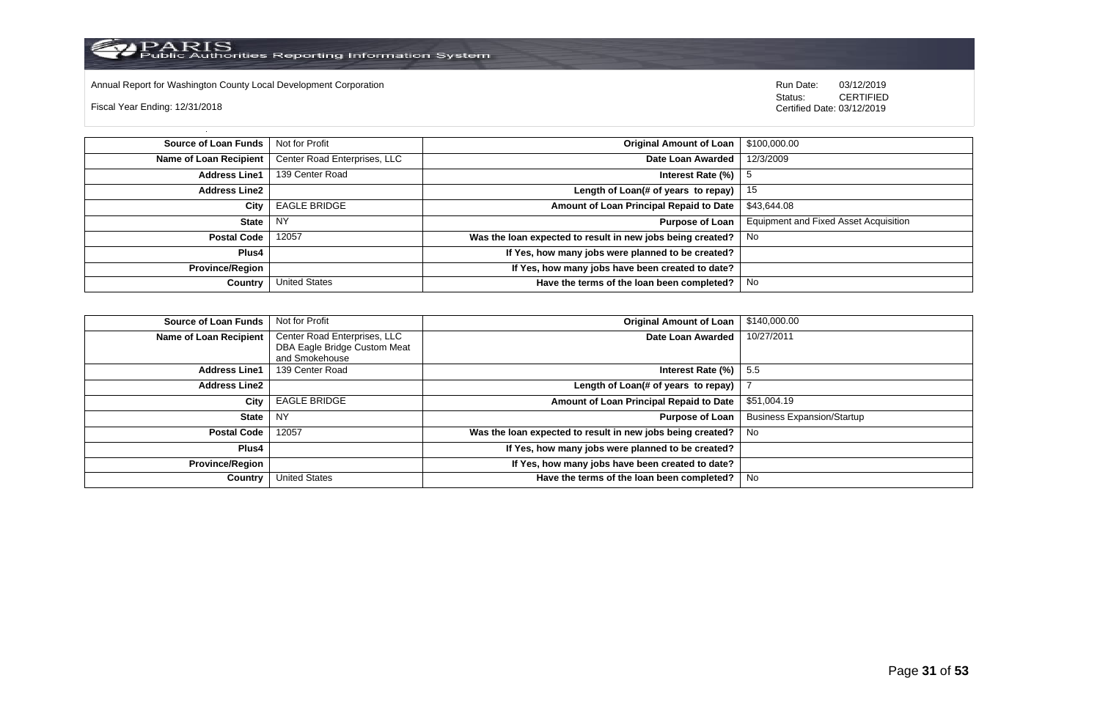

Annual Report for Washington County Local Development Corporation Run Date: 03/12/2019 Run Date: 03/12/2019

Fiscal Year Ending: 12/31/2018

 Status: CERTIFIED Certified Date: 03/12/2019

**Source of Loan Funds** Not for Profit **Containers and Containers Amount Original Amount of Loan** \$100,000.00 **Name of Loan Recipient** Center Road Enterprises, LLC **Date Loan Awarded** 12/3/2009 **Address Line1** 139 Center Road **Interest Rate (%)** 5 **Address Line2 Length of Loan(# of years to repay)** 15 **City** EAGLE BRIDGE **Amount of Loan Principal Repaid to Date** \$43,644.08 **State** NY **Purpose of Loan** Equipment and Fixed Asset Acquisition **Postal Code** 12057 **Was the loan expected to result in new jobs being created?** No **Plus4 If Yes, how many jobs were planned to be created? Province/Region If Yes, how many jobs have been created to date? Country** United States **Have the terms of the loan been completed?** No

| <b>Source of Loan Funds</b> | Not for Profit               | <b>Original Amount of Loan</b>                             | \$140,000.00                      |
|-----------------------------|------------------------------|------------------------------------------------------------|-----------------------------------|
| Name of Loan Recipient      | Center Road Enterprises, LLC | Date Loan Awarded                                          | 10/27/2011                        |
|                             | DBA Eagle Bridge Custom Meat |                                                            |                                   |
|                             | and Smokehouse               |                                                            |                                   |
| <b>Address Line1</b>        | 139 Center Road              | Interest Rate (%)                                          | -5.5                              |
| <b>Address Line2</b>        |                              | Length of Loan(# of years to repay)                        |                                   |
| City                        | <b>EAGLE BRIDGE</b>          | Amount of Loan Principal Repaid to Date                    | \$51,004.19                       |
| <b>State</b>                | <b>NY</b>                    | <b>Purpose of Loan</b>                                     | <b>Business Expansion/Startup</b> |
| <b>Postal Code</b>          | 12057                        | Was the loan expected to result in new jobs being created? | No                                |
| <b>Plus4</b>                |                              | If Yes, how many jobs were planned to be created?          |                                   |
| <b>Province/Region</b>      |                              | If Yes, how many jobs have been created to date?           |                                   |
| Country                     | <b>United States</b>         | Have the terms of the loan been completed?                 | No                                |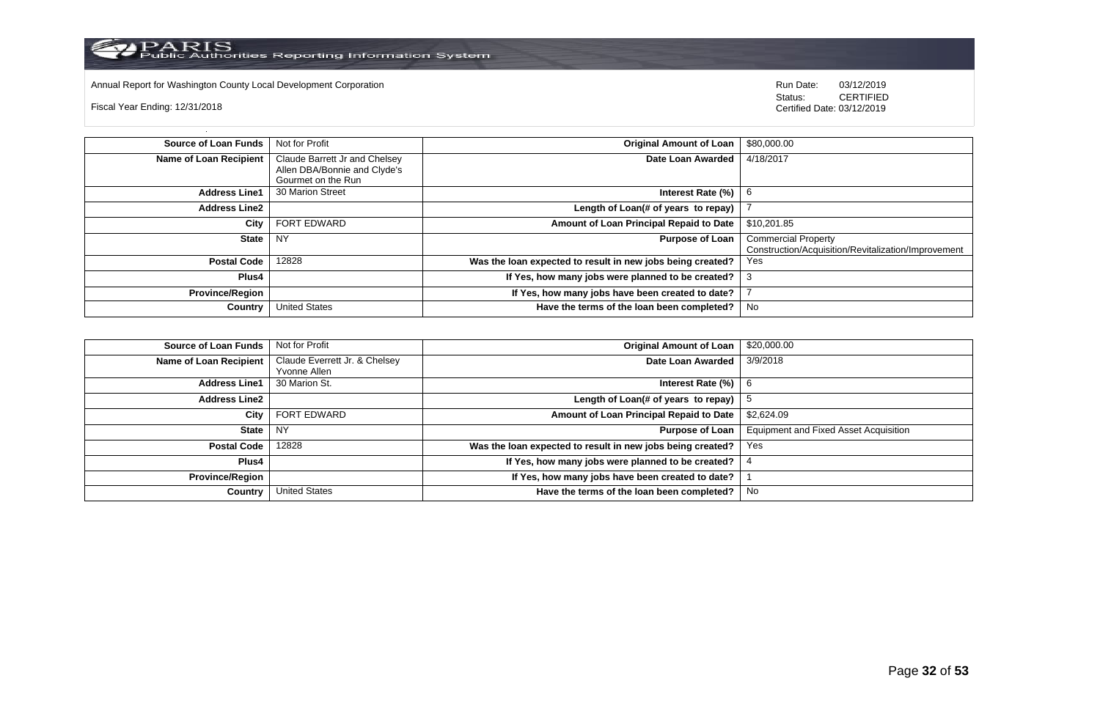

Annual Report for Washington County Local Development Corporation **Computer Computer Computer Computer Computer**<br>
Status: CERTIFIED

Fiscal Year Ending: 12/31/2018

| <b>Source of Loan Funds</b>   | Not for Profit                | <b>Original Amount of Loan</b>                             | \$80,000.00                                         |
|-------------------------------|-------------------------------|------------------------------------------------------------|-----------------------------------------------------|
| <b>Name of Loan Recipient</b> | Claude Barrett Jr and Chelsey | Date Loan Awarded                                          | 4/18/2017                                           |
|                               | Allen DBA/Bonnie and Clyde's  |                                                            |                                                     |
|                               | Gourmet on the Run            |                                                            |                                                     |
| <b>Address Line1</b>          | 30 Marion Street              | Interest Rate (%)                                          |                                                     |
| <b>Address Line2</b>          |                               | Length of Loan(# of years to repay)                        |                                                     |
| City                          | <b>FORT EDWARD</b>            | Amount of Loan Principal Repaid to Date                    | \$10.201.85                                         |
| <b>State</b>                  | <b>NY</b>                     | <b>Purpose of Loan</b>                                     | <b>Commercial Property</b>                          |
|                               |                               |                                                            | Construction/Acquisition/Revitalization/Improvement |
| <b>Postal Code</b>            | 12828                         | Was the loan expected to result in new jobs being created? | <b>Yes</b>                                          |
| Plus4                         |                               | If Yes, how many jobs were planned to be created?          |                                                     |
| <b>Province/Region</b>        |                               | If Yes, how many jobs have been created to date?           |                                                     |
| Country                       | <b>United States</b>          | Have the terms of the loan been completed?                 | No                                                  |

| <b>Source of Loan Funds</b> | Not for Profit                | <b>Original Amount of Loan</b>                             | \$20,000.00                                  |
|-----------------------------|-------------------------------|------------------------------------------------------------|----------------------------------------------|
| Name of Loan Recipient      | Claude Everrett Jr. & Chelsey | Date Loan Awarded                                          | 3/9/2018                                     |
|                             | Yvonne Allen                  |                                                            |                                              |
| <b>Address Line1</b>        | 30 Marion St.                 | Interest Rate (%)                                          | -6                                           |
| <b>Address Line2</b>        |                               | Length of Loan(# of years to repay)                        |                                              |
| City                        | <b>FORT EDWARD</b>            | Amount of Loan Principal Repaid to Date                    | \$2,624.09                                   |
| State                       | <b>NY</b>                     | <b>Purpose of Loan</b>                                     | <b>Equipment and Fixed Asset Acquisition</b> |
| <b>Postal Code</b>          | 12828                         | Was the loan expected to result in new jobs being created? | Yes                                          |
| Plus4                       |                               | If Yes, how many jobs were planned to be created?          |                                              |
| <b>Province/Region</b>      |                               | If Yes, how many jobs have been created to date?           |                                              |
| Country                     | <b>United States</b>          | Have the terms of the loan been completed?                 | No                                           |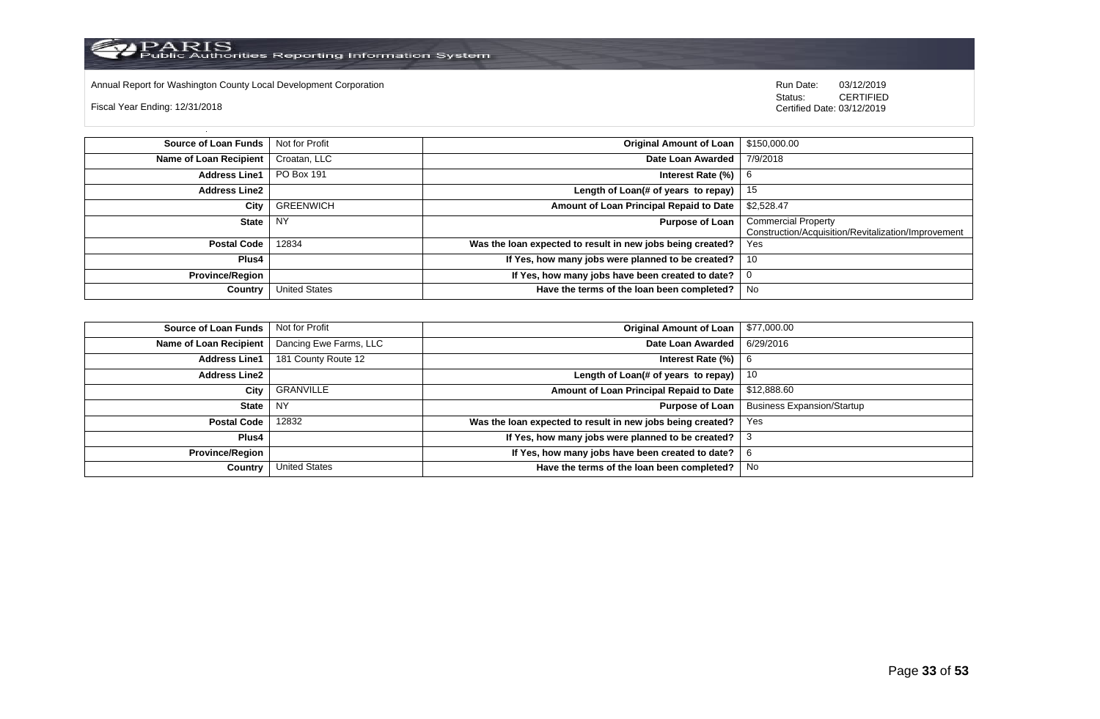Annual Report for Washington County Local Development Corporation **Computer Computer Computer Computer Computer**<br>
Status: CERTIFIED

Fiscal Year Ending: 12/31/2018

| Source of Loan Funds   | Not for Profit       | Original Amount of Loan                                    | \$150,000.00                                                                      |
|------------------------|----------------------|------------------------------------------------------------|-----------------------------------------------------------------------------------|
| Name of Loan Recipient | Croatan, LLC         | Date Loan Awarded                                          | 7/9/2018                                                                          |
| <b>Address Line1</b>   | PO Box 191           | Interest Rate (%)                                          | - 6                                                                               |
| <b>Address Line2</b>   |                      | Length of Loan(# of years to repay) $ $                    | - 15                                                                              |
| City                   | <b>GREENWICH</b>     | Amount of Loan Principal Repaid to Date                    | \$2,528.47                                                                        |
| <b>State</b>           | <b>NY</b>            | Purpose of Loan                                            | <b>Commercial Property</b><br>Construction/Acquisition/Revitalization/Improvement |
| <b>Postal Code</b>     | 12834                | Was the loan expected to result in new jobs being created? | Yes                                                                               |
| <b>Plus4</b>           |                      | If Yes, how many jobs were planned to be created?          | - 10                                                                              |
| <b>Province/Region</b> |                      | If Yes, how many jobs have been created to date?           |                                                                                   |
| Country                | <b>United States</b> | Have the terms of the loan been completed?                 | No                                                                                |

| <b>Source of Loan Funds</b>   | Not for Profit         | <b>Original Amount of Loan</b>                             | \$77,000.00                       |
|-------------------------------|------------------------|------------------------------------------------------------|-----------------------------------|
| <b>Name of Loan Recipient</b> | Dancing Ewe Farms, LLC | Date Loan Awarded                                          | 6/29/2016                         |
| <b>Address Line1</b>          | 181 County Route 12    | Interest Rate (%)                                          | -6                                |
| <b>Address Line2</b>          |                        | Length of Loan(# of years to repay)                        | 10                                |
| City                          | GRANVILLE              | Amount of Loan Principal Repaid to Date                    | \$12,888.60                       |
| <b>State</b>                  | l NY                   | <b>Purpose of Loan</b>                                     | <b>Business Expansion/Startup</b> |
| <b>Postal Code</b>            | 12832                  | Was the loan expected to result in new jobs being created? | Yes                               |
| Plus4                         |                        | If Yes, how many jobs were planned to be created?          |                                   |
| <b>Province/Region</b>        |                        | If Yes, how many jobs have been created to date?           |                                   |
| Country                       | <b>United States</b>   | Have the terms of the loan been completed?                 | No                                |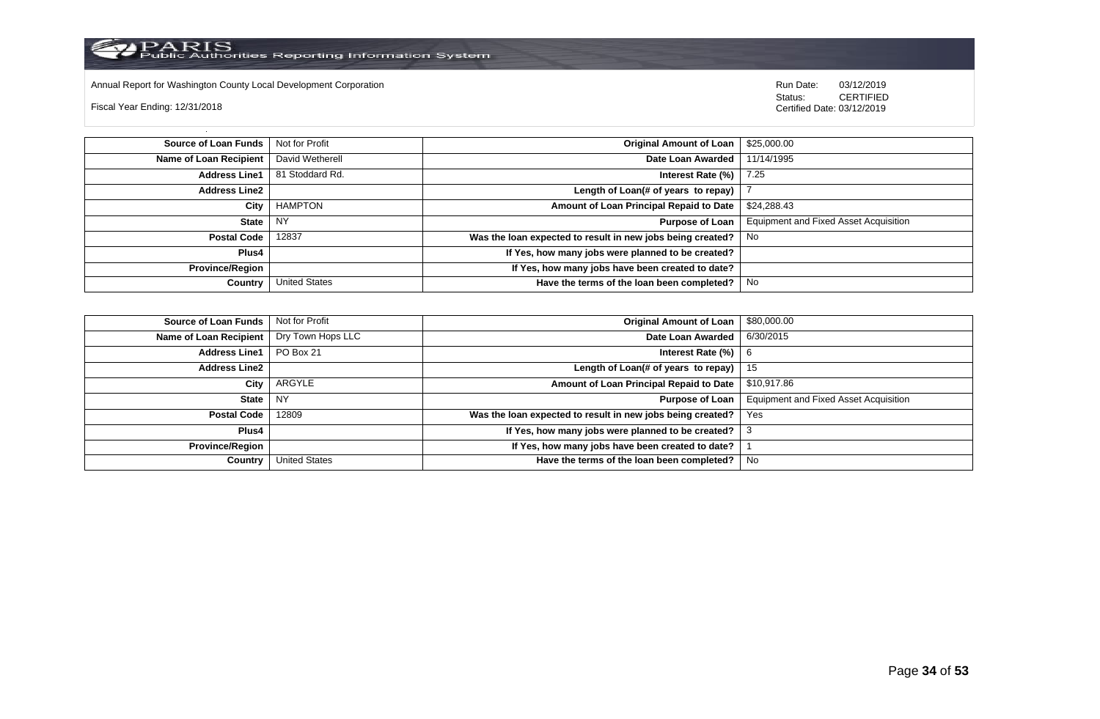

Annual Report for Washington County Local Development Corporation Run Date: 03/12/2019 Run Date: 03/12/2019

Fiscal Year Ending: 12/31/2018

 Status: CERTIFIED Certified Date: 03/12/2019

**Source of Loan Funds** Not for Profit **Company of Loan 1 S25,000.00 Original Amount of Loan** 1 \$25,000.00 **Name of Loan Recipient** David Wetherell **Date Loan Awarded** 11/14/1995 **Address Line1** 81 Stoddard Rd. **Interest Rate (%)** 7.25 **Address Line2 Length of Loan(# of years to repay)** | 7 **City** HAMPTON **Amount of Loan Principal Repaid to Date** \$24,288.43 **State** NY **Purpose of Loan** Equipment and Fixed Asset Acquisition **Postal Code** 12837 **Was the loan expected to result in new jobs being created?** No **Plus4 If Yes, how many jobs were planned to be created? Province/Region If Yes, how many jobs have been created to date? Country** United States **Have the terms of the loan been completed?** No

| <b>Source of Loan Funds</b> Not for Profit |                      | Original Amount of Loan                                    | \$80,000.00                                  |
|--------------------------------------------|----------------------|------------------------------------------------------------|----------------------------------------------|
| Name of Loan Recipient   Dry Town Hops LLC |                      | Date Loan Awarded                                          | 6/30/2015                                    |
| <b>Address Line1</b>                       | PO Box 21            | Interest Rate $(\%)$                                       | -6                                           |
| Address Line2                              |                      | Length of Loan(# of years to repay) $ $                    | - 15                                         |
| <b>City</b>                                | ARGYLE               | Amount of Loan Principal Repaid to Date                    | \$10,917.86                                  |
| <b>State</b>                               | NY                   | Purpose of Loan                                            | <b>Equipment and Fixed Asset Acquisition</b> |
| Postal Code                                | 12809                | Was the loan expected to result in new jobs being created? | Yes                                          |
| Plus4                                      |                      | If Yes, how many jobs were planned to be created?          |                                              |
| Province/Region                            |                      | If Yes, how many jobs have been created to date?           |                                              |
| Country                                    | <b>United States</b> | Have the terms of the loan been completed?                 | No                                           |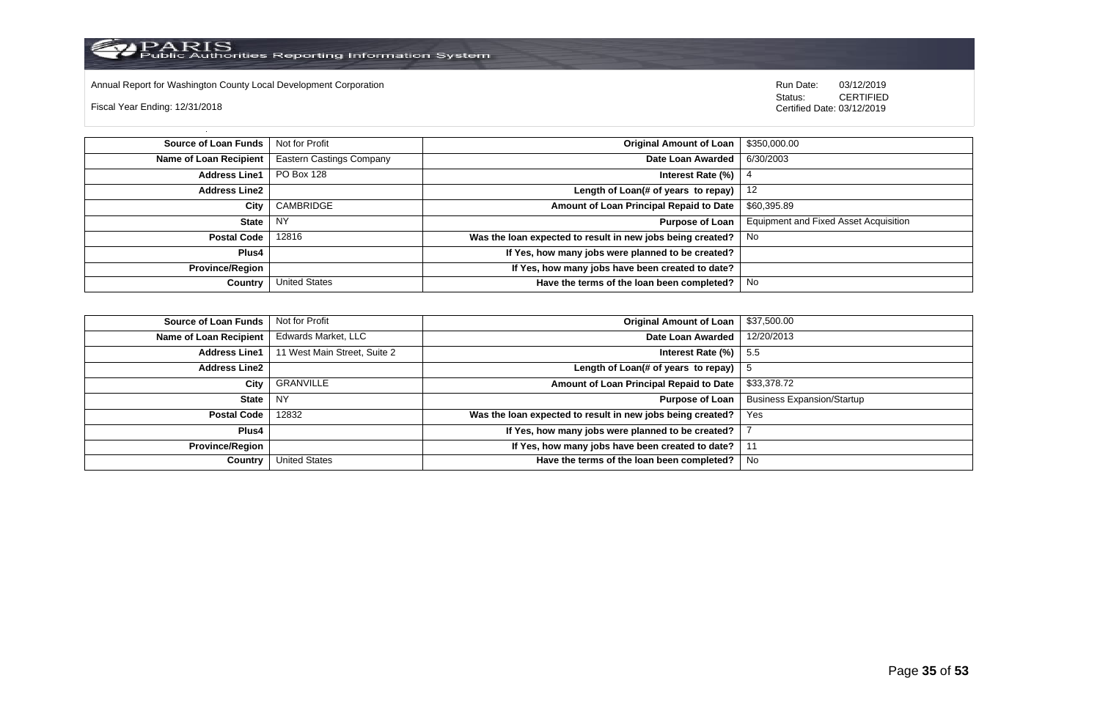

Annual Report for Washington County Local Development Corporation Run Date: 03/12/2019 Run Date: 03/12/2019

Fiscal Year Ending: 12/31/2018

 Status: CERTIFIED Certified Date: 03/12/2019

**Source of Loan Funds** Not for Profit **Containers and Containers Amount Original Amount of Loan** \$350,000.00 **Name of Loan Recipient** Eastern Castings Company **Date Loan Awarded** 6/30/2003 **Address Line1** PO Box 128 **Interest Rate (%)** 4 **Address Line2 Length of Loan(# of years to repay)** 12 **City** CAMBRIDGE **Amount of Loan Principal Repaid to Date** \$60,395.89 **State** NY **Purpose of Loan** Equipment and Fixed Asset Acquisition **Postal Code** 12816 **Was the loan expected to result in new jobs being created?** No **Plus4 If Yes, how many jobs were planned to be created? Province/Region If Yes, how many jobs have been created to date? Country** United States **Have the terms of the loan been completed?** No

| Source of Loan Funds   | Not for Profit               | Original Amount of Loan                                    | \$37,500.00                       |
|------------------------|------------------------------|------------------------------------------------------------|-----------------------------------|
| Name of Loan Recipient | Edwards Market, LLC          | Date Loan Awarded                                          | 12/20/2013                        |
| <b>Address Line1</b>   | 11 West Main Street, Suite 2 | Interest Rate $(\%)$   5.5                                 |                                   |
| Address Line2          |                              | Length of Loan(# of years to repay) $ $                    |                                   |
| City                   | GRANVILLE                    | Amount of Loan Principal Repaid to Date                    | \$33,378.72                       |
| State                  | NY                           | Purpose of Loan                                            | <b>Business Expansion/Startup</b> |
| <b>Postal Code</b>     | 12832                        | Was the loan expected to result in new jobs being created? | Yes                               |
| Plus4                  |                              | If Yes, how many jobs were planned to be created?          |                                   |
| Province/Region        |                              | If Yes, how many jobs have been created to date?   11      |                                   |
| Country                | <b>United States</b>         | Have the terms of the loan been completed?                 | No                                |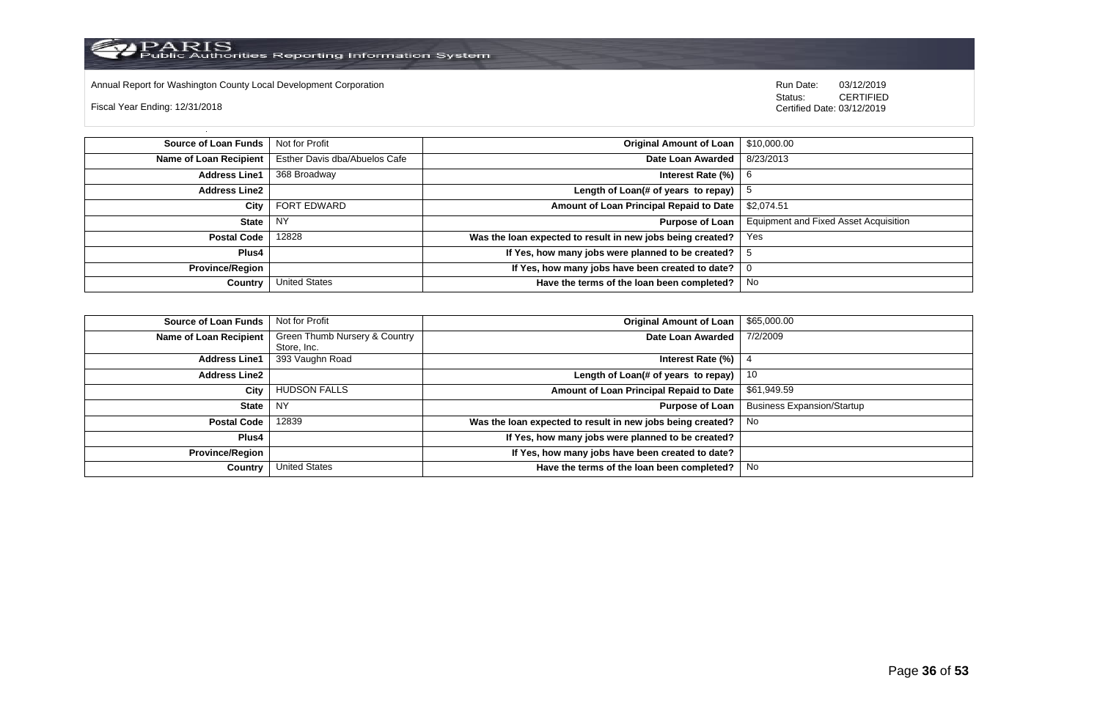

Annual Report for Washington County Local Development Corporation **Company County Constructed Annual Report for Washington County Local Development Corporation Annual Report for Washington County Local Development Corporat** 

Fiscal Year Ending: 12/31/2018

| Source of Loan Funds   | Not for Profit                | <b>Original Amount of Loan</b>                             | \$10,000.00                                  |
|------------------------|-------------------------------|------------------------------------------------------------|----------------------------------------------|
| Name of Loan Recipient | Esther Davis dba/Abuelos Cafe | Date Loan Awarded                                          | 8/23/2013                                    |
| <b>Address Line1</b>   | 368 Broadway                  | Interest Rate (%)                                          | -6                                           |
| Address Line2          |                               | Length of Loan(# of years to repay) $ $                    | ು                                            |
| City                   | FORT EDWARD                   | Amount of Loan Principal Repaid to Date                    | \$2,074.51                                   |
| State                  | - NY                          | Purpose of Loan                                            | <b>Equipment and Fixed Asset Acquisition</b> |
| <b>Postal Code</b>     | 12828                         | Was the loan expected to result in new jobs being created? | Yes                                          |
| Plus4                  |                               | If Yes, how many jobs were planned to be created?          |                                              |
| Province/Region        |                               | If Yes, how many jobs have been created to date?           | U                                            |
| Country                | <b>United States</b>          | Have the terms of the loan been completed?                 | No                                           |

| <b>Source of Loan Funds</b> | Not for Profit                | <b>Original Amount of Loan</b>                             | \$65,000.00                       |
|-----------------------------|-------------------------------|------------------------------------------------------------|-----------------------------------|
| Name of Loan Recipient      | Green Thumb Nursery & Country | Date Loan Awarded                                          | 7/2/2009                          |
|                             | Store, Inc.                   |                                                            |                                   |
| <b>Address Line1</b>        | 393 Vaughn Road               | Interest Rate (%)                                          |                                   |
| <b>Address Line2</b>        |                               | Length of Loan(# of years to repay)                        | 10                                |
| City                        | <b>HUDSON FALLS</b>           | Amount of Loan Principal Repaid to Date                    | \$61,949.59                       |
| State                       | NY.                           | <b>Purpose of Loan</b>                                     | <b>Business Expansion/Startup</b> |
| <b>Postal Code</b>          | 12839                         | Was the loan expected to result in new jobs being created? | No                                |
| Plus4                       |                               | If Yes, how many jobs were planned to be created?          |                                   |
| <b>Province/Region</b>      |                               | If Yes, how many jobs have been created to date?           |                                   |
| Country                     | United States                 | Have the terms of the loan been completed?                 | No                                |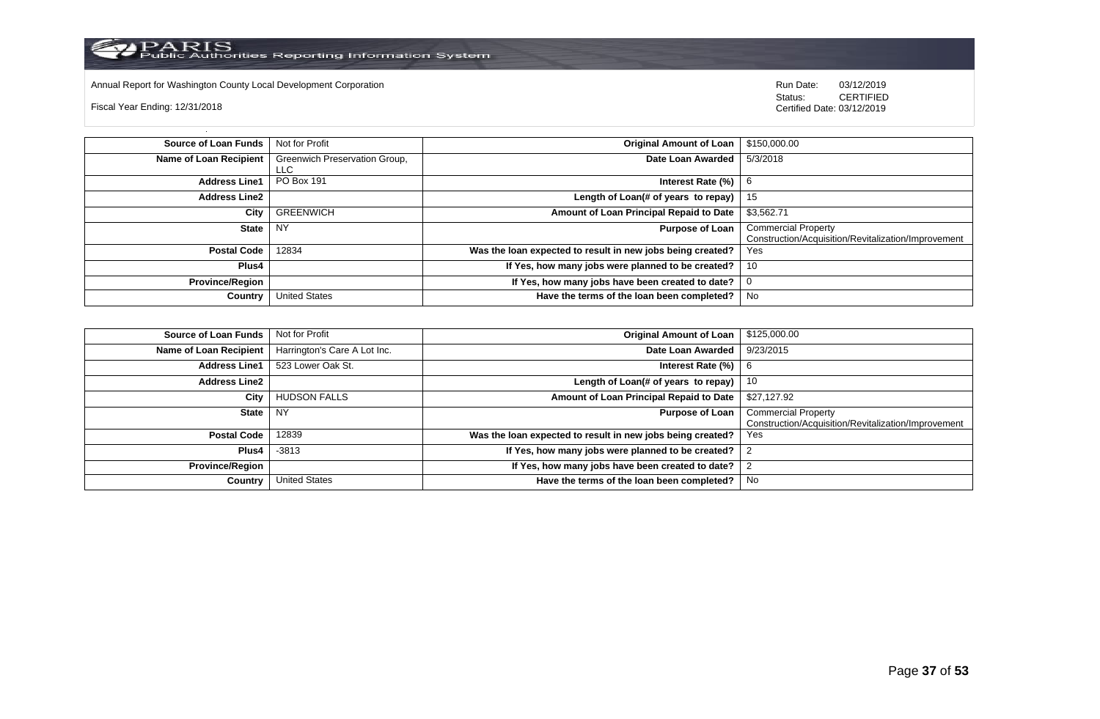

Annual Report for Washington County Local Development Corporation **Company County Connect Connect Connect Connect**<br>
Status: CERTIFIED

Fiscal Year Ending: 12/31/2018

| Source of Loan Funds          | Not for Profit                        | <b>Original Amount of Loan</b>                             | \$150,000.00                                                                      |
|-------------------------------|---------------------------------------|------------------------------------------------------------|-----------------------------------------------------------------------------------|
| <b>Name of Loan Recipient</b> | Greenwich Preservation Group,<br>LLC. | Date Loan Awarded                                          | 5/3/2018                                                                          |
| <b>Address Line1</b>          | <b>PO Box 191</b>                     | Interest Rate (%)                                          | -6                                                                                |
| <b>Address Line2</b>          |                                       | Length of Loan(# of years to repay) $ $                    | 15                                                                                |
| City                          | <b>GREENWICH</b>                      | Amount of Loan Principal Repaid to Date                    | \$3,562.71                                                                        |
| State                         | <b>NY</b>                             | <b>Purpose of Loan</b>                                     | <b>Commercial Property</b><br>Construction/Acquisition/Revitalization/Improvement |
| <b>Postal Code</b>            | 12834                                 | Was the loan expected to result in new jobs being created? | Yes                                                                               |
| <b>Plus4</b>                  |                                       | If Yes, how many jobs were planned to be created?          | 10                                                                                |
| <b>Province/Region</b>        |                                       | If Yes, how many jobs have been created to date?           | 0                                                                                 |
| Country                       | <b>United States</b>                  | Have the terms of the loan been completed?                 | No                                                                                |

| <b>Source of Loan Funds</b>   | Not for Profit               | <b>Original Amount of Loan</b>                             | \$125,000.00                                                                      |
|-------------------------------|------------------------------|------------------------------------------------------------|-----------------------------------------------------------------------------------|
| <b>Name of Loan Recipient</b> | Harrington's Care A Lot Inc. | Date Loan Awarded                                          | 9/23/2015                                                                         |
| <b>Address Line1</b>          | 523 Lower Oak St.            | Interest Rate $(\%)$   6                                   |                                                                                   |
| <b>Address Line2</b>          |                              | Length of Loan(# of years to repay)                        | 10                                                                                |
| City                          | <b>HUDSON FALLS</b>          | Amount of Loan Principal Repaid to Date                    | \$27,127.92                                                                       |
| <b>State</b>                  | <b>NY</b>                    | <b>Purpose of Loan</b>                                     | <b>Commercial Property</b><br>Construction/Acquisition/Revitalization/Improvement |
| <b>Postal Code</b>            | 12839                        | Was the loan expected to result in new jobs being created? | Yes                                                                               |
| Plus4                         | $-3813$                      | If Yes, how many jobs were planned to be created?          |                                                                                   |
| <b>Province/Region</b>        |                              | If Yes, how many jobs have been created to date?           |                                                                                   |
| Country                       | <b>United States</b>         | Have the terms of the loan been completed?                 | No                                                                                |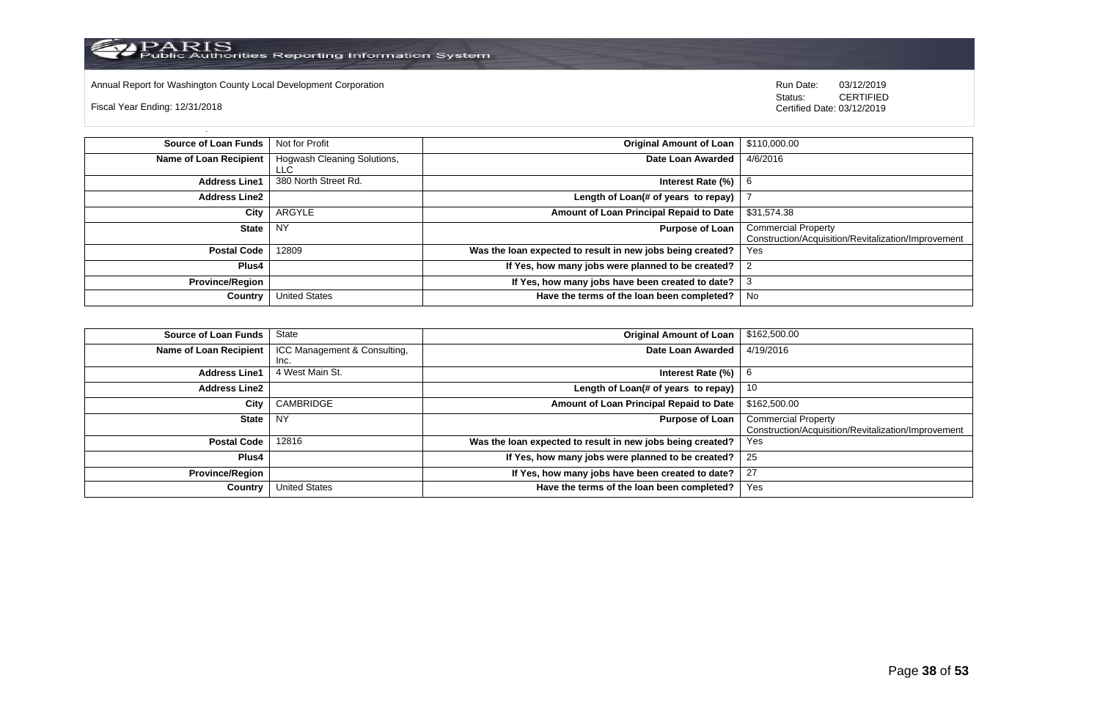

Annual Report for Washington County Local Development Corporation **Company County Connect Connect Connect Connect**<br>
Status: CERTIFIED

Fiscal Year Ending: 12/31/2018

| Source of Loan Funds   | Not for Profit                     | <b>Original Amount of Loan</b>                             | \$110,000.00                                                                      |
|------------------------|------------------------------------|------------------------------------------------------------|-----------------------------------------------------------------------------------|
| Name of Loan Recipient | Hogwash Cleaning Solutions,<br>LLC | Date Loan Awarded                                          | 4/6/2016                                                                          |
| <b>Address Line1</b>   | 380 North Street Rd.               | Interest Rate (%)                                          | 6                                                                                 |
| <b>Address Line2</b>   |                                    | Length of Loan(# of years to repay)                        |                                                                                   |
| City                   | ARGYLE                             | Amount of Loan Principal Repaid to Date                    | \$31,574.38                                                                       |
| State                  | <b>NY</b>                          | <b>Purpose of Loan</b>                                     | <b>Commercial Property</b><br>Construction/Acquisition/Revitalization/Improvement |
| <b>Postal Code</b>     | 12809                              | Was the loan expected to result in new jobs being created? | Yes                                                                               |
| Plus4                  |                                    | If Yes, how many jobs were planned to be created?          |                                                                                   |
| <b>Province/Region</b> |                                    | If Yes, how many jobs have been created to date?           |                                                                                   |
| Country                | <b>United States</b>               | Have the terms of the loan been completed?                 | No                                                                                |

| <b>Source of Loan Funds</b>   | State                        | <b>Original Amount of Loan</b>                             | \$162,500.00                                        |
|-------------------------------|------------------------------|------------------------------------------------------------|-----------------------------------------------------|
| <b>Name of Loan Recipient</b> | ICC Management & Consulting, | Date Loan Awarded                                          | 4/19/2016                                           |
|                               | Inc.                         |                                                            |                                                     |
| <b>Address Line1</b>          | 4 West Main St.              | Interest Rate $(\%)$   6                                   |                                                     |
| <b>Address Line2</b>          |                              | Length of Loan(# of years to repay)                        | 10                                                  |
| City                          | CAMBRIDGE                    | Amount of Loan Principal Repaid to Date                    | \$162,500.00                                        |
| <b>State</b>                  | NY.                          | <b>Purpose of Loan</b>                                     | <b>Commercial Property</b>                          |
|                               |                              |                                                            | Construction/Acquisition/Revitalization/Improvement |
| <b>Postal Code</b>            | 12816                        | Was the loan expected to result in new jobs being created? | Yes                                                 |
| Plus4                         |                              | If Yes, how many jobs were planned to be created?          | 25                                                  |
| <b>Province/Region</b>        |                              | If Yes, how many jobs have been created to date?           | 27                                                  |
| Country                       | <b>United States</b>         | Have the terms of the loan been completed?                 | Yes                                                 |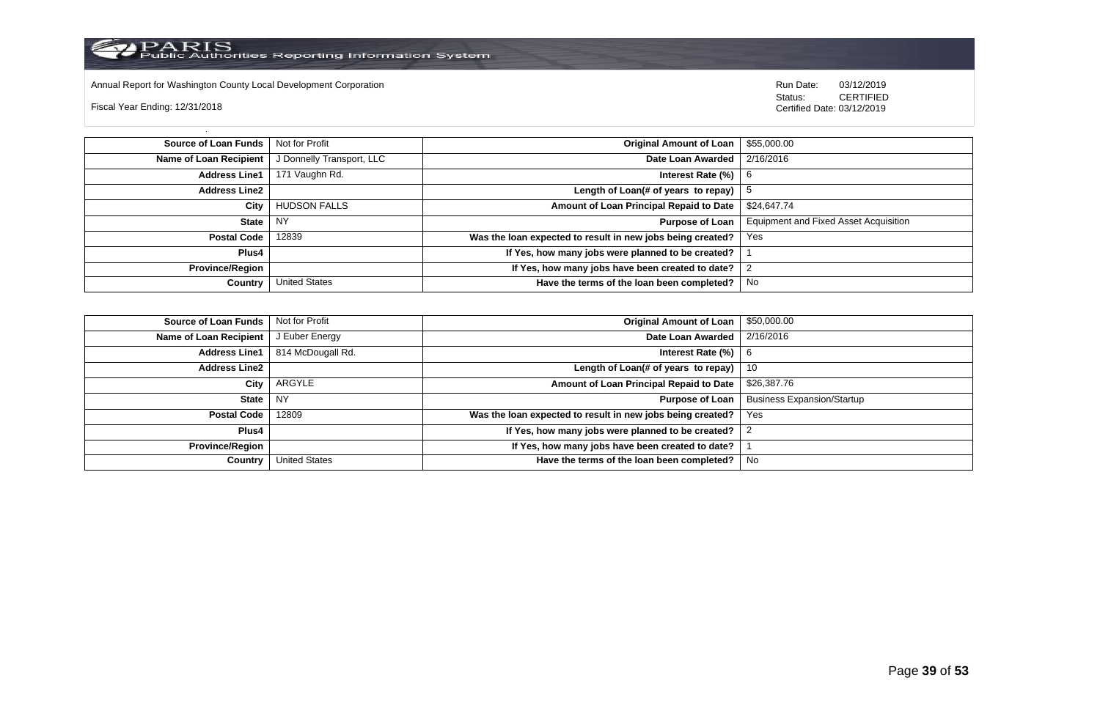

Annual Report for Washington County Local Development Corporation Run Date: 03/12/2019 Run Date: 03/12/2019

Fiscal Year Ending: 12/31/2018

 Status: CERTIFIED Certified Date: 03/12/2019

**Source of Loan Funds** Not for Profit **Company of Loan 1 and 2012 Original Amount of Loan** 1 \$55,000.00 **Name of Loan Recipient** J Donnelly Transport, LLC **Date Loan Awarded** 2/16/2016 **Address Line1** 171 Vaughn Rd. **Interest Rate (%)** 6 **Address Line2 Length of Loan(# of years to repay)**  $\vert$  5 **City** HUDSON FALLS **Amount of Loan Principal Repaid to Date** \$24,647.74 **State** NY **Purpose of Loan** Equipment and Fixed Asset Acquisition **Postal Code** 12839 **Was the loan expected to result in new jobs being created?** Yes **Plus4 If Yes, how many jobs were planned to be created?** 1 **Province/Region If Yes, how many jobs have been created to date?** 2 **Country** United States **Have the terms of the loan been completed?** No

| Source of Loan Funds   | Not for Profit       | Original Amount of Loan                                    | \$50,000.00                       |
|------------------------|----------------------|------------------------------------------------------------|-----------------------------------|
| Name of Loan Recipient | J Euber Energy       | Date Loan Awarded                                          | 2/16/2016                         |
| <b>Address Line1</b>   | 814 McDougall Rd.    | Interest Rate (%)                                          | - 6                               |
| <b>Address Line2</b>   |                      | Length of Loan(# of years to repay) $ 10\rangle$           |                                   |
| City                   | ARGYLE               | Amount of Loan Principal Repaid to Date                    | \$26,387.76                       |
| State                  | <b>NY</b>            | Purpose of Loan                                            | <b>Business Expansion/Startup</b> |
| <b>Postal Code</b>     | 12809                | Was the loan expected to result in new jobs being created? | Yes                               |
| <b>Plus4</b>           |                      | If Yes, how many jobs were planned to be created?          |                                   |
| Province/Region        |                      | If Yes, how many jobs have been created to date?           |                                   |
| Country                | <b>United States</b> | Have the terms of the loan been completed?                 | No                                |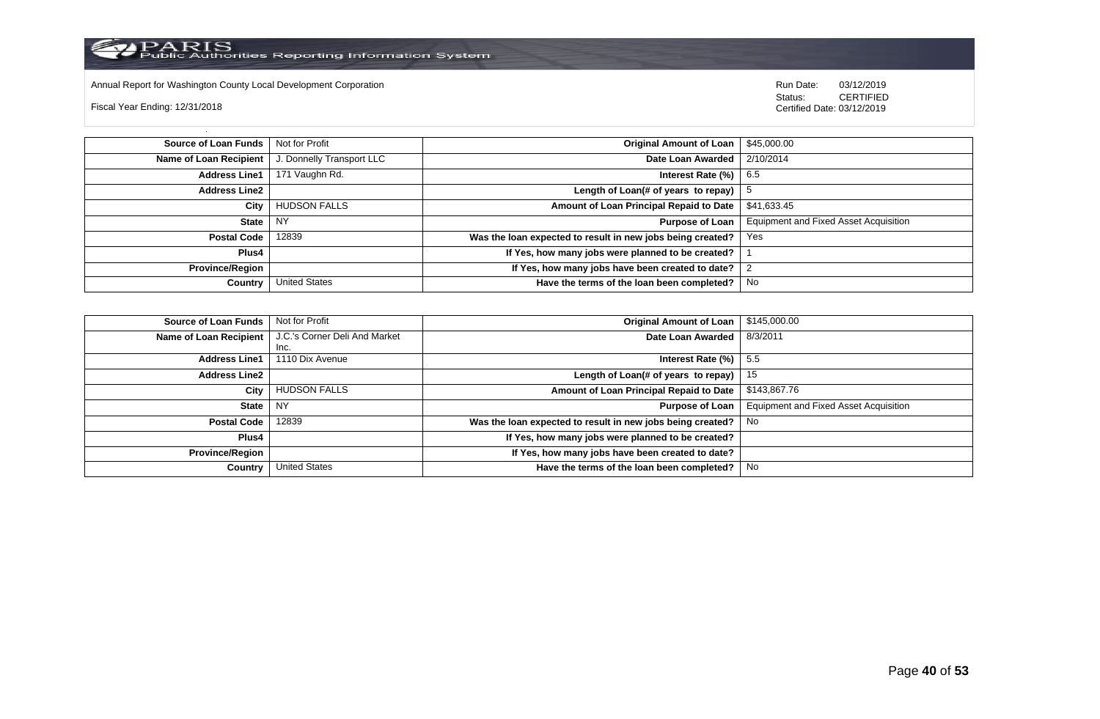

Annual Report for Washington County Local Development Corporation **Company County Connect Connect Connect Connect**<br>
Status: CERTIFIED

Fiscal Year Ending: 12/31/2018

| Source of Loan Funds   | Not for Profit            | <b>Original Amount of Loan</b>                             | \$45,000.00                                  |
|------------------------|---------------------------|------------------------------------------------------------|----------------------------------------------|
| Name of Loan Recipient | J. Donnelly Transport LLC | Date Loan Awarded                                          | 2/10/2014                                    |
| <b>Address Line1</b>   | 171 Vaughn Rd.            | Interest Rate $(\%)$   6.5                                 |                                              |
| <b>Address Line2</b>   |                           | Length of Loan(# of years to repay) $ $                    | ು                                            |
| City                   | <b>HUDSON FALLS</b>       | Amount of Loan Principal Repaid to Date                    | \$41,633.45                                  |
| <b>State</b>           | <b>NY</b>                 | Purpose of Loan                                            | <b>Equipment and Fixed Asset Acquisition</b> |
| Postal Code            | 12839                     | Was the loan expected to result in new jobs being created? | Yes                                          |
| Plus4                  |                           | If Yes, how many jobs were planned to be created?          |                                              |
| <b>Province/Region</b> |                           | If Yes, how many jobs have been created to date?           |                                              |
| Country                | <b>United States</b>      | Have the terms of the loan been completed?                 | No                                           |

| <b>Source of Loan Funds</b> | Not for Profit                | <b>Original Amount of Loan</b>                             | \$145,000.00                          |
|-----------------------------|-------------------------------|------------------------------------------------------------|---------------------------------------|
| Name of Loan Recipient      | J.C.'s Corner Deli And Market | Date Loan Awarded                                          | 8/3/2011                              |
|                             | Inc.                          |                                                            |                                       |
| <b>Address Line1</b>        | 1110 Dix Avenue               | Interest Rate (%)                                          | 5.5                                   |
| <b>Address Line2</b>        |                               | Length of Loan(# of years to repay)                        | 15                                    |
| City                        | <b>HUDSON FALLS</b>           | Amount of Loan Principal Repaid to Date                    | \$143,867.76                          |
| <b>State</b>                | <b>NY</b>                     | <b>Purpose of Loan</b>                                     | Equipment and Fixed Asset Acquisition |
| <b>Postal Code</b>          | 12839                         | Was the loan expected to result in new jobs being created? | No                                    |
| Plus4                       |                               | If Yes, how many jobs were planned to be created?          |                                       |
| <b>Province/Region</b>      |                               | If Yes, how many jobs have been created to date?           |                                       |
| Country                     | <b>United States</b>          | Have the terms of the loan been completed?                 | No                                    |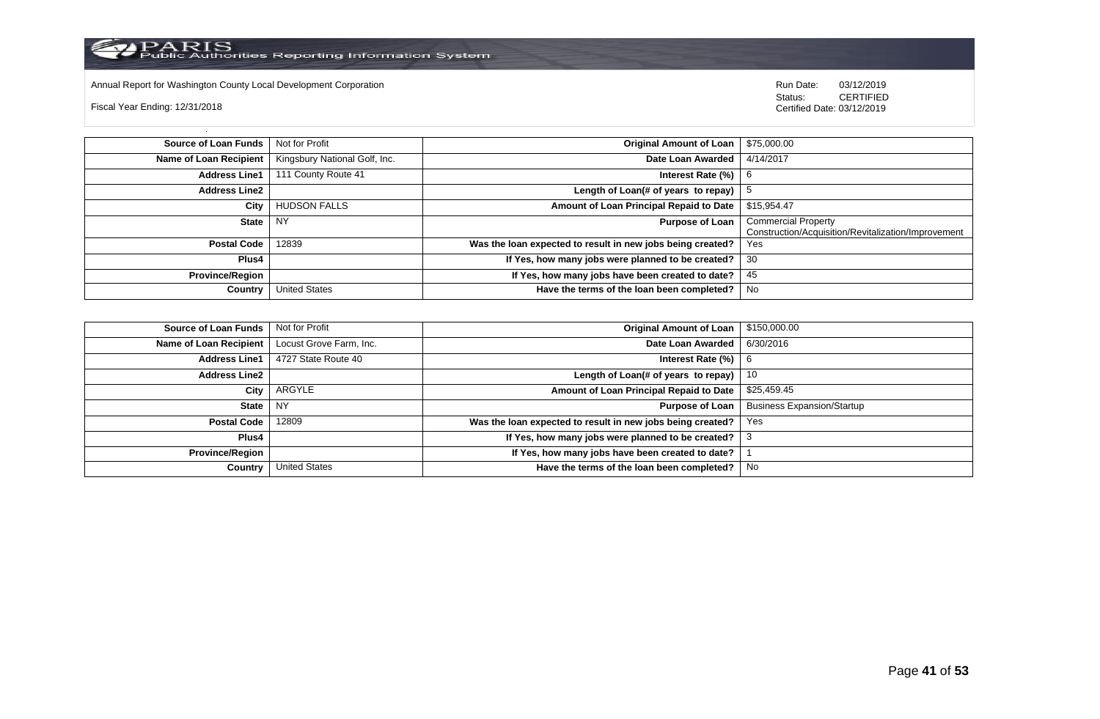

Annual Report for Washington County Local Development Corporation **Company County Connect Connect Connect Connect**<br>
Status: CERTIFIED

Fiscal Year Ending: 12/31/2018

| Source of Loan Funds   | Not for Profit                | <b>Original Amount of Loan</b>                             | \$75,000.00                                                                       |
|------------------------|-------------------------------|------------------------------------------------------------|-----------------------------------------------------------------------------------|
| Name of Loan Recipient | Kingsbury National Golf, Inc. | Date Loan Awarded                                          | 4/14/2017                                                                         |
| <b>Address Line1</b>   | 111 County Route 41           | Interest Rate $(\%)$                                       |                                                                                   |
| <b>Address Line2</b>   |                               | Length of Loan(# of years to repay) $ $                    |                                                                                   |
| City                   | <b>HUDSON FALLS</b>           | Amount of Loan Principal Repaid to Date                    | \$15,954.47                                                                       |
| State                  | <b>NY</b>                     | <b>Purpose of Loan</b>                                     | <b>Commercial Property</b><br>Construction/Acquisition/Revitalization/Improvement |
| <b>Postal Code</b>     | 12839                         | Was the loan expected to result in new jobs being created? | Yes                                                                               |
| Plus4                  |                               | If Yes, how many jobs were planned to be created?          | 30                                                                                |
| <b>Province/Region</b> |                               | If Yes, how many jobs have been created to date?           | 45                                                                                |
| Country                | <b>United States</b>          | Have the terms of the loan been completed?                 | No                                                                                |

| <b>Source of Loan Funds</b> | Not for Profit          | <b>Original Amount of Loan</b>                                  | \$150,000.00                      |
|-----------------------------|-------------------------|-----------------------------------------------------------------|-----------------------------------|
| Name of Loan Recipient      | Locust Grove Farm, Inc. | Date Loan Awarded                                               | 6/30/2016                         |
| <b>Address Line1</b>        | 4727 State Route 40     | Interest Rate $(\%)$   6                                        |                                   |
| <b>Address Line2</b>        |                         | Length of Loan(# of years to repay)                             | 10                                |
| City                        | ARGYLE                  | Amount of Loan Principal Repaid to Date                         | \$25,459.45                       |
| State                       | I NY                    | <b>Purpose of Loan</b>                                          | <b>Business Expansion/Startup</b> |
| <b>Postal Code</b>          | 12809                   | Was the loan expected to result in new jobs being created?      | Yes                               |
| Plus4                       |                         | If Yes, how many jobs were planned to be created? $\frac{3}{3}$ |                                   |
| <b>Province/Region</b>      |                         | If Yes, how many jobs have been created to date?                |                                   |
| Country                     | <b>United States</b>    | Have the terms of the loan been completed?                      | No                                |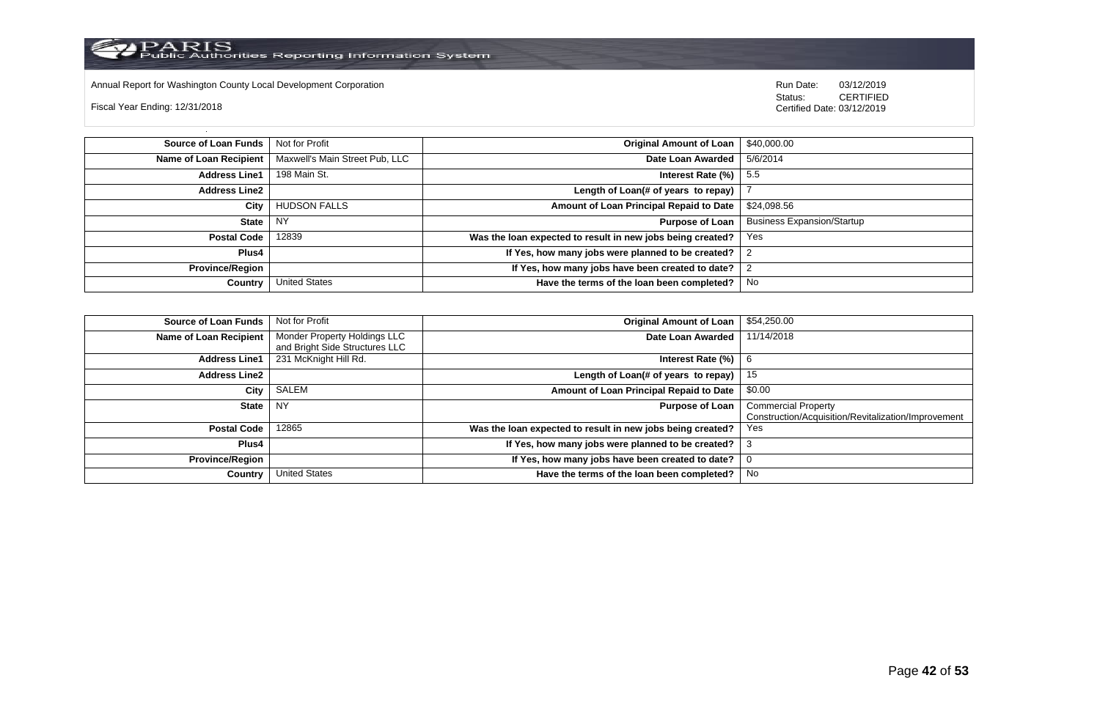

Annual Report for Washington County Local Development Corporation Run Date: 03/12/2019 Run Date: 03/12/2019

Fiscal Year Ending: 12/31/2018

 Status: CERTIFIED Certified Date: 03/12/2019

**Source of Loan Funds** Not for Profit **Community Original Amount of Loan** \$40,000.00 **Name of Loan Recipient** Maxwell's Main Street Pub, LLC **Date Loan Awarded** 5/6/2014 **Address Line1** 198 Main St. **Interest Rate (%)** 5.5 **Address Line2 Length of Loan(# of years to repay)** | 7 **City** HUDSON FALLS **Amount of Loan Principal Repaid to Date** \$24,098.56 **State** NY **Purpose of Loan** Business Expansion/Startup **Postal Code** 12839 **Was the loan expected to result in new jobs being created?** Yes **Plus4 If Yes, how many jobs were planned to be created?** 2 **Province/Region If Yes, how many jobs have been created to date?** 2 **Country** United States **Have the terms of the loan been completed?** No

| Source of Loan Funds   | Not for Profit                                                 | <b>Original Amount of Loan</b>                             | \$54,250.00                                                                       |
|------------------------|----------------------------------------------------------------|------------------------------------------------------------|-----------------------------------------------------------------------------------|
| Name of Loan Recipient | Monder Property Holdings LLC<br>and Bright Side Structures LLC | Date Loan Awarded                                          | 11/14/2018                                                                        |
| <b>Address Line1</b>   | 231 McKnight Hill Rd.                                          | Interest Rate (%)                                          | 6                                                                                 |
| <b>Address Line2</b>   |                                                                | Length of Loan(# of years to repay) $ $                    | 15                                                                                |
| City                   | SALEM                                                          | Amount of Loan Principal Repaid to Date                    | \$0.00                                                                            |
| State                  | NY.                                                            | <b>Purpose of Loan</b>                                     | <b>Commercial Property</b><br>Construction/Acquisition/Revitalization/Improvement |
| <b>Postal Code</b>     | 12865                                                          | Was the loan expected to result in new jobs being created? | Yes                                                                               |
| Plus4                  |                                                                | If Yes, how many jobs were planned to be created?          |                                                                                   |
| <b>Province/Region</b> |                                                                | If Yes, how many jobs have been created to date?           |                                                                                   |
| Country                | <b>United States</b>                                           | Have the terms of the loan been completed?                 | No                                                                                |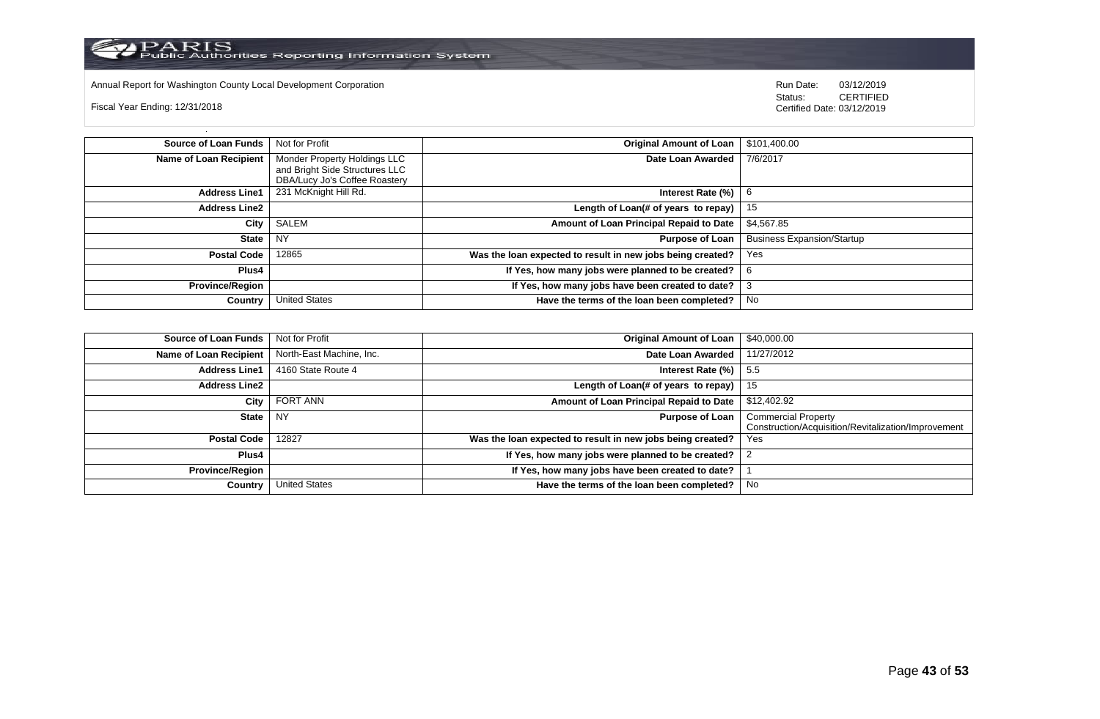

Annual Report for Washington County Local Development Corporation Run Date: 03/12/2019 Run Date: 03/12/2019

Fiscal Year Ending: 12/31/2018

 Status: CERTIFIED Certified Date: 03/12/2019

**Source of Loan Funds** Not for Profit **Containers and Studies of Loan** Studies **Original Amount of Loan** \$101,400.00 **Name of Loan Recipient** Monder Property Holdings LLC and Bright Side Structures LLC DBA/Lucy Jo's Coffee Roastery **Date Loan Awarded** 7/6/2017 **Address Line1** 231 McKnight Hill Rd. **Interest Rate (%)** 6 **Address Line2 Length of Loan(# of years to repay)** 15 **City** SALEM **Amount of Loan Principal Repaid to Date** \$4,567.85 **State** NY **Purpose of Loan** Business Expansion/Startup **Postal Code** 12865 **Was the loan expected to result in new jobs being created?** Yes **Plus4 If Yes, how many jobs were planned to be created?** 6 **Province/Region If Yes, how many jobs have been created to date?** 3 **Country** United States **Have the terms of the loan been completed?** No

| <b>Source of Loan Funds</b>   | Not for Profit           | <b>Original Amount of Loan</b>                             | \$40,000.00                                                                       |
|-------------------------------|--------------------------|------------------------------------------------------------|-----------------------------------------------------------------------------------|
| <b>Name of Loan Recipient</b> | North-East Machine, Inc. | Date Loan Awarded                                          | 11/27/2012                                                                        |
| <b>Address Line1</b>          | 4160 State Route 4       | Interest Rate (%)                                          | 5.5                                                                               |
| <b>Address Line2</b>          |                          | Length of Loan(# of years to repay)                        | 15                                                                                |
| City                          | FORT ANN                 | Amount of Loan Principal Repaid to Date                    | \$12,402.92                                                                       |
| <b>State</b>                  | <b>NY</b>                | <b>Purpose of Loan</b>                                     | <b>Commercial Property</b><br>Construction/Acquisition/Revitalization/Improvement |
| <b>Postal Code</b>            | 12827                    | Was the loan expected to result in new jobs being created? | Yes                                                                               |
| Plus4                         |                          | If Yes, how many jobs were planned to be created?          |                                                                                   |
| <b>Province/Region</b>        |                          | If Yes, how many jobs have been created to date?           |                                                                                   |
| Country                       | <b>United States</b>     | Have the terms of the loan been completed?                 | No                                                                                |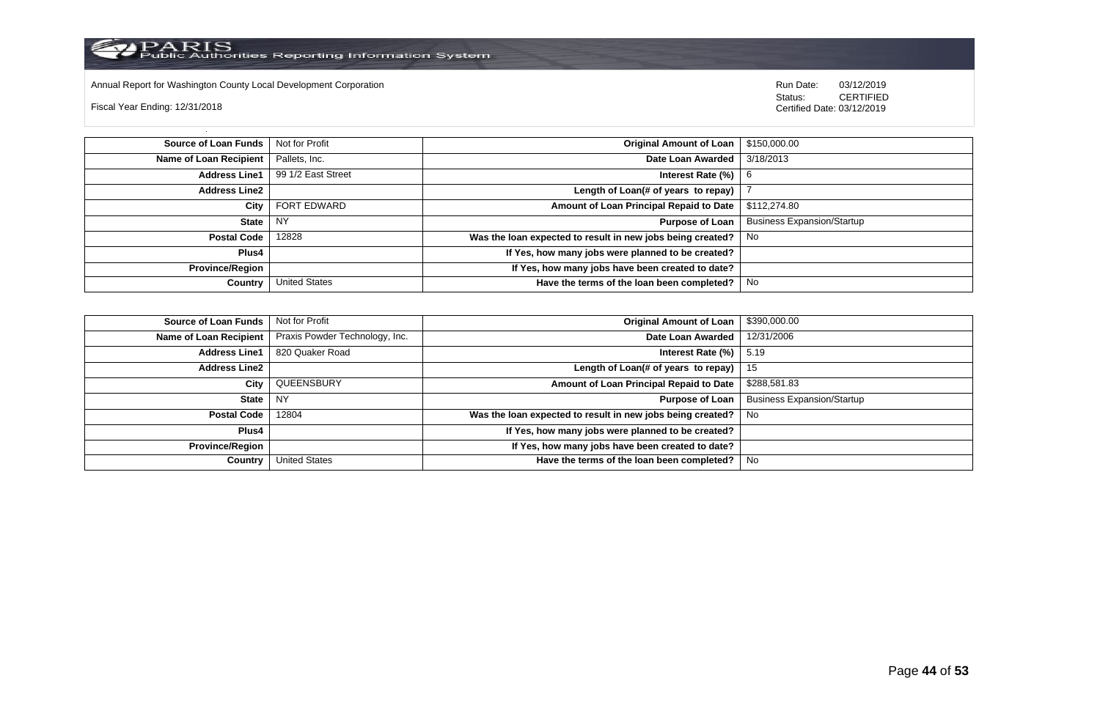

Annual Report for Washington County Local Development Corporation Run Date: 03/12/2019 Run Date: 03/12/2019

Fiscal Year Ending: 12/31/2018

 Status: CERTIFIED Certified Date: 03/12/2019

**Source of Loan Funds** Not for Profit **Containers and Containers Amount Original Amount of Loan** \$150,000.00 **Name of Loan Recipient** Pallets, Inc. **Date Loan Awarded** 3/18/2013 **Address Line1** 99 1/2 East Street **Interest Rate (%)** 6 **Address Line2 Length of Loan(# of years to repay)** | 7 **City** FORT EDWARD **Amount of Loan Principal Repaid to Date** \$112,274.80 **State** NY **Purpose of Loan** Business Expansion/Startup **Postal Code** 12828 **Was the loan expected to result in new jobs being created?** No **Plus4 If Yes, how many jobs were planned to be created? Province/Region If Yes, how many jobs have been created to date? Country** United States **Have the terms of the loan been completed?** No

| Source of Loan Funds   | Not for Profit                 | Original Amount of Loan                                    | \$390,000.00                      |
|------------------------|--------------------------------|------------------------------------------------------------|-----------------------------------|
| Name of Loan Recipient | Praxis Powder Technology, Inc. | Date Loan Awarded                                          | 12/31/2006                        |
| <b>Address Line1</b>   | 820 Quaker Road                | Interest Rate $(\%)$   5.19                                |                                   |
| <b>Address Line2</b>   |                                | Length of Loan(# of years to repay) $ 15 $                 |                                   |
| City                   | QUEENSBURY                     | Amount of Loan Principal Repaid to Date                    | \$288,581.83                      |
| State                  | NY                             | Purpose of Loan                                            | <b>Business Expansion/Startup</b> |
| <b>Postal Code</b>     | 12804                          | Was the loan expected to result in new jobs being created? | . No                              |
| Plus4                  |                                | If Yes, how many jobs were planned to be created?          |                                   |
| <b>Province/Region</b> |                                | If Yes, how many jobs have been created to date?           |                                   |
| Country                | <b>United States</b>           | Have the terms of the loan been completed?                 | No                                |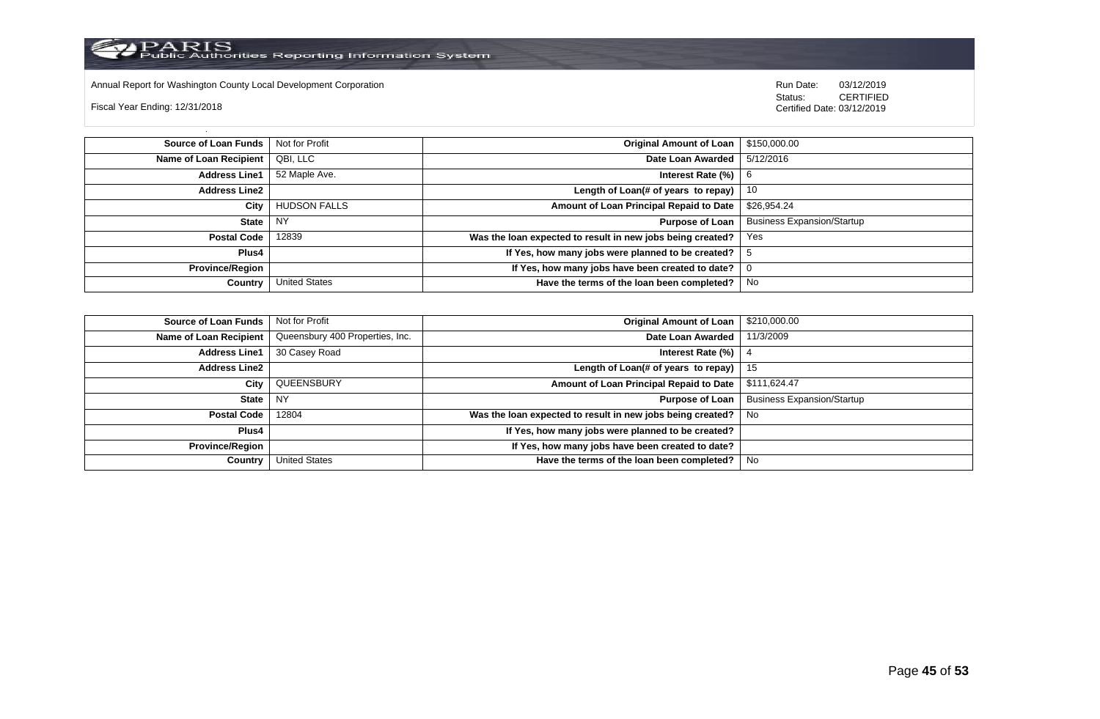

Annual Report for Washington County Local Development Corporation Run Date: 03/12/2019 Run Date: 03/12/2019

Fiscal Year Ending: 12/31/2018

 Status: CERTIFIED Certified Date: 03/12/2019

**Source of Loan Funds** Not for Profit **Containers and Containers Amount Original Amount of Loan** \$150,000.00 **Name of Loan Recipient** QBI, LLC **Date Loan Awarded** 5/12/2016 **Address Line1** 52 Maple Ave. **Interest Rate (%)** 6 **Address Line2 Length of Loan(# of years to repay)** 10 **City** HUDSON FALLS **Amount of Loan Principal Repaid to Date** \$26,954.24 **State** NY **Purpose of Loan** Business Expansion/Startup **Postal Code** 12839 **Was the loan expected to result in new jobs being created?** Yes **Plus4 If Yes, how many jobs were planned to be created?** 5 **Province/Region If Yes, how many jobs have been created to date?** 0 **Country** United States **Have the terms of the loan been completed?** No

| Source of Loan Funds   | Not for Profit                  | <b>Original Amount of Loan</b>                             | \$210,000.00                      |
|------------------------|---------------------------------|------------------------------------------------------------|-----------------------------------|
| Name of Loan Recipient | Queensbury 400 Properties, Inc. | Date Loan Awarded                                          | 11/3/2009                         |
| <b>Address Line1</b>   | 30 Casey Road                   | Interest Rate $(\%)$                                       |                                   |
| <b>Address Line2</b>   |                                 | Length of Loan(# of years to repay) $\vert$ 15             |                                   |
| City                   | QUEENSBURY                      | Amount of Loan Principal Repaid to Date                    | \$111,624.47                      |
| State                  | NY                              | <b>Purpose of Loan</b>                                     | <b>Business Expansion/Startup</b> |
| <b>Postal Code</b>     | 12804                           | Was the loan expected to result in new jobs being created? | . No                              |
| Plus4                  |                                 | If Yes, how many jobs were planned to be created?          |                                   |
| <b>Province/Region</b> |                                 | If Yes, how many jobs have been created to date?           |                                   |
| Country                | <b>United States</b>            | Have the terms of the loan been completed?                 | No                                |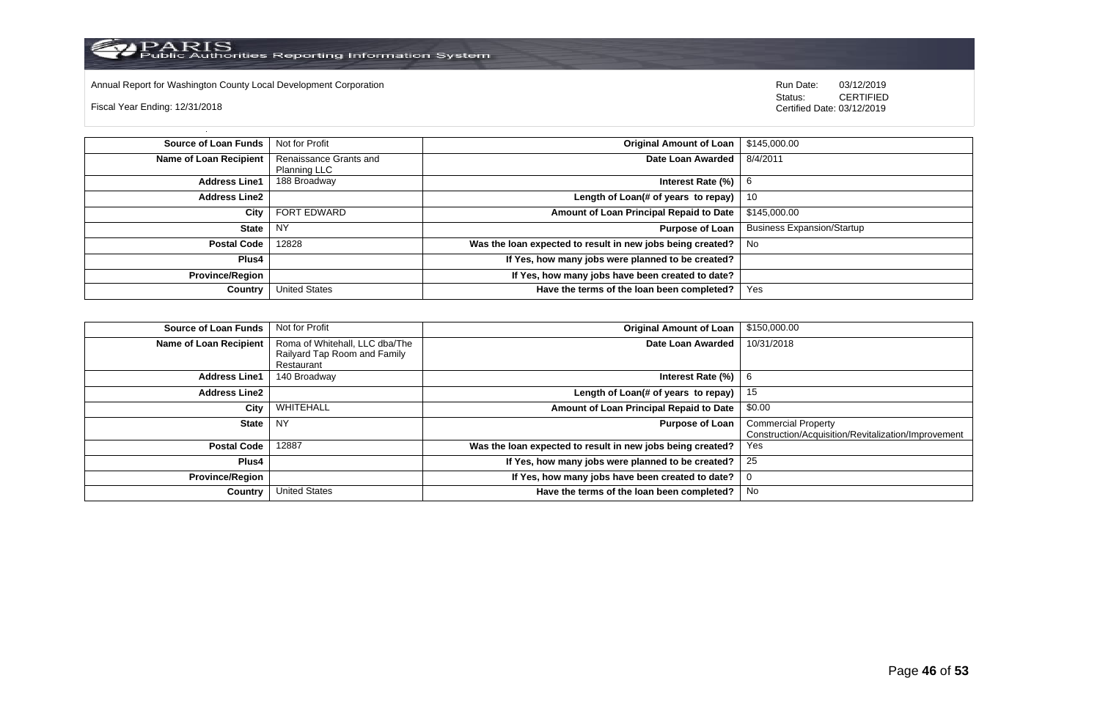

Annual Report for Washington County Local Development Corporation **Computer Computer Computer Computer Computer**<br>
Status: CERTIFIED

Fiscal Year Ending: 12/31/2018

| <b>Source of Loan Funds</b>   | Not for Profit                                | Original Amount of Loan                                    | \$145,000.00                      |
|-------------------------------|-----------------------------------------------|------------------------------------------------------------|-----------------------------------|
| <b>Name of Loan Recipient</b> | Renaissance Grants and<br><b>Planning LLC</b> | Date Loan Awarded                                          | 8/4/2011                          |
| <b>Address Line1</b>          | 188 Broadway                                  | Interest Rate (%)                                          | - 6                               |
| <b>Address Line2</b>          |                                               | Length of Loan(# of years to repay)                        | 10                                |
| City                          | FORT EDWARD                                   | Amount of Loan Principal Repaid to Date                    | \$145,000,00                      |
| <b>State</b>                  | <b>NY</b>                                     | <b>Purpose of Loan</b>                                     | <b>Business Expansion/Startup</b> |
| <b>Postal Code</b>            | 12828                                         | Was the loan expected to result in new jobs being created? | . No                              |
| <b>Plus4</b>                  |                                               | If Yes, how many jobs were planned to be created?          |                                   |
| <b>Province/Region</b>        |                                               | If Yes, how many jobs have been created to date?           |                                   |
| Country                       | <b>United States</b>                          | Have the terms of the loan been completed?                 | Yes                               |

| <b>Source of Loan Funds</b>   | Not for Profit                                                 | <b>Original Amount of Loan</b>                             | \$150,000.00                                                                      |
|-------------------------------|----------------------------------------------------------------|------------------------------------------------------------|-----------------------------------------------------------------------------------|
| <b>Name of Loan Recipient</b> | Roma of Whitehall, LLC dba/The<br>Railyard Tap Room and Family | Date Loan Awarded                                          | 10/31/2018                                                                        |
|                               | Restaurant                                                     |                                                            |                                                                                   |
| <b>Address Line1</b>          | 140 Broadway                                                   | Interest Rate (%)                                          | 6                                                                                 |
| <b>Address Line2</b>          |                                                                | Length of Loan(# of years to repay)                        | 15                                                                                |
| City                          | WHITEHALL                                                      | Amount of Loan Principal Repaid to Date                    | \$0.00                                                                            |
| <b>State</b>                  | <b>NY</b>                                                      | <b>Purpose of Loan</b>                                     | <b>Commercial Property</b><br>Construction/Acquisition/Revitalization/Improvement |
| <b>Postal Code</b>            | 12887                                                          | Was the loan expected to result in new jobs being created? | Yes                                                                               |
| Plus4                         |                                                                | If Yes, how many jobs were planned to be created?          | 25                                                                                |
| <b>Province/Region</b>        |                                                                | If Yes, how many jobs have been created to date?           | 0                                                                                 |
| Country                       | <b>United States</b>                                           | Have the terms of the loan been completed?                 | No                                                                                |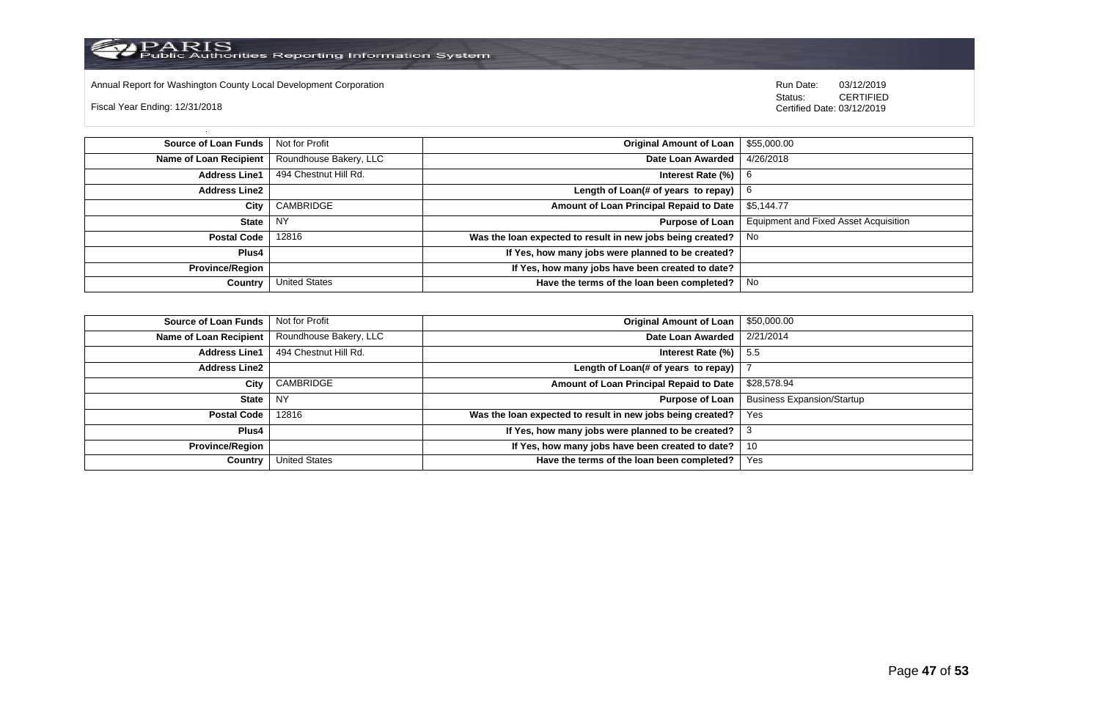

Annual Report for Washington County Local Development Corporation Run Date: 03/12/2019 Run Date: 03/12/2019

Fiscal Year Ending: 12/31/2018

 Status: CERTIFIED Certified Date: 03/12/2019

**Source of Loan Funds** Not for Profit **Company of Loan 1 and 2012 Original Amount of Loan** 1 \$55,000.00 **Name of Loan Recipient** Roundhouse Bakery, LLC **Date Loan Awarded** 4/26/2018 **Address Line1** 494 Chestnut Hill Rd. **Interest Rate (%)** 6 **Address Line2 Length of Loan(# of years to repay)** 6 **City** CAMBRIDGE **Amount of Loan Principal Repaid to Date** \$5,144.77 **State** NY **Purpose of Loan** Equipment and Fixed Asset Acquisition **Postal Code** 12816 **Was the loan expected to result in new jobs being created?** No **Plus4 If Yes, how many jobs were planned to be created? Province/Region If Yes, how many jobs have been created to date? Country** United States **Have the terms of the loan been completed?** No

| Source of Loan Funds   | Not for Profit         | <b>Original Amount of Loan</b>                             | \$50,000.00                       |
|------------------------|------------------------|------------------------------------------------------------|-----------------------------------|
| Name of Loan Recipient | Roundhouse Bakery, LLC | Date Loan Awarded                                          | 2/21/2014                         |
| <b>Address Line1</b>   | 494 Chestnut Hill Rd.  | Interest Rate $(\%)$                                       | - 5.5                             |
| <b>Address Line2</b>   |                        | Length of Loan(# of years to repay)                        |                                   |
| City                   | CAMBRIDGE              | Amount of Loan Principal Repaid to Date                    | \$28,578.94                       |
| <b>State</b>           | NY                     | <b>Purpose of Loan</b>                                     | <b>Business Expansion/Startup</b> |
| Postal Code            | 12816                  | Was the loan expected to result in new jobs being created? | Yes                               |
| Plus4                  |                        | If Yes, how many jobs were planned to be created?          |                                   |
| <b>Province/Region</b> |                        | If Yes, how many jobs have been created to date?           | 10                                |
| Country                | United States          | Have the terms of the loan been completed?                 | Yes                               |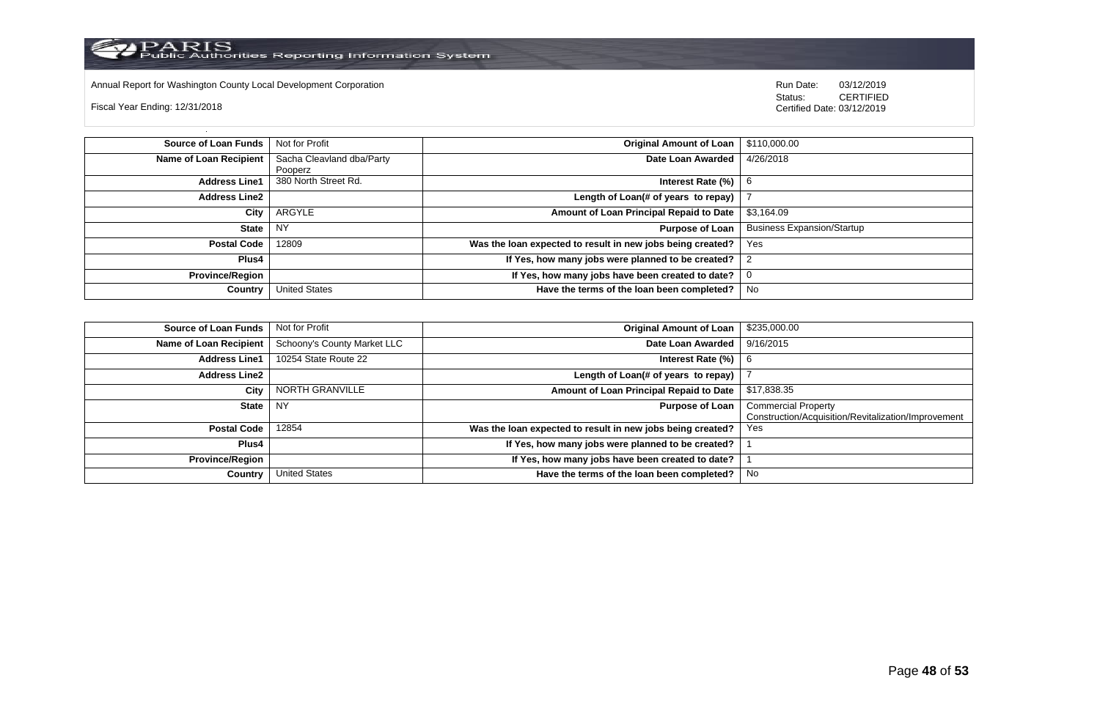

Annual Report for Washington County Local Development Corporation **Company County Connect Connect Connect Connect**<br>
Status: CERTIFIED

Fiscal Year Ending: 12/31/2018

| <b>Source of Loan Funds</b>   | Not for Profit            | <b>Original Amount of Loan</b>                             | \$110,000.00                      |
|-------------------------------|---------------------------|------------------------------------------------------------|-----------------------------------|
| <b>Name of Loan Recipient</b> | Sacha Cleavland dba/Party | Date Loan Awarded                                          | 4/26/2018                         |
|                               | Pooperz                   |                                                            |                                   |
| <b>Address Line1</b>          | 380 North Street Rd.      | Interest Rate (%)                                          |                                   |
| <b>Address Line2</b>          |                           | Length of Loan(# of years to repay)                        |                                   |
| City                          | ARGYLE                    | Amount of Loan Principal Repaid to Date                    | \$3,164.09                        |
| <b>State</b>                  | <b>NY</b>                 | <b>Purpose of Loan</b>                                     | <b>Business Expansion/Startup</b> |
| <b>Postal Code</b>            | 12809                     | Was the loan expected to result in new jobs being created? | Yes                               |
| <b>Plus4</b>                  |                           | If Yes, how many jobs were planned to be created?          |                                   |
| <b>Province/Region</b>        |                           | If Yes, how many jobs have been created to date?           | 0                                 |
| Country                       | <b>United States</b>      | Have the terms of the loan been completed?                 | No                                |

| <b>Source of Loan Funds</b> | Not for Profit              | <b>Original Amount of Loan</b>                             | \$235,000.00                                                                      |
|-----------------------------|-----------------------------|------------------------------------------------------------|-----------------------------------------------------------------------------------|
| Name of Loan Recipient      | Schoony's County Market LLC | Date Loan Awarded                                          | 9/16/2015                                                                         |
| <b>Address Line1</b>        | 10254 State Route 22        | Interest Rate (%)                                          |                                                                                   |
| <b>Address Line2</b>        |                             | Length of Loan(# of years to repay)                        |                                                                                   |
| City                        | NORTH GRANVILLE             | Amount of Loan Principal Repaid to Date                    | \$17,838.35                                                                       |
| State NY                    |                             | <b>Purpose of Loan</b>                                     | <b>Commercial Property</b><br>Construction/Acquisition/Revitalization/Improvement |
| <b>Postal Code</b>          | 12854                       | Was the loan expected to result in new jobs being created? | Yes                                                                               |
| Plus4                       |                             | If Yes, how many jobs were planned to be created?          |                                                                                   |
| <b>Province/Region</b>      |                             | If Yes, how many jobs have been created to date?           |                                                                                   |
| Country                     | <b>United States</b>        | Have the terms of the loan been completed?                 | No                                                                                |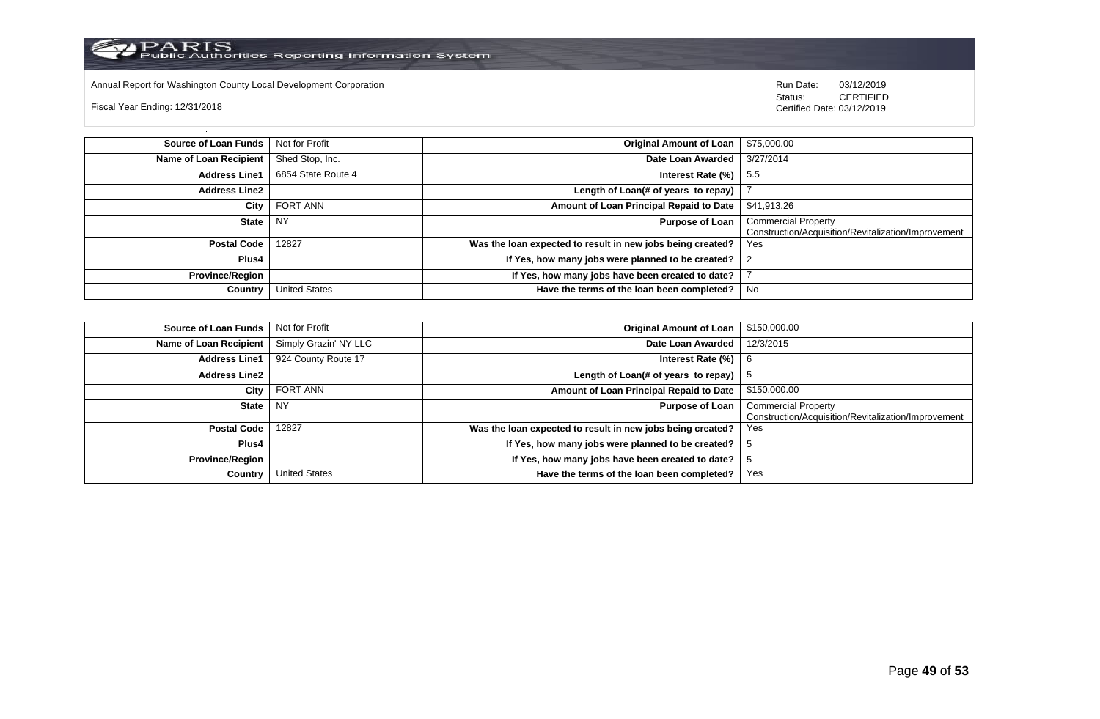Annual Report for Washington County Local Development Corporation **Company County Connect Connect Connect Connect**<br>
Status: CERTIFIED

Fiscal Year Ending: 12/31/2018

| <b>Source of Loan Funds</b>   | Not for Profit       | <b>Original Amount of Loan</b>                             | \$75,000.00                                                                       |
|-------------------------------|----------------------|------------------------------------------------------------|-----------------------------------------------------------------------------------|
| <b>Name of Loan Recipient</b> | Shed Stop, Inc.      | Date Loan Awarded                                          | 3/27/2014                                                                         |
| <b>Address Line1</b>          | 6854 State Route 4   | Interest Rate $(\%)$   5.5                                 |                                                                                   |
| <b>Address Line2</b>          |                      | Length of Loan(# of years to repay)                        |                                                                                   |
| City                          | FORT ANN             | Amount of Loan Principal Repaid to Date                    | \$41,913.26                                                                       |
| <b>State</b>                  | NY                   | <b>Purpose of Loan</b>                                     | <b>Commercial Property</b><br>Construction/Acquisition/Revitalization/Improvement |
| <b>Postal Code</b>            | 12827                | Was the loan expected to result in new jobs being created? | Yes                                                                               |
| Plus4                         |                      | If Yes, how many jobs were planned to be created? 2        |                                                                                   |
| <b>Province/Region</b>        |                      | If Yes, how many jobs have been created to date?           |                                                                                   |
| Country                       | <b>United States</b> | Have the terms of the loan been completed?                 | No                                                                                |

| <b>Source of Loan Funds</b> | Not for Profit        | <b>Original Amount of Loan</b>                             | \$150,000.00                                                                      |
|-----------------------------|-----------------------|------------------------------------------------------------|-----------------------------------------------------------------------------------|
| Name of Loan Recipient      | Simply Grazin' NY LLC | Date Loan Awarded                                          | 12/3/2015                                                                         |
| <b>Address Line1</b>        | 924 County Route 17   | Interest Rate (%)                                          |                                                                                   |
| <b>Address Line2</b>        |                       | Length of Loan(# of years to repay)                        |                                                                                   |
| City                        | <b>FORT ANN</b>       | Amount of Loan Principal Repaid to Date                    | \$150,000.00                                                                      |
| State   NY                  |                       | <b>Purpose of Loan</b>                                     | <b>Commercial Property</b><br>Construction/Acquisition/Revitalization/Improvement |
| <b>Postal Code</b>          | 12827                 | Was the loan expected to result in new jobs being created? | Yes                                                                               |
| Plus4                       |                       | If Yes, how many jobs were planned to be created?          |                                                                                   |
| <b>Province/Region</b>      |                       | If Yes, how many jobs have been created to date?           |                                                                                   |
| Country                     | <b>United States</b>  | Have the terms of the loan been completed?                 | Yes                                                                               |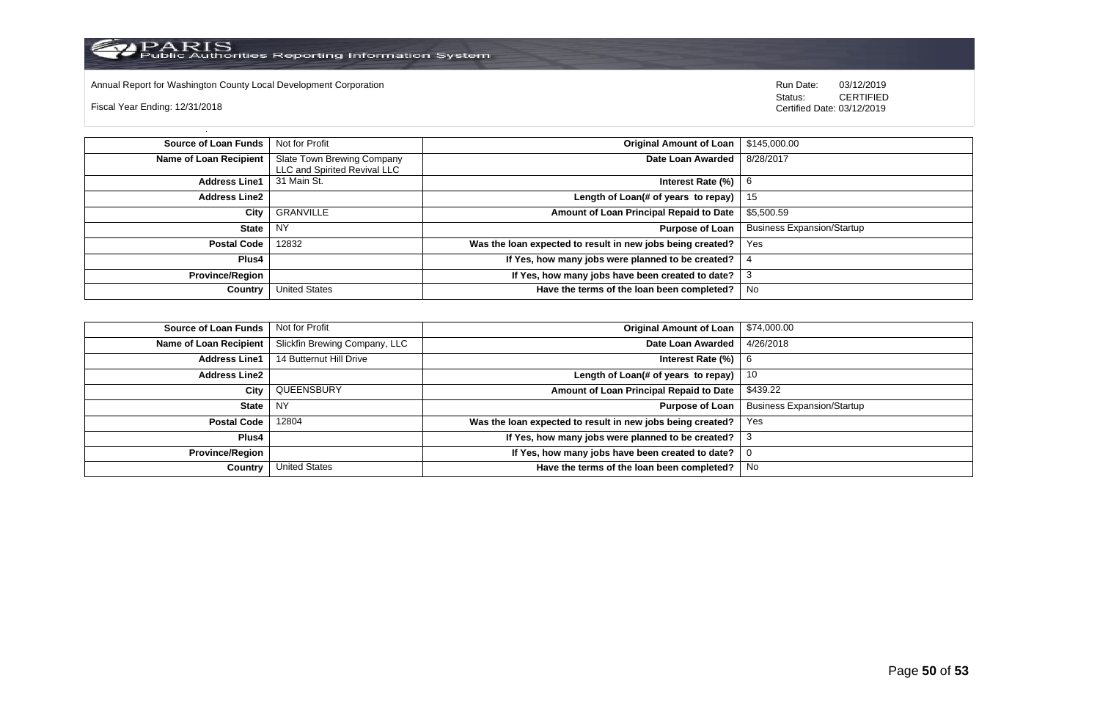

Annual Report for Washington County Local Development Corporation **Company County Constructed Annual Report for Washington County Local Development Corporation Annual Report for Washington County Local Development Corporat** 

Fiscal Year Ending: 12/31/2018

| Source of Loan Funds   | Not for Profit                                             | Original Amount of Loan                                    | \$145,000.00                      |
|------------------------|------------------------------------------------------------|------------------------------------------------------------|-----------------------------------|
| Name of Loan Recipient | Slate Town Brewing Company<br>LLC and Spirited Revival LLC | Date Loan Awarded                                          | 8/28/2017                         |
| <b>Address Line1</b>   | 31 Main St.                                                | Interest Rate (%)                                          |                                   |
| <b>Address Line2</b>   |                                                            | Length of Loan(# of years to repay)   15                   |                                   |
| City                   | GRANVILLE                                                  | Amount of Loan Principal Repaid to Date                    | \$5,500.59                        |
| State                  | <b>NY</b>                                                  | <b>Purpose of Loan</b>                                     | <b>Business Expansion/Startup</b> |
| Postal Code            | 12832                                                      | Was the loan expected to result in new jobs being created? | Yes                               |
| <b>Plus4</b>           |                                                            | If Yes, how many jobs were planned to be created?          |                                   |
| <b>Province/Region</b> |                                                            | If Yes, how many jobs have been created to date?           | 3                                 |
| Country                | <b>United States</b>                                       | Have the terms of the loan been completed?                 | No                                |

| <b>Source of Loan Funds</b> | Not for Profit                | Original Amount of Loan                                         | \$74,000.00                       |
|-----------------------------|-------------------------------|-----------------------------------------------------------------|-----------------------------------|
| Name of Loan Recipient      | Slickfin Brewing Company, LLC | Date Loan Awarded                                               | 4/26/2018                         |
| <b>Address Line1</b>        | 14 Butternut Hill Drive       | Interest Rate $(\%)$   6                                        |                                   |
| <b>Address Line2</b>        |                               | Length of Loan(# of years to repay)                             | 10                                |
| City                        | QUEENSBURY                    | Amount of Loan Principal Repaid to Date                         | \$439.22                          |
| <b>State</b>                | NY                            | Purpose of Loan                                                 | <b>Business Expansion/Startup</b> |
| <b>Postal Code</b>          | 12804                         | Was the loan expected to result in new jobs being created?      | Yes                               |
| Plus4                       |                               | If Yes, how many jobs were planned to be created? $\frac{3}{2}$ |                                   |
| <b>Province/Region</b>      |                               | If Yes, how many jobs have been created to date?                |                                   |
| Country                     | <b>United States</b>          | Have the terms of the loan been completed?                      | No                                |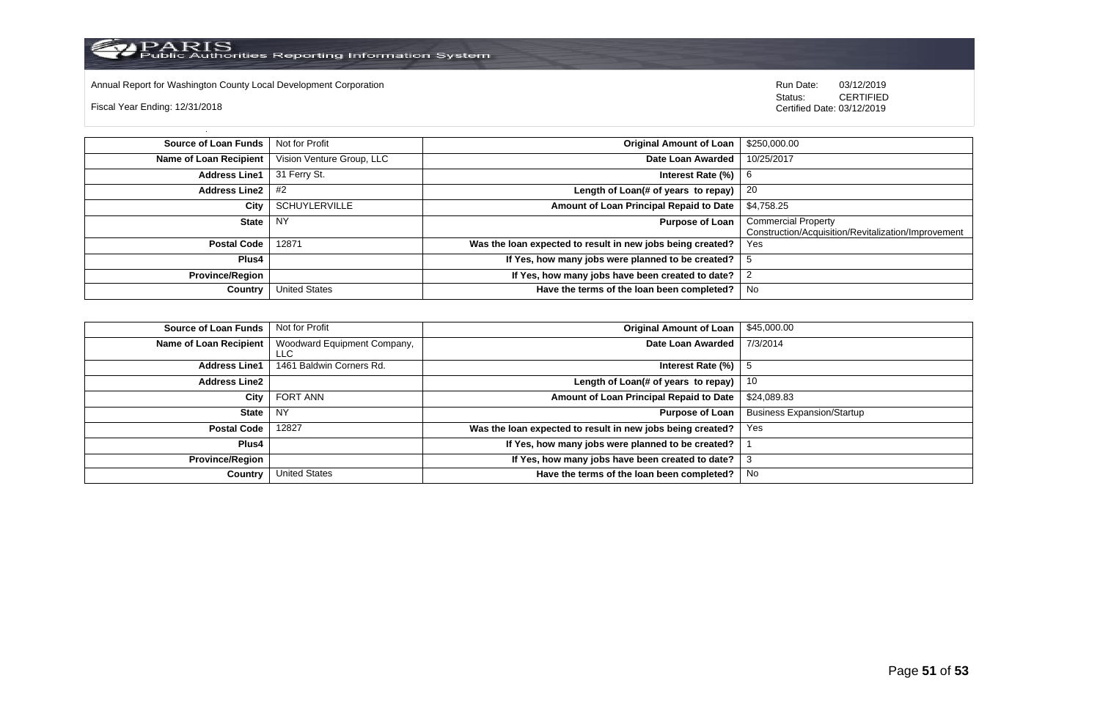

Annual Report for Washington County Local Development Corporation **Company County Connect Connect Connect Connect**<br>
Status: CERTIFIED

Fiscal Year Ending: 12/31/2018

| <b>Source of Loan Funds</b>   | Not for Profit            | <b>Original Amount of Loan</b>                             | \$250,000.00                                                                      |
|-------------------------------|---------------------------|------------------------------------------------------------|-----------------------------------------------------------------------------------|
| <b>Name of Loan Recipient</b> | Vision Venture Group, LLC | Date Loan Awarded                                          | 10/25/2017                                                                        |
| <b>Address Line1</b>          | 31 Ferry St.              | Interest Rate (%)                                          | 6                                                                                 |
| <b>Address Line2</b>          | #2                        | Length of Loan(# of years to repay)                        | -20                                                                               |
| City                          | <b>SCHUYLERVILLE</b>      | Amount of Loan Principal Repaid to Date                    | \$4,758.25                                                                        |
| <b>State</b>                  | NY                        | <b>Purpose of Loan</b>                                     | <b>Commercial Property</b><br>Construction/Acquisition/Revitalization/Improvement |
| <b>Postal Code</b>            | 12871                     | Was the loan expected to result in new jobs being created? | Yes                                                                               |
| Plus4                         |                           | If Yes, how many jobs were planned to be created?          |                                                                                   |
| <b>Province/Region</b>        |                           | If Yes, how many jobs have been created to date?           |                                                                                   |
| Country                       | <b>United States</b>      | Have the terms of the loan been completed?                 | No                                                                                |

| <b>Source of Loan Funds</b> | Not for Profit                     | <b>Original Amount of Loan</b>                             | \$45,000.00                       |
|-----------------------------|------------------------------------|------------------------------------------------------------|-----------------------------------|
| Name of Loan Recipient      | Woodward Equipment Company,<br>∟LC | Date Loan Awarded                                          | 7/3/2014                          |
| <b>Address Line1</b>        | 1461 Baldwin Corners Rd.           | Interest Rate (%)                                          |                                   |
| <b>Address Line2</b>        |                                    | Length of Loan(# of years to repay)                        | 10                                |
| City                        | FORT ANN                           | Amount of Loan Principal Repaid to Date                    | \$24,089.83                       |
| <b>State</b>                | <b>NY</b>                          | <b>Purpose of Loan</b>                                     | <b>Business Expansion/Startup</b> |
| <b>Postal Code</b>          | 12827                              | Was the loan expected to result in new jobs being created? | Yes                               |
| Plus4                       |                                    | If Yes, how many jobs were planned to be created?          |                                   |
| <b>Province/Region</b>      |                                    | If Yes, how many jobs have been created to date?           |                                   |
| Country                     | <b>United States</b>               | Have the terms of the loan been completed?                 | No                                |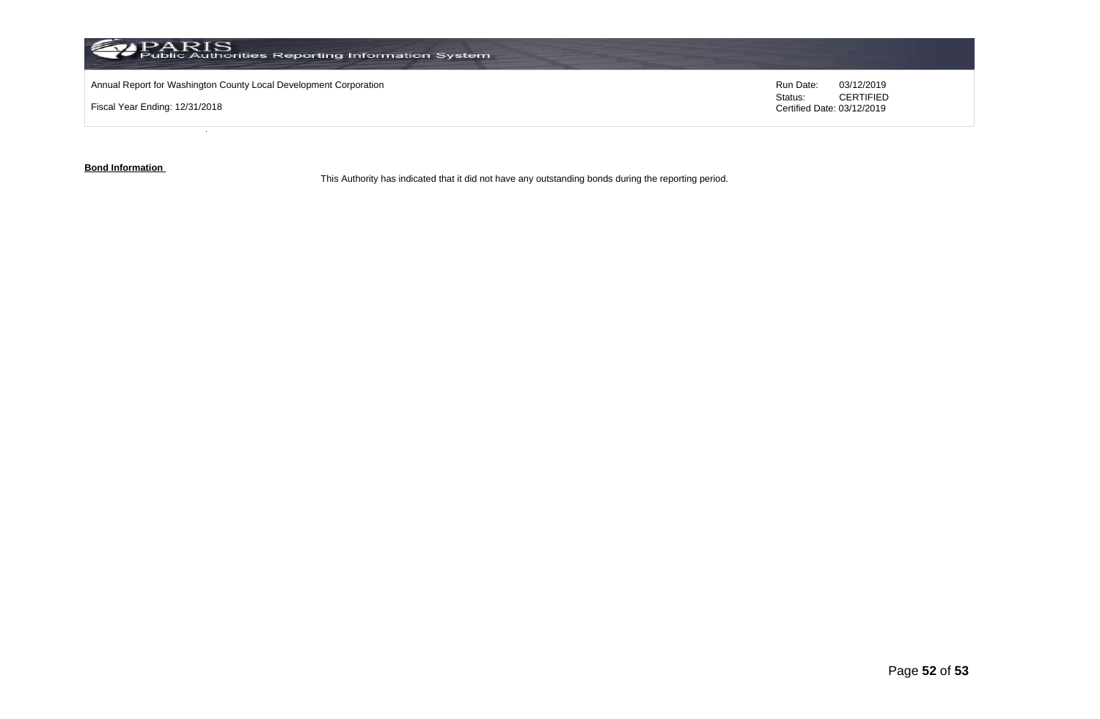

**Bond Information** 

This Authority has indicated that it did not have any outstanding bonds during the reporting period.